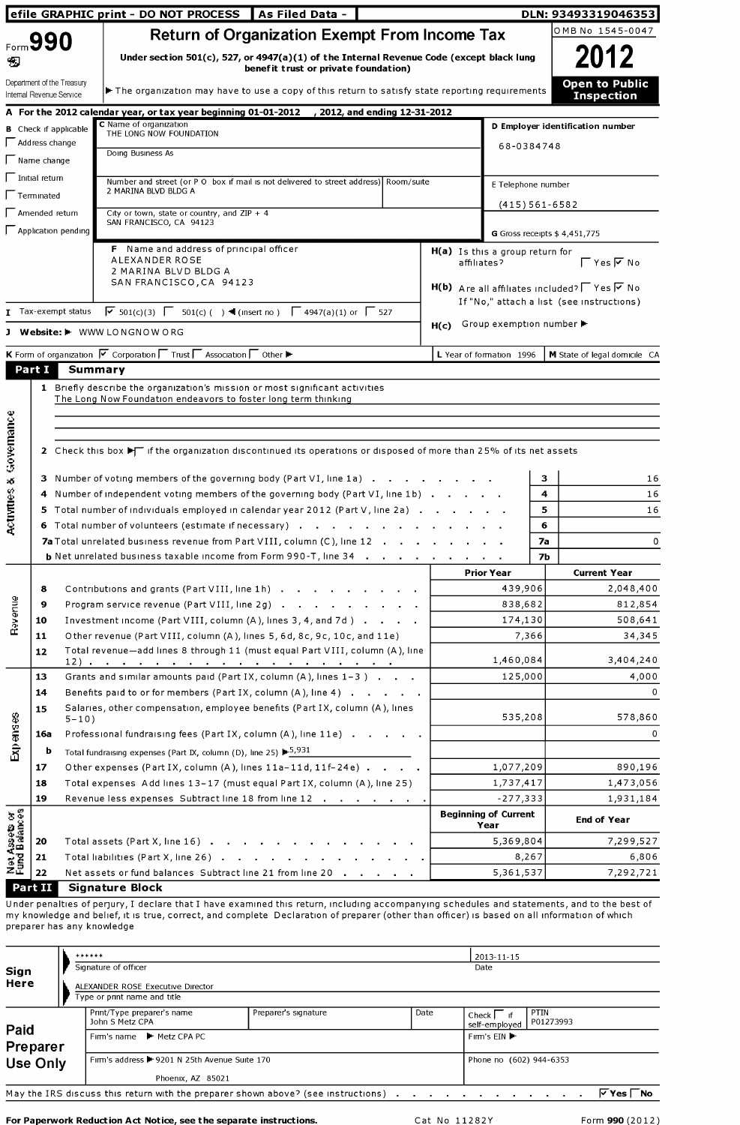|                                       |                                  |                              | efile GRAPHIC print - DO NOT PROCESS   As Filed Data -                                                                                      |         |             |                                     | DLN: 93493319046353                                              |
|---------------------------------------|----------------------------------|------------------------------|---------------------------------------------------------------------------------------------------------------------------------------------|---------|-------------|-------------------------------------|------------------------------------------------------------------|
|                                       |                                  |                              | <b>Return of Organization Exempt From Income Tax</b>                                                                                        |         |             |                                     | OMB No 1545-0047                                                 |
| Ð                                     | Form 990                         |                              | Under section 501(c), 527, or 4947(a)(1) of the Internal Revenue Code (except black lung<br>benefit trust or private foundation)            |         |             |                                     | 2012                                                             |
|                                       | Internal Revenue Service         | Department of the Treasury   | The organization may have to use a copy of this return to satisfy state reporting requirements                                              |         |             |                                     | <b>Open to Public</b><br><b>Inspection</b>                       |
|                                       |                                  |                              | A For the 2012 calendar year, or tax year beginning 01-01-2012 / 2012, and ending 12-31-2012<br>C Name of organization                      |         |             |                                     |                                                                  |
|                                       | $\Box$ Address change            | <b>B</b> Check if applicable | THE LONG NOW FOUNDATION                                                                                                                     |         |             |                                     | D Employer identification number                                 |
|                                       | $\sqrt{\phantom{a}}$ Name change |                              | Doing Business As                                                                                                                           |         |             | 68-0384748                          |                                                                  |
|                                       | $\Box$ Initial return            |                              |                                                                                                                                             |         |             |                                     |                                                                  |
|                                       | Terminated                       |                              | Number and street (or P O box if mail is not delivered to street address) Room/suite<br>2 MARINA BLVD BLDG A                                |         |             | E Telephone number                  |                                                                  |
|                                       |                                  |                              |                                                                                                                                             |         |             | $(415)561-6582$                     |                                                                  |
|                                       | $\Box$ Amended return            |                              | City or town, state or country, and $ZIP + 4$<br>SAN FRANCISCO, CA 94123                                                                    |         |             |                                     |                                                                  |
|                                       |                                  | $\Box$ Application pending   |                                                                                                                                             |         |             |                                     | G Gross receipts $$4,451,775$                                    |
|                                       |                                  |                              | F Name and address of principal officer<br>ALEXANDER ROSE                                                                                   |         | affiliates? | H(a) Is this a group return for     | $\Gamma$ Yes $\overline{V}$ No                                   |
|                                       |                                  |                              | 2 MARINA BLVD BLDG A                                                                                                                        |         |             |                                     |                                                                  |
|                                       |                                  |                              | SAN FRANCISCO, CA 94123                                                                                                                     |         |             |                                     | $H(b)$ Are all affiliates included? $\Box$ Yes $\overline{V}$ No |
|                                       |                                  | Tax-exempt status            | $\sqrt{6}$ 501(c)(3) $\sqrt{6}$ 501(c)( ) ◀ (insert no) $\sqrt{6}$ 4947(a)(1) or $\sqrt{6}$ 527                                             |         |             |                                     | If "No," attach a list (see instructions)                        |
|                                       |                                  |                              |                                                                                                                                             |         | H(c)        | Group exemption number ▶            |                                                                  |
| л                                     |                                  |                              | Website: I WWW LONGNOW ORG                                                                                                                  |         |             |                                     |                                                                  |
|                                       |                                  |                              | K Form of organization $\nabla$ Corporation $\Gamma$ Trust $\Gamma$ Association $\Gamma$ Other $\blacktriangleright$                        |         |             | L Year of formation 1996            | M State of legal domicile CA                                     |
|                                       | Part I                           | <b>Summary</b>               |                                                                                                                                             |         |             |                                     |                                                                  |
| Governance                            |                                  |                              | 2 Check this box $\blacktriangleright$ if the organization discontinued its operations or disposed of more than 25% of its net assets       |         |             |                                     |                                                                  |
| x5                                    |                                  |                              | 3 Number of voting members of the governing body (Part VI, line 1a)                                                                         | з<br>16 |             |                                     |                                                                  |
| w                                     |                                  |                              | 4 Number of independent voting members of the governing body (Part VI, line 1b)                                                             |         |             |                                     | 16<br>4                                                          |
| Activitie                             |                                  |                              | 5 Total number of individuals employed in calendar year 2012 (Part V, line 2a)<br>6 Total number of volunteers (estimate if necessary)      |         |             |                                     | 5<br>16<br>6                                                     |
|                                       |                                  |                              | <b>7a</b> Total unrelated business revenue from Part VIII, column (C), line 12                                                              |         |             | <b>7a</b>                           | 0                                                                |
|                                       |                                  |                              | <b>b</b> Net unrelated business taxable income from Form 990-T, line 34                                                                     |         |             | 7b                                  |                                                                  |
|                                       |                                  |                              |                                                                                                                                             |         |             | <b>Prior Year</b>                   | <b>Current Year</b>                                              |
|                                       | 8                                |                              | Contributions and grants (Part VIII, line 1h)                                                                                               |         |             | 439,906                             | 2,048,400                                                        |
|                                       | 9                                |                              | Program service revenue (Part VIII, line 2g)                                                                                                |         |             | 838,682                             | 812,854                                                          |
| Revenue                               | 10                               |                              | Investment income (Part VIII, column (A), lines 3, 4, and 7d)                                                                               |         |             | 174,130                             | 508,641                                                          |
|                                       | 11                               |                              | Other revenue (Part VIII, column (A), lines 5, 6d, 8c, 9c, 10c, and 11e)                                                                    |         |             | 7,366                               | 34,345                                                           |
|                                       | 12                               |                              | Total revenue-add lines 8 through 11 (must equal Part VIII, column (A), line                                                                |         |             | 1,460,084                           | 3,404,240                                                        |
|                                       | 13                               |                              | Grants and similar amounts paid (Part IX, column $(A)$ , lines $1-3$ ).                                                                     |         |             | 125,000                             | 4,000                                                            |
|                                       | 14                               |                              | Benefits paid to or for members (Part IX, column (A), line 4)                                                                               |         |             |                                     | 0                                                                |
|                                       | 15                               |                              | Salaries, other compensation, employee benefits (Part IX, column (A), lines                                                                 |         |             |                                     |                                                                  |
| Expenses                              |                                  | $5 - 10$ )                   |                                                                                                                                             |         |             | 535,208                             | 578,860                                                          |
|                                       | 16a                              |                              | Professional fundraising fees (Part IX, column (A), line 11e)                                                                               |         |             |                                     | 0                                                                |
|                                       | b                                |                              | Total fundraising expenses (Part IX, column (D), line 25) $\blacktriangleright$ 5,931                                                       |         |             |                                     |                                                                  |
|                                       | 17<br>18                         |                              | Other expenses (Part IX, column (A), lines 11a-11d, 11f-24e)<br>Total expenses Add lines 13-17 (must equal Part IX, column (A), line 25)    |         |             | 1,077,209<br>1,737,417              | 890,196<br>1,473,056                                             |
|                                       | 19                               |                              | Revenue less expenses Subtract line 18 from line 12                                                                                         |         |             | $-277,333$                          | 1,931,184                                                        |
| <b>Net Assets or</b><br>Fund Balances |                                  |                              |                                                                                                                                             |         |             | <b>Beginning of Current</b><br>Year | <b>End of Year</b>                                               |
|                                       | 20                               |                              | Total assets (Part X, line 16)                                                                                                              |         |             | 5,369,804                           | 7,299,527                                                        |
|                                       | 21                               |                              | Total liabilities (Part X, line 26)                                                                                                         |         |             | 8,267                               | 6,806                                                            |
|                                       | 22                               |                              | Net assets or fund balances Subtract line 21 from line 20                                                                                   |         |             | 5,361,537                           | 7,292,721                                                        |
|                                       | Part II                          |                              | <b>Signature Block</b>                                                                                                                      |         |             |                                     |                                                                  |
|                                       |                                  |                              | Under penalties of perjury, I declare that I have examined this return, including accompanying schedules and statements, and to the best of |         |             |                                     |                                                                  |

Hy knowledge and bener, it is true, correct<br>Preparer has any knowledge Ty Knowledge

|                  | ******                                                                            |                      |      | 2013-11-15                                       |  |  |  |  |  |  |
|------------------|-----------------------------------------------------------------------------------|----------------------|------|--------------------------------------------------|--|--|--|--|--|--|
| Sign             | Signature of officer                                                              |                      | Date |                                                  |  |  |  |  |  |  |
| Here             | ALEXANDER ROSE Executive Director<br>Type or print name and title                 |                      |      |                                                  |  |  |  |  |  |  |
|                  | Print/Type preparer's name<br>John S Metz CPA                                     | Preparer's signature | Date | PTIN<br>Check I if<br>P01273993<br>self-employed |  |  |  |  |  |  |
| Paid<br>Preparer | Firm's name ▶ Metz CPA PC                                                         |                      |      | Firm s $EIN$                                     |  |  |  |  |  |  |
| <b>Use Only</b>  | Firm's address +9201 N 25th Avenue Suite 170                                      |                      |      | Phone no (602) 944-6353                          |  |  |  |  |  |  |
|                  | Phoenix, AZ 85021                                                                 |                      |      |                                                  |  |  |  |  |  |  |
|                  | May the IRS discuss this return with the preparer shown above? (see instructions) |                      |      | $ v \rangle$ Yes I<br>No.                        |  |  |  |  |  |  |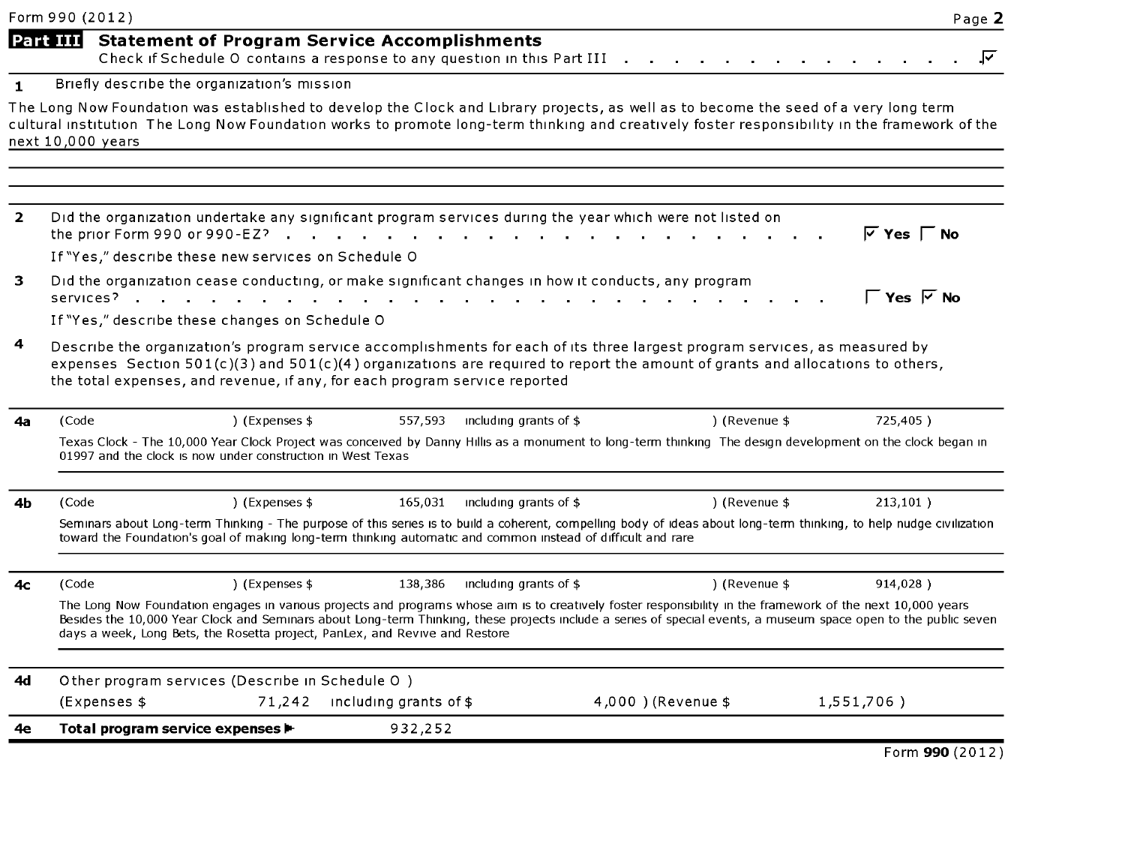|                | Form 990 (2012)               |                                                                                                                                                                                           |                                   |                        |                                                                                                                                                             | Page 2                                                                                                                                                               |
|----------------|-------------------------------|-------------------------------------------------------------------------------------------------------------------------------------------------------------------------------------------|-----------------------------------|------------------------|-------------------------------------------------------------------------------------------------------------------------------------------------------------|----------------------------------------------------------------------------------------------------------------------------------------------------------------------|
|                |                               | Part III Statement of Program Service Accomplishments<br>Check if Schedule O contains a response to any question in this Part III .                                                       |                                   |                        |                                                                                                                                                             | ⊽                                                                                                                                                                    |
| $\mathbf{1}$   |                               | Briefly describe the organization's mission                                                                                                                                               |                                   |                        |                                                                                                                                                             |                                                                                                                                                                      |
|                | next 10,000 years             |                                                                                                                                                                                           |                                   |                        | The Long Now Foundation was established to develop the Clock and Library projects, as well as to become the seed of a very long term                        | cultural institution The Long Now Foundation works to promote long-term thinking and creatively foster responsibility in the framework of the                        |
| $\overline{2}$ | the prior Form 990 or 990-EZ? | Did the organization undertake any significant program services during the year which were not listed on<br><b>Service Control</b><br>If "Yes," describe these new services on Schedule O | and the state of the state of the |                        |                                                                                                                                                             | $\overline{V}$ Yes $\Gamma$ No                                                                                                                                       |
| 3              |                               | Did the organization cease conducting, or make significant changes in how it conducts, any program<br>services?<br>If "Yes," describe these changes on Schedule O                         |                                   |                        |                                                                                                                                                             | $\Gamma$ Yes $\overline{V}$ No                                                                                                                                       |
| 4              |                               |                                                                                                                                                                                           |                                   |                        | Describe the organization's program service accomplishments for each of its three largest program services, as measured by                                  |                                                                                                                                                                      |
|                |                               | the total expenses, and revenue, if any, for each program service reported                                                                                                                |                                   |                        | expenses Section 501(c)(3) and 501(c)(4) organizations are required to report the amount of grants and allocations to others,                               |                                                                                                                                                                      |
| 4a             | (Code                         | ) (Expenses \$                                                                                                                                                                            | 557,593                           | including grants of \$ | ) (Revenue \$                                                                                                                                               | 725,405)                                                                                                                                                             |
|                |                               | 01997 and the clock is now under construction in West Texas                                                                                                                               |                                   |                        |                                                                                                                                                             | Texas Clock - The 10,000 Year Clock Project was conceived by Danny Hillis as a monument to long-term thinking The design development on the clock began in           |
| 4b             | (Code                         | ) (Expenses \$                                                                                                                                                                            | 165,031                           | including grants of \$ | ) (Revenue \$                                                                                                                                               | 213,101)                                                                                                                                                             |
|                |                               | toward the Foundation's goal of making long-term thinking automatic and common instead of difficult and rare                                                                              |                                   |                        |                                                                                                                                                             | Seminars about Long-term Thinking - The purpose of this series is to build a coherent, compelling body of ideas about long-term thinking, to help nudge civilization |
| 4с             | (Code                         | ) (Expenses \$                                                                                                                                                                            | 138,386                           | including grants of \$ | ) (Revenue \$                                                                                                                                               | 914,028)                                                                                                                                                             |
|                |                               | days a week, Long Bets, the Rosetta project, PanLex, and Revive and Restore                                                                                                               |                                   |                        | The Long Now Foundation engages in various projects and programs whose aim is to creatively foster responsibility in the framework of the next 10,000 years | Besides the 10,000 Year Clock and Seminars about Long-term Thinking, these projects include a series of special events, a museum space open to the public seven      |
| 4d             |                               | Other program services (Describe in Schedule O)                                                                                                                                           |                                   |                        |                                                                                                                                                             |                                                                                                                                                                      |
|                | (Expenses \$                  |                                                                                                                                                                                           | 71,242 including grants of \$     |                        | 4.000 ) (Revenue \$                                                                                                                                         | 1,551,706)                                                                                                                                                           |

Form 990 (2012)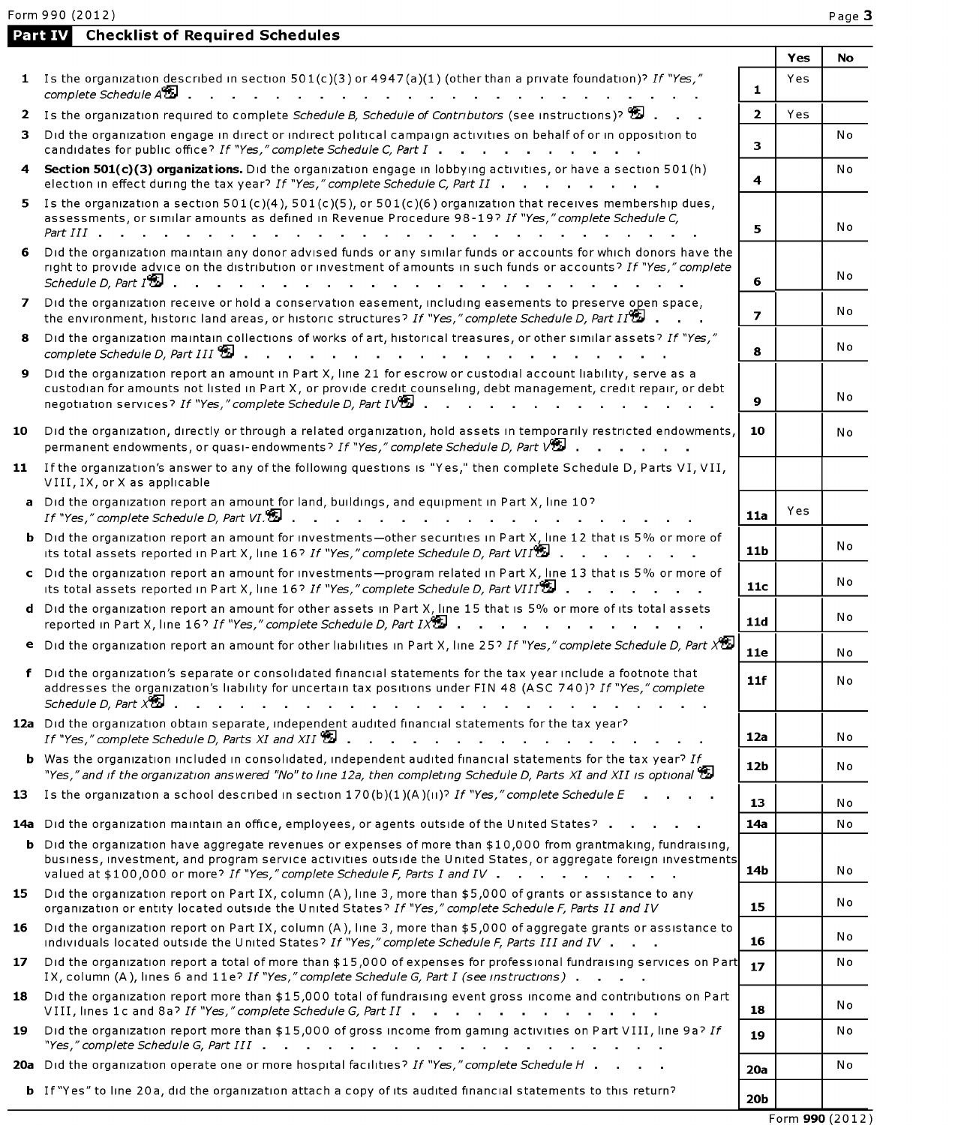Form 990 (2012)

Part IV Checklist of Required Schedules

|    |                                                                                                                                                                                                                                                                                                                          |                 | Yes | No             |
|----|--------------------------------------------------------------------------------------------------------------------------------------------------------------------------------------------------------------------------------------------------------------------------------------------------------------------------|-----------------|-----|----------------|
|    | 1 Is the organization described in section $501(c)(3)$ or $4947(a)(1)$ (other than a private foundation)? If "Yes,"<br>complete Schedule At<br>and the state of the state of the state of                                                                                                                                | $\mathbf{1}$    | Yes |                |
|    | 2 Is the organization required to complete Schedule B, Schedule of Contributors (see instructions)?                                                                                                                                                                                                                      | $\overline{2}$  | Yes |                |
| з. | Did the organization engage in direct or indirect political campaign activities on behalf of or in opposition to<br>candidates for public office? If "Yes," complete Schedule C, Part I                                                                                                                                  | 3               |     | No             |
|    | 4 Section 501(c)(3) organizations. Did the organization engage in lobbying activities, or have a section 501(h)<br>election in effect during the tax year? If "Yes," complete Schedule C, Part II                                                                                                                        | 4               |     | N <sub>o</sub> |
|    | 5 Is the organization a section $501(c)(4)$ , $501(c)(5)$ , or $501(c)(6)$ organization that receives membership dues,<br>assessments, or similar amounts as defined in Revenue Procedure 98-19? If "Yes," complete Schedule C,<br>Part III                                                                              | 5               |     | No             |
| 6. | Did the organization maintain any donor advised funds or any similar funds or accounts for which donors have the<br>right to provide advice on the distribution or investment of amounts in such funds or accounts? If "Yes," complete<br>Schedule D, Part $I^{\bigcircledast}$ .                                        | 6               |     | No             |
|    | 7 Did the organization receive or hold a conservation easement, including easements to preserve open space,<br>the environment, historic land areas, or historic structures? If "Yes," complete Schedule D, Part II.                                                                                                     | $\overline{ }$  |     | Νo             |
|    | 8 Did the organization maintain collections of works of art, historical treasures, or other similar assets? If "Yes,"<br>$complete Schedule D, Part III 32$                                                                                                                                                              | 8               |     | N o            |
| 9. | Did the organization report an amount in Part X, line 21 for escrow or custodial account liability, serve as a<br>custodian for amounts not listed in Part X, or provide credit counseling, debt management, credit repair, or debt<br>negotiation services? If "Yes," complete Schedule D, Part IV                      | 9               |     | No             |
| 10 | Did the organization, directly or through a related organization, hold assets in temporarily restricted endowments,<br>permanent endowments, or quasi-endowments? If "Yes," complete Schedule D, Part V                                                                                                                  | 10              |     | No             |
|    | 11 If the organization's answer to any of the following questions is "Yes," then complete Schedule D, Parts VI, VII,<br>VIII, IX, or X as applicable                                                                                                                                                                     |                 |     |                |
|    | a Did the organization report an amount for land, buildings, and equipment in Part X, line 10?<br>If "Yes," complete Schedule D, Part VI.                                                                                                                                                                                | 11a             | Yes |                |
|    | <b>b</b> Did the organization report an amount for investments-other securities in Part X, line 12 that is 5% or more of<br>its total assets reported in Part X, line 16? If "Yes," complete Schedule D, Part VII <sup>9</sup>                                                                                           | 11 <sub>b</sub> |     | No             |
|    | c Did the organization report an amount for investments-program related in Part X, line 13 that is 5% or more of<br>its total assets reported in Part X, line 16? If "Yes," complete Schedule D, Part VIII                                                                                                               | 11c             |     | No             |
|    | d Did the organization report an amount for other assets in Part X, line 15 that is 5% or more of its total assets<br>reported in Part X, line 16? If "Yes," complete Schedule D, Part IX                                                                                                                                | 11d             |     | No             |
|    | <b>e</b> Did the organization report an amount for other liabilities in Part X, line 25? If "Yes," complete Schedule D, Part X <sup>95</sup>                                                                                                                                                                             | <b>11e</b>      |     | N o            |
|    | Did the organization's separate or consolidated financial statements for the tax year include a footnote that<br>addresses the organization's liability for uncertain tax positions under FIN 48 (ASC 740)? If "Yes," complete                                                                                           | 11f             |     | No             |
|    | 12a Did the organization obtain separate, independent audited financial statements for the tax year?<br>If "Yes," complete Schedule D, Parts XI and XII                                                                                                                                                                  | 12a             |     | Νo             |
|    | <b>b</b> Was the organization included in consolidated, independent audited financial statements for the tax year? If<br>"Yes," and if the organization answered "No" to line 12a, then completing Schedule D, Parts XI and XII is optional $\Xi$                                                                        | 12 <sub>b</sub> |     | No             |
| 13 | Is the organization a school described in section 170(b)(1)(A)(ii)? If "Yes," complete Schedule E                                                                                                                                                                                                                        | 13              |     | N o            |
|    | 14a Did the organization maintain an office, employees, or agents outside of the United States? .                                                                                                                                                                                                                        | 14a             |     | No             |
|    | <b>b</b> Did the organization have aggregate revenues or expenses of more than \$10,000 from grantmaking, fundraising,<br>business, investment, and program service activities outside the United States, or aggregate foreign investments<br>valued at \$100,000 or more? If "Yes," complete Schedule F, Parts I and IV | 14b             |     | No             |
|    | 15 Did the organization report on Part IX, column (A), line 3, more than \$5,000 of grants or assistance to any<br>organization or entity located outside the United States? If "Yes," complete Schedule F, Parts II and IV                                                                                              | 15              |     | No             |
| 16 | Did the organization report on Part IX, column (A), line 3, more than \$5,000 of aggregate grants or assistance to<br>individuals located outside the United States? If "Yes," complete Schedule F, Parts III and IV                                                                                                     | 16              |     | N٥             |
| 17 | Did the organization report a total of more than \$15,000 of expenses for professional fundraising services on Part<br>IX, column (A), lines 6 and 11e? If "Yes," complete Schedule G, Part I (see instructions)                                                                                                         | 17              |     | Νo             |
| 18 | Did the organization report more than \$15,000 total of fundraising event gross income and contributions on Part<br>VIII, lines 1c and 8a? If "Yes," complete Schedule G, Part II                                                                                                                                        | 18              |     | Νo             |
| 19 | Did the organization report more than \$15,000 of gross income from gaming activities on Part VIII, line 9a? If<br>"Yes," complete Schedule G, Part $III$ $\ldots$ $\ldots$ $\ldots$ $\ldots$ $\ldots$ $\ldots$ $\ldots$ $\ldots$ $\ldots$                                                                               | 19              |     | No             |
|    | 20a Did the organization operate one or more hospital facilities? If "Yes," complete Schedule H                                                                                                                                                                                                                          | 20a             |     | Νo             |
|    | <b>b</b> If "Yes" to line 20a, did the organization attach a copy of its audited financial statements to this return?                                                                                                                                                                                                    | <b>20b</b>      |     |                |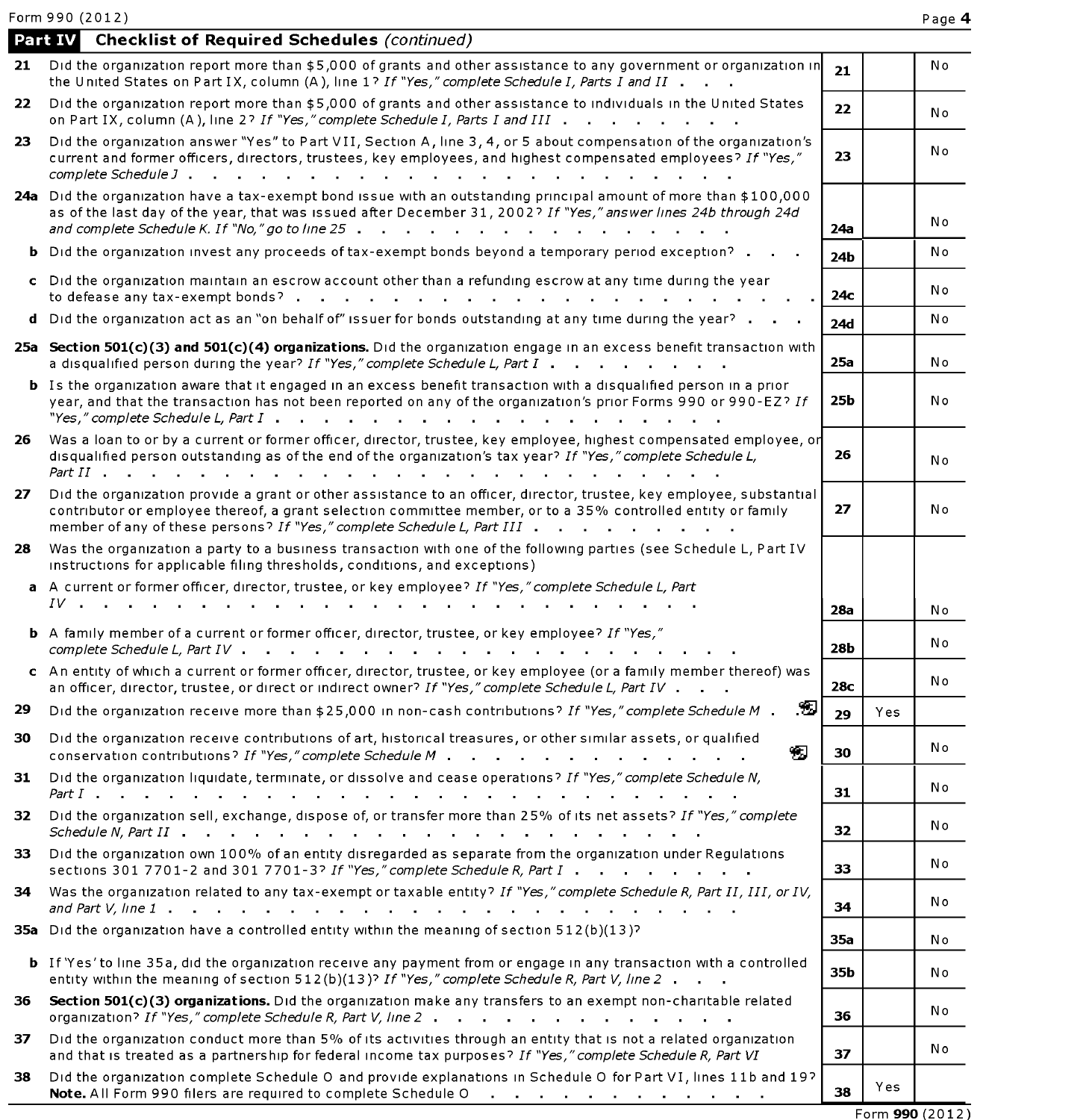Form 990 (2012)

|     | <b>Checklist of Required Schedules (continued)</b><br>Part IV                                                                                                                                                                                                                                                                                                                                         |            |     |    |
|-----|-------------------------------------------------------------------------------------------------------------------------------------------------------------------------------------------------------------------------------------------------------------------------------------------------------------------------------------------------------------------------------------------------------|------------|-----|----|
| 21  | Did the organization report more than \$5,000 of grants and other assistance to any government or organization in<br>the United States on Part IX, column (A), line 1? If "Yes," complete Schedule I, Parts I and II                                                                                                                                                                                  | 21         |     | Νo |
| 22  | Did the organization report more than \$5,000 of grants and other assistance to individuals in the United States<br>on Part IX, column (A), line 2? If "Yes," complete Schedule I, Parts I and III                                                                                                                                                                                                    | 22         |     | No |
| 23  | Did the organization answer "Yes" to Part VII, Section A, line 3, 4, or 5 about compensation of the organization's<br>current and former officers, directors, trustees, key employees, and highest compensated employees? If "Yes,"<br>complete Schedule J.<br><b>Contract</b>                                                                                                                        | 23         |     | No |
|     | 24a Did the organization have a tax-exempt bond issue with an outstanding principal amount of more than \$100,000<br>as of the last day of the year, that was issued after December 31, 2002? If "Yes," answer lines 24b through 24d<br>and complete Schedule K. If "No," go to line 25.<br>and a series of the contract of the contract of the                                                       | 24a        |     | No |
|     | <b>b</b> Did the organization invest any proceeds of tax-exempt bonds beyond a temporary period exception?                                                                                                                                                                                                                                                                                            | 24b        |     | Νo |
|     | c Did the organization maintain an escrow account other than a refunding escrow at any time during the year<br>to defease any tax-exempt bonds?                                                                                                                                                                                                                                                       | 24c        |     | No |
| d   | Did the organization act as an "on behalf of" issuer for bonds outstanding at any time during the year?                                                                                                                                                                                                                                                                                               | <b>24d</b> |     | No |
|     | 25a Section 501(c)(3) and 501(c)(4) organizations. Did the organization engage in an excess benefit transaction with<br>a disqualified person during the year? If "Yes," complete Schedule L, Part I                                                                                                                                                                                                  | 25a        |     | No |
|     | <b>b</b> Is the organization aware that it engaged in an excess benefit transaction with a disqualified person in a prior<br>year, and that the transaction has not been reported on any of the organization's prior Forms 990 or 990-EZ? If<br>"Yes," complete Schedule L, Part I<br>and the state of the state of the state of the state of the state of the state of the state of the state of the | 25b        |     | No |
| 26  | Was a loan to or by a current or former officer, director, trustee, key employee, highest compensated employee, or<br>disqualified person outstanding as of the end of the organization's tax year? If "Yes," complete Schedule L,<br>Part II .                                                                                                                                                       | 26         |     | No |
| 27  | Did the organization provide a grant or other assistance to an officer, director, trustee, key employee, substantial<br>contributor or employee thereof, a grant selection committee member, or to a 35% controlled entity or family<br>member of any of these persons? If "Yes," complete Schedule L, Part III                                                                                       | 27         |     | No |
| 28  | Was the organization a party to a business transaction with one of the following parties (see Schedule L, Part IV<br>instructions for applicable filing thresholds, conditions, and exceptions)                                                                                                                                                                                                       |            |     |    |
|     | a A current or former officer, director, trustee, or key employee? If "Yes," complete Schedule L, Part<br>$IV \qquad \qquad \ldots$                                                                                                                                                                                                                                                                   | <b>28a</b> |     | Νo |
|     | <b>b</b> A family member of a current or former officer, director, trustee, or key employee? If "Yes,"<br>complete Schedule L, Part IV.                                                                                                                                                                                                                                                               | 28b        |     | No |
|     | c An entity of which a current or former officer, director, trustee, or key employee (or a family member thereof) was<br>an officer, director, trustee, or direct or indirect owner? If "Yes," complete Schedule L, Part IV .<br>$\sim$                                                                                                                                                               | 28c        |     | No |
| 29  | Ð<br>Did the organization receive more than \$25,000 in non-cash contributions? If "Yes," complete Schedule M.                                                                                                                                                                                                                                                                                        | 29         | Yes |    |
| 30  | Did the organization receive contributions of art, historical treasures, or other similar assets, or qualified<br>45<br>conservation contributions? If "Yes," complete Schedule M                                                                                                                                                                                                                     | 30         |     | No |
| 31. | Did the organization liquidate, terminate, or dissolve and cease operations? If "Yes," complete Schedule N,<br>Part I .<br>and a series of the contract of the contract of the contract of the contract of the contract of                                                                                                                                                                            | 31         |     | No |
| 32  | Did the organization sell, exchange, dispose of, or transfer more than 25% of its net assets? If "Yes," complete                                                                                                                                                                                                                                                                                      | 32         |     | No |
| 33  | Did the organization own 100% of an entity disregarded as separate from the organization under Regulations<br>sections 301 7701-2 and 301 7701-3? If "Yes," complete Schedule R, Part I                                                                                                                                                                                                               | 33         |     | No |
| 34  | Was the organization related to any tax-exempt or taxable entity? If "Yes," complete Schedule R, Part II, III, or IV,                                                                                                                                                                                                                                                                                 | 34         |     | No |
|     | 35a Did the organization have a controlled entity within the meaning of section 512(b)(13)?                                                                                                                                                                                                                                                                                                           | 35a        |     | No |
|     | <b>b</b> If 'Yes' to line 35a, did the organization receive any payment from or engage in any transaction with a controlled<br>entity within the meaning of section 512(b)(13)? If "Yes," complete Schedule R, Part V, line 2                                                                                                                                                                         | 35b        |     | No |
| 36. | Section 501(c)(3) organizations. Did the organization make any transfers to an exempt non-charitable related<br>organization? If "Yes," complete Schedule R, Part V, line 2                                                                                                                                                                                                                           | 36         |     | No |
| 37  | Did the organization conduct more than 5% of its activities through an entity that is not a related organization<br>and that is treated as a partnership for federal income tax purposes? If "Yes," complete Schedule R, Part VI                                                                                                                                                                      | 37         |     | No |
| 38. | Did the organization complete Schedule O and provide explanations in Schedule O for Part VI, lines 11b and 19?<br>Note. All Form 990 filers are required to complete Schedule O                                                                                                                                                                                                                       | 38         | Yes |    |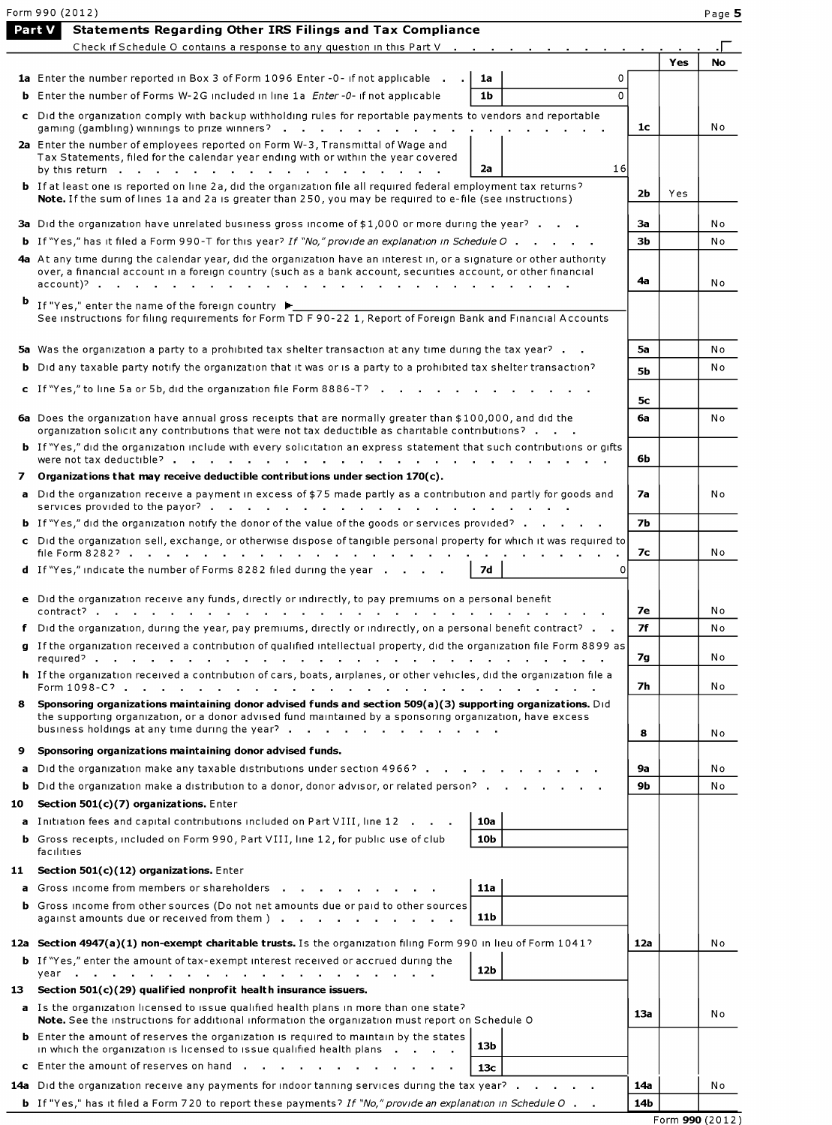|        | Form 990 (2012)                                                                                                                                                                                                                        |           |     | Page 5    |
|--------|----------------------------------------------------------------------------------------------------------------------------------------------------------------------------------------------------------------------------------------|-----------|-----|-----------|
|        | <b>Statements Regarding Other IRS Filings and Tax Compliance</b><br>Part V                                                                                                                                                             |           |     |           |
|        | Check if Schedule O contains a response to any question in this Part V                                                                                                                                                                 |           |     | <b>No</b> |
|        | 1a Enter the number reported in Box 3 of Form 1096 Enter -0- if not applicable<br>1a<br>0                                                                                                                                              |           | Yes |           |
|        | 1 <sub>b</sub><br>$\Omega$<br><b>b</b> Enter the number of Forms W-2G included in line 1a <i>Enter -0-</i> if not applicable                                                                                                           |           |     |           |
|        | c Did the organization comply with backup withholding rules for reportable payments to vendors and reportable                                                                                                                          | 1с        |     | No        |
|        | gaming (gambling) winnings to prize winners?<br>2a Enter the number of employees reported on Form W-3, Transmittal of Wage and<br>Tax Statements, filed for the calendar year ending with or within the year covered                   |           |     |           |
|        | 16<br>2a<br>by this return .                                                                                                                                                                                                           |           |     |           |
|        | <b>b</b> If at least one is reported on line 2a, did the organization file all required federal employment tax returns?<br>Note. If the sum of lines 1a and 2a is greater than 250, you may be required to e-file (see instructions)   | 2b        | Yes |           |
|        | 3a Did the organization have unrelated business gross income of \$1,000 or more during the year?                                                                                                                                       | Зa        |     | N o       |
|        | <b>b</b> If "Yes," has it filed a Form 990-T for this year? If "No," provide an explanation in Schedule O                                                                                                                              | Зb        |     | No        |
|        | 4a At any time during the calendar year, did the organization have an interest in, or a signature or other authority<br>over, a financial account in a foreign country (such as a bank account, securities account, or other financial |           |     |           |
| b      |                                                                                                                                                                                                                                        | 4a        |     | No        |
|        | If "Yes," enter the name of the foreign country ▶<br>See instructions for filing requirements for Form TD F 90-22 1, Report of Foreign Bank and Financial Accounts                                                                     |           |     |           |
|        | 5a Was the organization a party to a prohibited tax shelter transaction at any time during the tax year?                                                                                                                               | 5a        |     | No        |
|        | <b>b</b> Did any taxable party notify the organization that it was or is a party to a prohibited tax shelter transaction?                                                                                                              | <b>5b</b> |     | No        |
|        | c If "Yes," to line 5a or 5b, did the organization file Form 8886-T?                                                                                                                                                                   |           |     |           |
|        | 6a Does the organization have annual gross receipts that are normally greater than \$100,000, and did the                                                                                                                              | 5с<br>6a  |     | No        |
|        | organization solicit any contributions that were not tax deductible as charitable contributions?<br>b If "Yes," did the organization include with every solicitation an express statement that such contributions or gifts             |           |     |           |
|        | were not tax deductible?                                                                                                                                                                                                               | 6b        |     |           |
| 7<br>a | Organizations that may receive deductible contributions under section $170(c)$ .<br>Did the organization receive a payment in excess of \$75 made partly as a contribution and partly for goods and                                    | 7a        |     | No        |
|        | services provided to the payor?                                                                                                                                                                                                        |           |     |           |
|        | <b>b</b> If "Yes," did the organization notify the donor of the value of the goods or services provided?<br>c Did the organization sell, exchange, or otherwise dispose of tangible personal property for which it was required to     | <b>7b</b> |     |           |
|        | file Form 8282?                                                                                                                                                                                                                        | 7с        |     | N o       |
|        | d If "Yes," indicate the number of Forms 8282 filed during the year<br>7d<br>O                                                                                                                                                         |           |     |           |
|        | e Did the organization receive any funds, directly or indirectly, to pay premiums on a personal benefit                                                                                                                                | 7е        |     | N o       |
|        | f Did the organization, during the year, pay premiums, directly or indirectly, on a personal benefit contract?                                                                                                                         | 7f        |     | No        |
|        | g If the organization received a contribution of qualified intellectual property, did the organization file Form 8899 as                                                                                                               | 7g        |     | No        |
|        | h If the organization received a contribution of cars, boats, airplanes, or other vehicles, did the organization file a                                                                                                                | 7h        |     | No.       |
|        | Sponsoring organizations maintaining donor advised funds and section 509(a)(3) supporting organizations. Did<br>the supporting organization, or a donor advised fund maintained by a sponsoring organization, have excess              |           |     |           |
|        | business holdings at any time during the year?                                                                                                                                                                                         | 8         |     | No        |
| 9      | Sponsoring organizations maintaining donor advised funds.                                                                                                                                                                              |           |     |           |
| a      | Did the organization make any taxable distributions under section 4966?                                                                                                                                                                | <b>9a</b> |     | No        |
| b.     | Did the organization make a distribution to a donor, donor advisor, or related person?                                                                                                                                                 | 9b        |     | N o       |
| 10     | Section $501(c)(7)$ organizations. Enter                                                                                                                                                                                               |           |     |           |
|        | a Initiation fees and capital contributions included on Part VIII, line 12<br>10a<br><b>b</b> Gross receipts, included on Form 990, Part VIII, line 12, for public use of club<br>10 <sub>b</sub>                                      |           |     |           |
|        | facilities                                                                                                                                                                                                                             |           |     |           |
|        | 11 Section 501(c)(12) organizations. Enter<br>a Gross income from members or shareholders<br><b>11a</b>                                                                                                                                |           |     |           |
|        | <b>b</b> Gross income from other sources (Do not net amounts due or paid to other sources<br>11 <sub>b</sub>                                                                                                                           |           |     |           |
|        | against amounts due or received from them )                                                                                                                                                                                            |           |     |           |
|        | 12a Section 4947(a)(1) non-exempt charitable trusts. Is the organization filing Form 990 in lieu of Form 1041?<br><b>b</b> If "Yes," enter the amount of tax-exempt interest received or accrued during the                            | 12a       |     | No        |
|        | 12b<br>year                                                                                                                                                                                                                            |           |     |           |
| 13     | Section 501(c)(29) qualified nonprofit health insurance issuers.                                                                                                                                                                       |           |     |           |
|        | a Is the organization licensed to issue qualified health plans in more than one state?<br>Note. See the instructions for additional information the organization must report on Schedule O                                             | 13a       |     | No        |
|        | <b>b</b> Enter the amount of reserves the organization is required to maintain by the states<br>13 <sub>b</sub><br>in which the organization is licensed to issue qualified health plans                                               |           |     |           |
|        | c Enter the amount of reserves on hand<br>13с                                                                                                                                                                                          |           |     |           |
|        | 14a Did the organization receive any payments for indoor tanning services during the tax year?                                                                                                                                         | 14a       |     | No        |
|        | <b>b</b> If "Yes," has it filed a Form 720 to report these payments? If "No," provide an explanation in Schedule O                                                                                                                     | 14b       |     |           |

Form  $990(2012)$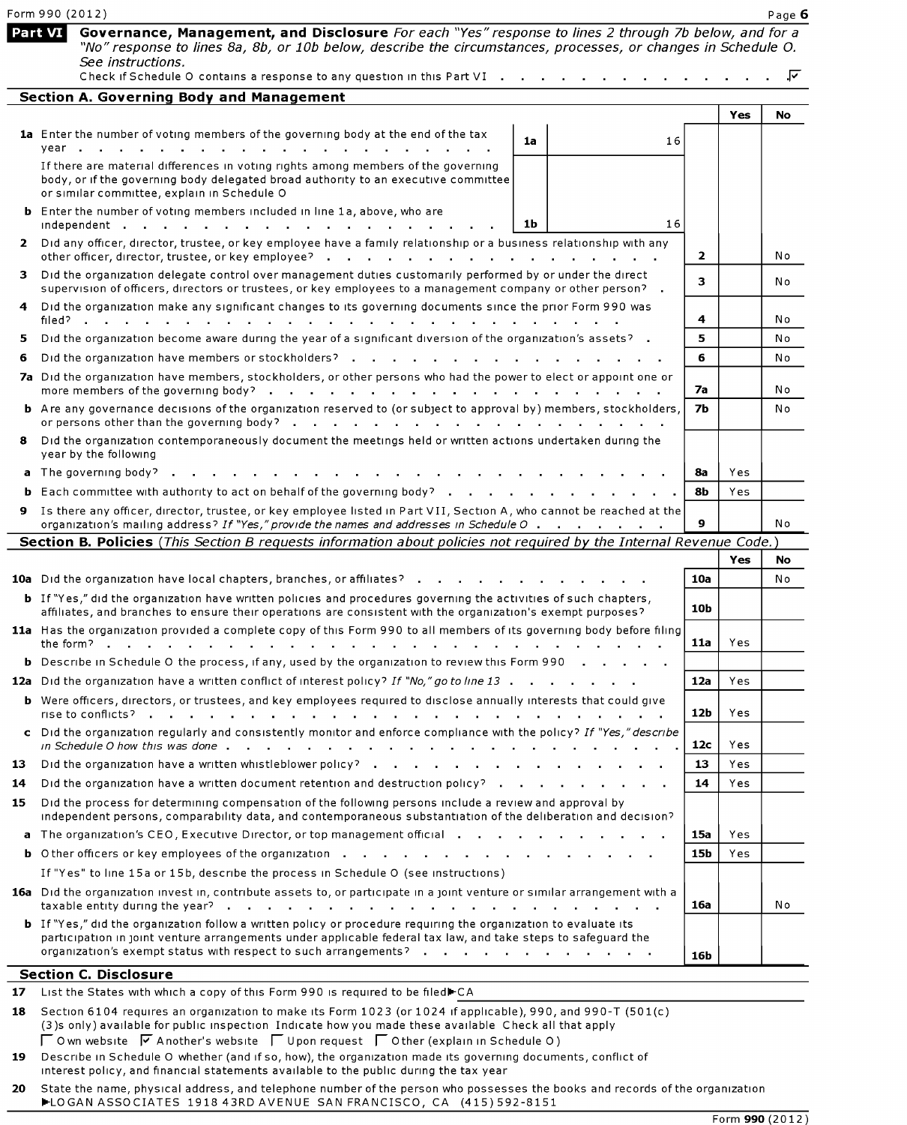|                | Form 990 (2012)                                                                                                                                                                                                                                                                                             |                 |            | Page 6    |
|----------------|-------------------------------------------------------------------------------------------------------------------------------------------------------------------------------------------------------------------------------------------------------------------------------------------------------------|-----------------|------------|-----------|
| <b>Part VI</b> | Governance, Management, and Disclosure For each "Yes" response to lines 2 through 7b below, and for a<br>"No" response to lines 8a, 8b, or 10b below, describe the circumstances, processes, or changes in Schedule O.<br>See instructions.                                                                 |                 |            | .⊽        |
|                | Check if Schedule O contains a response to any question in this Part VI<br><b>Section A. Governing Body and Management</b>                                                                                                                                                                                  |                 |            |           |
|                |                                                                                                                                                                                                                                                                                                             |                 | Yes        | <b>No</b> |
|                | 1a Enter the number of voting members of the governing body at the end of the tax<br>1a<br>16                                                                                                                                                                                                               |                 |            |           |
|                | If there are material differences in voting rights among members of the governing<br>body, or if the governing body delegated broad authority to an executive committee<br>or similar committee, explain in Schedule O                                                                                      |                 |            |           |
|                | <b>b</b> Enter the number of voting members included in line 1a, above, who are<br>1b<br>16                                                                                                                                                                                                                 |                 |            |           |
| 2              | Did any officer, director, trustee, or key employee have a family relationship or a business relationship with any<br>other officer, director, trustee, or key employee?                                                                                                                                    | $\overline{2}$  |            | No        |
| з.             | Did the organization delegate control over management duties customarily performed by or under the direct<br>supervision of officers, directors or trustees, or key employees to a management company or other person? .                                                                                    | 3               |            | N o       |
|                | Did the organization make any significant changes to its governing documents since the prior Form 990 was                                                                                                                                                                                                   | 4               |            | No        |
| 5              | Did the organization become aware during the year of a significant diversion of the organization's assets? .                                                                                                                                                                                                | 5               |            | N o       |
| 6              | Did the organization have members or stockholders?                                                                                                                                                                                                                                                          | 6               |            | No        |
|                | 7a Did the organization have members, stockholders, or other persons who had the power to elect or appoint one or<br>more members of the governing body? $\cdots$ $\cdots$ $\cdots$ $\cdots$ $\cdots$ $\cdots$ $\cdots$ $\cdots$ $\cdots$                                                                   | 7a              |            | No        |
|                | <b>b</b> Are any governance decisions of the organization reserved to (or subject to approval by) members, stockholders,                                                                                                                                                                                    | 7b              |            | No        |
| 8.             | Did the organization contemporaneously document the meetings held or written actions undertaken during the<br>year by the following                                                                                                                                                                         |                 |            |           |
|                | <b>a</b> The governing body?.                                                                                                                                                                                                                                                                               | 8а              | Yes        |           |
|                | <b>b</b> Each committee with authority to act on behalf of the governing body?                                                                                                                                                                                                                              | 8b              | Yes        |           |
|                | 9 Is there any officer, director, trustee, or key employee listed in Part VII, Section A, who cannot be reached at the<br>organization's mailing address? If "Yes," provide the names and addresses in Schedule O                                                                                           | 9               |            | No        |
|                | Section B. Policies (This Section B requests information about policies not required by the Internal Revenue Code.)                                                                                                                                                                                         |                 |            |           |
|                |                                                                                                                                                                                                                                                                                                             |                 | <b>Yes</b> | No        |
|                | <b>10a</b> Did the organization have local chapters, branches, or affiliates?<br><b>b</b> If "Yes," did the organization have written policies and procedures governing the activities of such chapters,                                                                                                    | 10a             |            | Νo        |
|                | affiliates, and branches to ensure their operations are consistent with the organization's exempt purposes?<br>11a Has the organization provided a complete copy of this Form 990 to all members of its governing body before filing                                                                        | 10 <sub>b</sub> |            |           |
|                | the form? $\blacksquare$<br>and the state of the state of the<br><b>b</b> Describe in Schedule O the process, if any, used by the organization to review this Form 990                                                                                                                                      | <b>11a</b>      | Yes        |           |
|                | 12a Did the organization have a written conflict of interest policy? If "No," go to line 13                                                                                                                                                                                                                 | 12a             | <b>Yes</b> |           |
|                | <b>b</b> Were officers, directors, or trustees, and key employees required to disclose annually interests that could give<br>rise to conflicts?                                                                                                                                                             | 12b             | Yes        |           |
|                | c Did the organization regularly and consistently monitor and enforce compliance with the policy? If "Yes," describe                                                                                                                                                                                        | 12 <sub>c</sub> | Yes        |           |
| 13.            |                                                                                                                                                                                                                                                                                                             | 13              | Yes        |           |
| 14             | Did the organization have a written document retention and destruction policy?                                                                                                                                                                                                                              | 14              | Yes        |           |
| 15.            | Did the process for determining compensation of the following persons include a review and approval by<br>independent persons, comparability data, and contemporaneous substantiation of the deliberation and decision?                                                                                     |                 |            |           |
| a              | The organization's CEO, Executive Director, or top management official enterstance and containing the contact of                                                                                                                                                                                            | 15a             | Yes        |           |
|                |                                                                                                                                                                                                                                                                                                             | 15b             | Yes        |           |
|                | If "Yes" to line 15a or 15b, describe the process in Schedule O (see instructions)                                                                                                                                                                                                                          |                 |            |           |
|                | 16a Did the organization invest in, contribute assets to, or participate in a joint venture or similar arrangement with a<br>taxable entity during the year?<br>$\sim$<br>the contract of the contract of the contract of the contract of the contract of the contract of the contract of                   | 16a             |            | No        |
|                | <b>b</b> If "Yes," did the organization follow a written policy or procedure requiring the organization to evaluate its<br>participation in joint venture arrangements under applicable federal tax law, and take steps to safeguard the<br>organization's exempt status with respect to such arrangements? | 16b             |            |           |
|                | <b>Section C. Disclosure</b>                                                                                                                                                                                                                                                                                |                 |            |           |
|                | 17 List the States with which a copy of this Form 990 is required to be filed CA                                                                                                                                                                                                                            |                 |            |           |

| 18 Section 6104 requires an organization to make its Form 1023 (or 1024 if applicable), 990, and 990-T (501(c) |
|----------------------------------------------------------------------------------------------------------------|
| (3) sonly) available for public inspection Indicate how you made these available Check all that apply          |
| $\Box$ O wn website $\Box$ A nother's website $\Box$ U pon request $\Box$ O ther (explain in Schedule O)       |
| 10 December 5 Schodule Quibother (and if so bould the erganization made its governing desumants, septiet of    |

Describe in Schedule O whether (and if so, how), the organization made its governing documents, conflict of 19 interest policy, and financial statements available to the public during the tax year

 $20$ State the name, physical address, and telephone number of the person who possesses the books and records of the organization FLOGAN ASSOCIATES 1918 43RD AVENUE SAN FRANCISCO, CA (415) 592-8151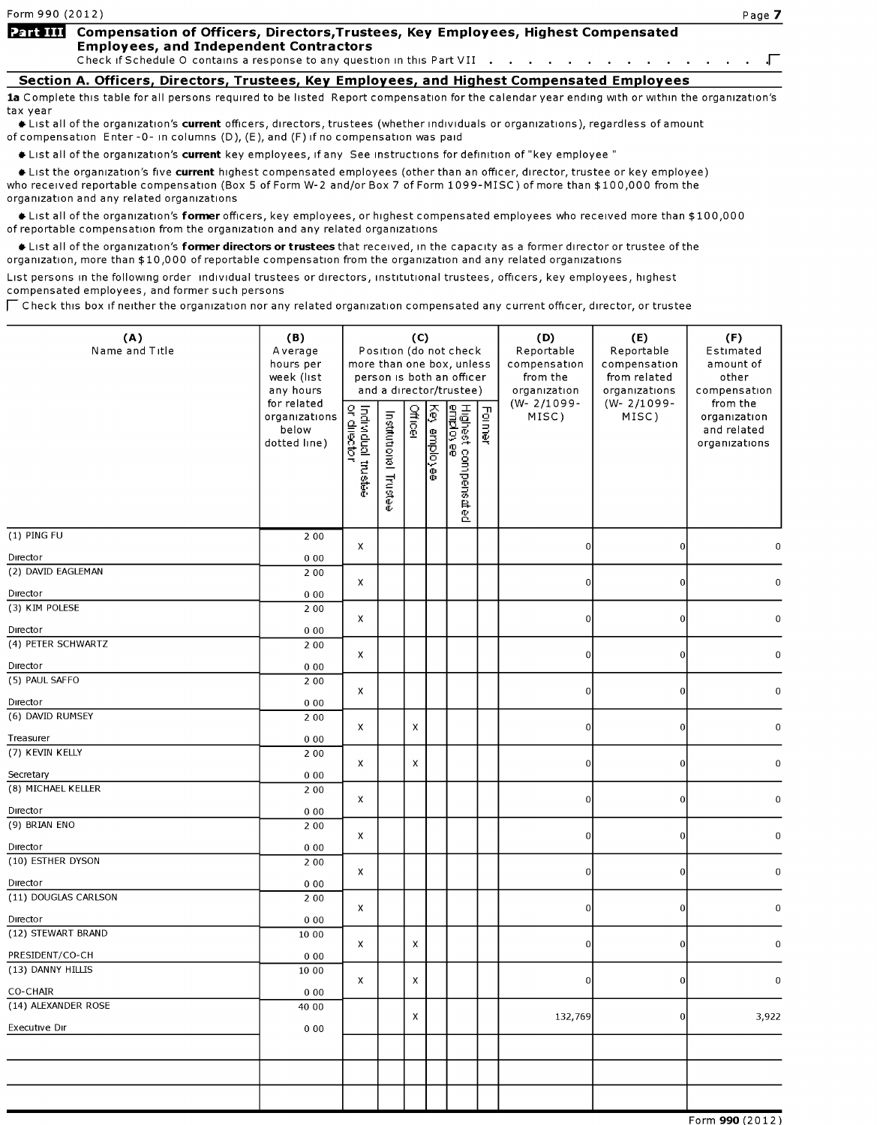Г

# Part III Compensation of Officers, Directors, Trustees, Key Employees, Highest Compensated Employees, and Independent Contractors

Check if Schedule O contains a response to any question in this Part VII . . . . . . . . . . . . . . . . .

Section A. Officers, Directors, Trustees, Key Employees, and Highest Compensated Employees 1a Complete this table for all persons required to be listed Report compensation for the calendar year ending with or within the organization's tax year

tax year<br>International of the organization's **current** officers, directors, trustees (whether individuals or organizations), regardless of amount of amount of amount of amount of amount of amount of amount of amount of amo of compensation Enter - 0- in columns (D), (E), and (F) if no compensation was paid

If List all of the organization's current key employees, if any See instructions for definition of "key employee"

Itst the organization's five current highest compensated employees (other than an officer, director, trustee or key employee) who received reportable compensation (Box 5 of Form W-2 and/or Box 7 of Form 1099-MISC) of more than \$100,000 from the organization and any related organizations

+ List all of the organization's former officers, key employees, or highest compensated employees who received more than \$100,000 of reportable compensation from the organization and any related organizations

Itst all of the organization's former directors or trustees that received, in the capacity as a former director or trustee of the organization, more than \$10,000 of reportable compensation from the organization and any related organizations

organization, more than \$10,000 or reportable compensation nom the organization and any related organizations<br>List persons in the following order -individual trustees or directors, institutional trustees, officers, key emp

(A) (B) (C) (D) (E) (F)

| (A)<br>Name and Title            | (B)<br>Average<br>hours per<br>week (list<br>any hours | more than one box, unless         |                                | (C)     |              | Position (do not check<br>person is both an officer<br>and a director/trustee) |        | (D)<br>Reportable<br>compensation<br>from the<br>organization | (E)<br>Reportable<br>compensation<br>from related<br>organizations | (F)<br>Estimated<br>amount of<br>other<br>compensation   |
|----------------------------------|--------------------------------------------------------|-----------------------------------|--------------------------------|---------|--------------|--------------------------------------------------------------------------------|--------|---------------------------------------------------------------|--------------------------------------------------------------------|----------------------------------------------------------|
|                                  | for related<br>organizations<br>below<br>dotted line)  | Individual trustee<br>or director | Institutional<br><b>Fustee</b> | Officer | Key employee | Highest compensated<br><u>employee</u>                                         | Former | $(W - 2/1099 -$<br>MISC)                                      | $(W - 2/1099 -$<br>MISC)                                           | from the<br>organization<br>and related<br>organizations |
| (1) PING FU                      | 2 0 0                                                  | х                                 |                                |         |              |                                                                                |        | $\overline{0}$                                                | 0                                                                  | 0                                                        |
| Director                         | 000                                                    |                                   |                                |         |              |                                                                                |        |                                                               |                                                                    |                                                          |
| (2) DAVID EAGLEMAN               | 2 0 0                                                  | X                                 |                                |         |              |                                                                                |        | $\overline{0}$                                                | 0                                                                  | 0                                                        |
| Director                         | 000                                                    |                                   |                                |         |              |                                                                                |        |                                                               |                                                                    |                                                          |
| (3) KIM POLESE                   | 2 0 0                                                  |                                   |                                |         |              |                                                                                |        |                                                               |                                                                    |                                                          |
| Director                         | 000                                                    | X                                 |                                |         |              |                                                                                |        | $\overline{0}$                                                | $\bf{0}$                                                           | $\boldsymbol{0}$                                         |
| (4) PETER SCHWARTZ               | 2 0 0                                                  |                                   |                                |         |              |                                                                                |        |                                                               |                                                                    |                                                          |
| Director                         | 000                                                    | X                                 |                                |         |              |                                                                                |        | $\overline{0}$                                                | 0                                                                  | 0                                                        |
| (5) PAUL SAFFO                   | 2 0 0                                                  |                                   |                                |         |              |                                                                                |        |                                                               |                                                                    |                                                          |
|                                  |                                                        | X                                 |                                |         |              |                                                                                |        | $\overline{0}$                                                | 0                                                                  | $\mathbf 0$                                              |
| Director<br>(6) DAVID RUMSEY     | 000<br>2 0 0                                           |                                   |                                |         |              |                                                                                |        |                                                               |                                                                    |                                                          |
|                                  |                                                        | X                                 |                                | X       |              |                                                                                |        | $\overline{0}$                                                | 0                                                                  | 0                                                        |
| Treasurer                        | 000                                                    |                                   |                                |         |              |                                                                                |        |                                                               |                                                                    |                                                          |
| (7) KEVIN KELLY                  | 2 0 0                                                  | x                                 |                                | x       |              |                                                                                |        | $\overline{0}$                                                | $\Omega$                                                           | $\mathbf 0$                                              |
| Secretary                        | 000                                                    |                                   |                                |         |              |                                                                                |        |                                                               |                                                                    |                                                          |
| (8) MICHAEL KELLER               | 2 0 0                                                  | X                                 |                                |         |              |                                                                                |        | $\overline{0}$                                                | <sub>0</sub>                                                       | 0                                                        |
| Director                         | 000                                                    |                                   |                                |         |              |                                                                                |        |                                                               |                                                                    |                                                          |
| (9) BRIAN ENO                    | 2 0 0                                                  |                                   |                                |         |              |                                                                                |        |                                                               |                                                                    |                                                          |
| Director                         | 000                                                    | X                                 |                                |         |              |                                                                                |        | $\overline{0}$                                                | 0                                                                  | 0                                                        |
| (10) ESTHER DYSON                | 2 0 0                                                  |                                   |                                |         |              |                                                                                |        |                                                               |                                                                    |                                                          |
|                                  |                                                        | X                                 |                                |         |              |                                                                                |        | $\boldsymbol{0}$                                              | 0                                                                  | $\boldsymbol{0}$                                         |
| Director<br>(11) DOUGLAS CARLSON | 000<br>2 0 0                                           |                                   |                                |         |              |                                                                                |        |                                                               |                                                                    |                                                          |
|                                  |                                                        | X.                                |                                |         |              |                                                                                |        | ΩI                                                            | ΩI                                                                 |                                                          |
| Director                         | 000                                                    |                                   |                                |         |              |                                                                                |        |                                                               |                                                                    |                                                          |
| (12) STEWART BRAND               | 10 00                                                  | x                                 |                                | x       |              |                                                                                |        | 0                                                             | 0                                                                  | 0                                                        |
| PRESIDENT/CO-CH                  | 000                                                    |                                   |                                |         |              |                                                                                |        |                                                               |                                                                    |                                                          |
| (13) DANNY HILLIS                | 10 00                                                  | X                                 |                                | X       |              |                                                                                |        | 0                                                             | $\Omega$                                                           | 0                                                        |
| CO-CHAIR                         | 000                                                    |                                   |                                |         |              |                                                                                |        |                                                               |                                                                    |                                                          |
| (14) ALEXANDER ROSE              | 40 00                                                  |                                   |                                |         |              |                                                                                |        |                                                               |                                                                    |                                                          |
| Executive Dir                    | 000                                                    |                                   |                                | x       |              |                                                                                |        | 132,769                                                       | 0                                                                  | 3,922                                                    |
|                                  |                                                        |                                   |                                |         |              |                                                                                |        |                                                               |                                                                    |                                                          |
|                                  |                                                        |                                   |                                |         |              |                                                                                |        |                                                               |                                                                    |                                                          |
|                                  |                                                        |                                   |                                |         |              |                                                                                |        |                                                               |                                                                    |                                                          |
|                                  |                                                        |                                   |                                |         |              |                                                                                |        |                                                               |                                                                    |                                                          |
|                                  |                                                        |                                   |                                |         |              |                                                                                |        |                                                               |                                                                    | $T_{\text{atm}}$ 000 (2012)                              |

Form 990 (2012)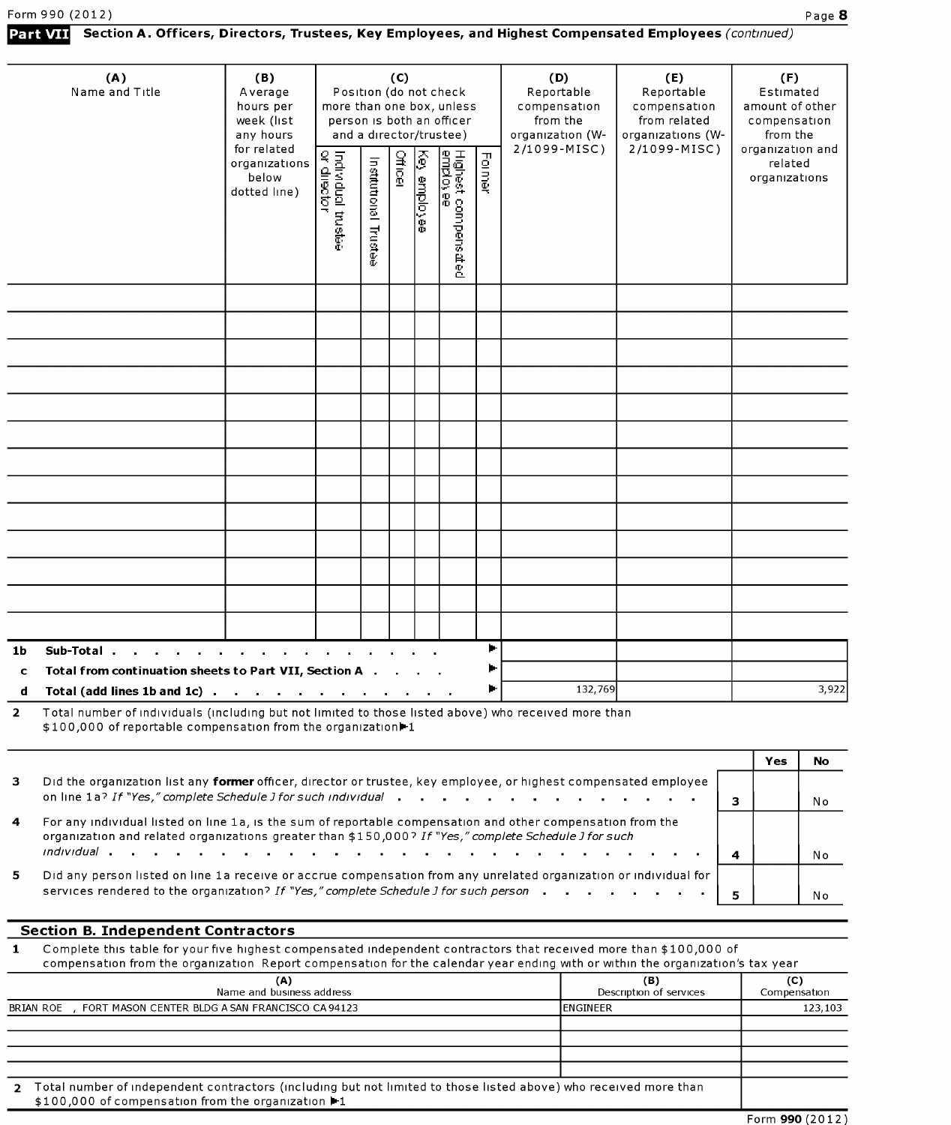## Section A. Officers, Directors, Trustees, Key Employees, and Highest Compensated Employees (continued)

|                | (A)<br>Name and Title                                                                                                                                                               | (B)<br>Average<br>hours per<br>week (list<br>any hours | more than one box, unless         |                                | (C)            |              | Position (do not check<br>person is both an officer<br>and a director/trustee) |                                   | (D)<br>Reportable<br>compensation<br>from the<br>organization (W- | (E)<br>Reportable<br>compensation<br>from related<br>organizations (W- |              | (F)<br>Estimated<br>amount of other<br>compensation<br>from the |       |
|----------------|-------------------------------------------------------------------------------------------------------------------------------------------------------------------------------------|--------------------------------------------------------|-----------------------------------|--------------------------------|----------------|--------------|--------------------------------------------------------------------------------|-----------------------------------|-------------------------------------------------------------------|------------------------------------------------------------------------|--------------|-----------------------------------------------------------------|-------|
|                |                                                                                                                                                                                     | for related<br>organizations<br>below<br>dotted line)  | Individual trustee<br>or diisctor | Institutional<br><b>Fustee</b> | <b>Officer</b> | Key employee | Highest compensated<br><u>emplosee</u>                                         | <b>Former</b>                     | 2/1099-MISC)                                                      | 2/1099-MISC)                                                           |              | organization and<br>related<br>organizations                    |       |
|                |                                                                                                                                                                                     |                                                        |                                   |                                |                |              |                                                                                |                                   |                                                                   |                                                                        |              |                                                                 |       |
|                |                                                                                                                                                                                     |                                                        |                                   |                                |                |              |                                                                                |                                   |                                                                   |                                                                        |              |                                                                 |       |
|                |                                                                                                                                                                                     |                                                        |                                   |                                |                |              |                                                                                |                                   |                                                                   |                                                                        |              |                                                                 |       |
|                |                                                                                                                                                                                     |                                                        |                                   |                                |                |              |                                                                                |                                   |                                                                   |                                                                        |              |                                                                 |       |
|                |                                                                                                                                                                                     |                                                        |                                   |                                |                |              |                                                                                |                                   |                                                                   |                                                                        |              |                                                                 |       |
|                |                                                                                                                                                                                     |                                                        |                                   |                                |                |              |                                                                                |                                   |                                                                   |                                                                        |              |                                                                 |       |
|                |                                                                                                                                                                                     |                                                        |                                   |                                |                |              |                                                                                |                                   |                                                                   |                                                                        |              |                                                                 |       |
|                |                                                                                                                                                                                     |                                                        |                                   |                                |                |              |                                                                                |                                   |                                                                   |                                                                        |              |                                                                 |       |
|                |                                                                                                                                                                                     |                                                        |                                   |                                |                |              |                                                                                |                                   |                                                                   |                                                                        |              |                                                                 |       |
|                |                                                                                                                                                                                     |                                                        |                                   |                                |                |              |                                                                                |                                   |                                                                   |                                                                        |              |                                                                 |       |
|                |                                                                                                                                                                                     |                                                        |                                   |                                |                |              |                                                                                |                                   |                                                                   |                                                                        |              |                                                                 |       |
|                |                                                                                                                                                                                     |                                                        |                                   |                                |                |              |                                                                                |                                   |                                                                   |                                                                        |              |                                                                 |       |
|                |                                                                                                                                                                                     |                                                        |                                   |                                |                |              |                                                                                |                                   |                                                                   |                                                                        |              |                                                                 |       |
|                |                                                                                                                                                                                     |                                                        |                                   |                                |                |              |                                                                                |                                   |                                                                   |                                                                        |              |                                                                 |       |
| 1b             | Sub-Total.                                                                                                                                                                          |                                                        |                                   |                                |                |              |                                                                                | ►                                 |                                                                   |                                                                        |              |                                                                 |       |
| c              | Total from continuation sheets to Part VII, Section A .                                                                                                                             |                                                        |                                   |                                |                |              |                                                                                |                                   |                                                                   |                                                                        |              |                                                                 |       |
|                | Total (add lines 1b and 1c) $\ldots$ $\ldots$ $\ldots$ $\ldots$ $\ldots$ $\ldots$                                                                                                   |                                                        |                                   |                                |                |              |                                                                                | ►                                 | 132,769                                                           |                                                                        |              |                                                                 | 3,922 |
| $\overline{2}$ | Total number of individuals (including but not limited to those listed above) who received more than<br>\$100,000 of reportable compensation from the organization <sup>1</sup>     |                                                        |                                   |                                |                |              |                                                                                |                                   |                                                                   |                                                                        |              |                                                                 |       |
|                |                                                                                                                                                                                     |                                                        |                                   |                                |                |              |                                                                                |                                   |                                                                   |                                                                        |              | Yes                                                             | No    |
| 3              | Did the organization list any former officer, director or trustee, key employee, or highest compensated employee<br>on line 1a? If "Yes," complete Schedule J for such individual . |                                                        |                                   |                                |                |              |                                                                                | <b>Contract Contract Contract</b> |                                                                   |                                                                        | $\mathbf{3}$ |                                                                 | N o   |
| 4              | For any individual listed on line 1a, is the sum of reportable compensation and other compensation from the                                                                         |                                                        |                                   |                                |                |              |                                                                                |                                   |                                                                   |                                                                        |              |                                                                 |       |

organization and related organizations greater than \$150,000? If "Yes," complete Schedule J for such individual . . . . . . . . . . . . . . . . the contract of the contract  $\mathbf{r}$  $\overline{\mathbf{4}}$ No 5 Did any person listed on line 1a receive or accrue compensation from any unrelated organization or individual for services rendered to the organization? If "Yes" complete Schedule I for such person No competition from the organization  $R$  ,  $\lambda$   $\mu$  the procedure  $\lambda$  or  $\mu$  the organization  $\lambda$   $\lambda$   $\lambda$ 

(A) (B) (C)

#### Section B. Independent Contractors

1 Complete this table for your five highest compensated independent contractors that received more than \$100,000 of compensation from the organization Report compensation for the calendar year ending with or within the organization's tax year

| (A)<br>Name and business address                                                                                                                                                   | (B)<br>Description of services | (C)<br>Compensation |
|------------------------------------------------------------------------------------------------------------------------------------------------------------------------------------|--------------------------------|---------------------|
|                                                                                                                                                                                    |                                |                     |
| BRIAN ROE<br>, FORT MASON CENTER BLDG A SAN FRANCISCO CA 94123                                                                                                                     | IENGINEER                      | 123,103             |
|                                                                                                                                                                                    |                                |                     |
|                                                                                                                                                                                    |                                |                     |
|                                                                                                                                                                                    |                                |                     |
|                                                                                                                                                                                    |                                |                     |
| 2 Total number of independent contractors (including but not limited to those listed above) who received more than<br>\$100,000 of compensation from the organization <sup>1</sup> |                                |                     |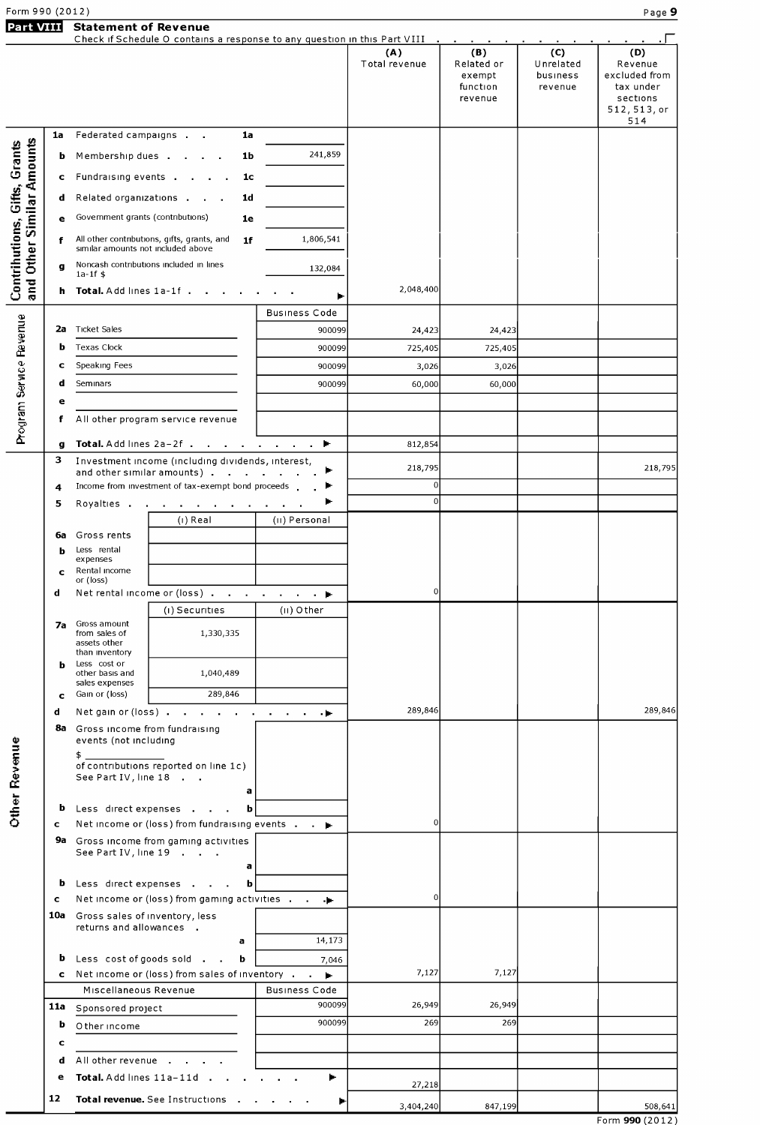| Form 990 (2012) |                                                                                                                |  |  |  |  |  |  |
|-----------------|----------------------------------------------------------------------------------------------------------------|--|--|--|--|--|--|
|                 | Part VIII Statement of Revenue                                                                                 |  |  |  |  |  |  |
|                 | Check if Schedule O contains a response to any question in this Part VIII (assets of a contact of a contact of |  |  |  |  |  |  |

| Check if Schedule O contains a response to any question in this Part VIII<br>(B)<br>(A)<br>(C)<br>(D)<br>Total revenue<br>Related or<br>Unrelated<br>Revenue<br>excluded from<br>exempt<br>business<br>function<br>tax under<br>revenue<br>sections<br>revenue<br>512, 513, or<br>514<br>Federated campaigns<br>1a<br>1a<br>and Other Similar Amounts<br>Contrihutions, Gifts, Grants<br>241,859<br>Membership dues .<br>1b<br>b<br>Fundraising events .<br>1c<br>c<br>Related organizations .<br>1d<br>d<br>Government grants (contributions)<br>1e<br>е<br>All other contributions, gifts, grants, and<br>1,806,541<br>1 <sub>f</sub><br>f<br>similar amounts not included above<br>Noncash contributions included in lines<br>$\mathbf{q}$<br>132,084<br>$1a-1f$ \$<br>2,048,400<br>Total. Add lines 1a-1f.<br>h.<br><b>Business Code</b><br>Program Service Revenue<br><b>Ticket Sales</b><br>2a<br>900099<br>24,423<br>24,423<br>Texas Clock<br>900099<br>b<br>725,405<br>725,405<br>Speaking Fees<br>900099<br>3,026<br>c<br>3,026<br>d<br>Seminars<br>900099<br>60,000<br>60,000<br>е<br>All other program service revenue<br>f<br>Total. Add lines 2a-2f<br>812,854<br>÷.<br>g<br>з<br>Investment income (including dividends, interest,<br>218,795<br>218,795<br>and other similar amounts).<br><b>Contract Contract</b><br>Income from investment of tax-exempt bond proceeds<br>$\Omega$<br>4<br>$\Omega$<br>Royalties .<br>5<br>(i) Real<br>(II) Personal<br>Gross rents<br>6а<br>Less rental<br>b<br>expenses<br>Rental income<br>c<br>or (loss)<br>Net rental income or (loss)<br>0<br>d<br>(i) Securities<br>(II) Other<br>Gross amount<br>7a<br>from sales of<br>1,330,335<br>assets other<br>than inventory<br>Less cost or<br>b<br>1,040,489<br>other basis and<br>sales expenses<br>289,846<br>Gain or (loss)<br>c<br>289,846<br>Net gain or (loss)<br>d<br>8a<br>Gross income from fundraising<br>events (not including<br><b>Other Revenue</b><br>\$.<br>of contributions reported on line 1c)<br>See Part IV, line 18<br>a<br>Less direct expenses<br>b<br>$\mathbf b$<br>$\Omega$<br>Net income or (loss) from fundraising events<br>c<br>Gross income from gaming activities<br>9а<br>See Part IV, line 19<br>a<br>b<br>Less direct expenses<br>$\mathbf b$<br>$\Omega$<br>Net income or (loss) from gaming activities<br>c<br>Gross sales of inventory, less<br>10a<br>returns and allowances .<br>14,173<br>a<br>Less cost of goods sold<br>b<br>b<br>7,046<br>7,127<br>7,127<br>Net income or (loss) from sales of inventory<br>c<br>Miscellaneous Revenue<br><b>Business Code</b><br>900099<br>26,949<br>26,949<br>11a<br>Sponsored project<br>900099<br>269<br>269<br>b<br>O ther income<br>c<br>All other revenue<br>d<br>Total. Add lines 11a-11d<br>Þ.<br>е<br>27,218<br>12<br>Total revenue. See Instructions<br>Þ<br>3,404,240<br>847,199 | <b>Part VIII</b> |  | <b>Statement of Revenue</b> |  |  |                             |
|-----------------------------------------------------------------------------------------------------------------------------------------------------------------------------------------------------------------------------------------------------------------------------------------------------------------------------------------------------------------------------------------------------------------------------------------------------------------------------------------------------------------------------------------------------------------------------------------------------------------------------------------------------------------------------------------------------------------------------------------------------------------------------------------------------------------------------------------------------------------------------------------------------------------------------------------------------------------------------------------------------------------------------------------------------------------------------------------------------------------------------------------------------------------------------------------------------------------------------------------------------------------------------------------------------------------------------------------------------------------------------------------------------------------------------------------------------------------------------------------------------------------------------------------------------------------------------------------------------------------------------------------------------------------------------------------------------------------------------------------------------------------------------------------------------------------------------------------------------------------------------------------------------------------------------------------------------------------------------------------------------------------------------------------------------------------------------------------------------------------------------------------------------------------------------------------------------------------------------------------------------------------------------------------------------------------------------------------------------------------------------------------------------------------------------------------------------------------------------------------------------------------------------------------------------------------------------------------------------------------------------------------------------------------------------------------------------------------------------------------------------------------------------------------------------------------------------------------------------------------------------|------------------|--|-----------------------------|--|--|-----------------------------|
|                                                                                                                                                                                                                                                                                                                                                                                                                                                                                                                                                                                                                                                                                                                                                                                                                                                                                                                                                                                                                                                                                                                                                                                                                                                                                                                                                                                                                                                                                                                                                                                                                                                                                                                                                                                                                                                                                                                                                                                                                                                                                                                                                                                                                                                                                                                                                                                                                                                                                                                                                                                                                                                                                                                                                                                                                                                                             |                  |  |                             |  |  |                             |
|                                                                                                                                                                                                                                                                                                                                                                                                                                                                                                                                                                                                                                                                                                                                                                                                                                                                                                                                                                                                                                                                                                                                                                                                                                                                                                                                                                                                                                                                                                                                                                                                                                                                                                                                                                                                                                                                                                                                                                                                                                                                                                                                                                                                                                                                                                                                                                                                                                                                                                                                                                                                                                                                                                                                                                                                                                                                             |                  |  |                             |  |  |                             |
|                                                                                                                                                                                                                                                                                                                                                                                                                                                                                                                                                                                                                                                                                                                                                                                                                                                                                                                                                                                                                                                                                                                                                                                                                                                                                                                                                                                                                                                                                                                                                                                                                                                                                                                                                                                                                                                                                                                                                                                                                                                                                                                                                                                                                                                                                                                                                                                                                                                                                                                                                                                                                                                                                                                                                                                                                                                                             |                  |  |                             |  |  |                             |
|                                                                                                                                                                                                                                                                                                                                                                                                                                                                                                                                                                                                                                                                                                                                                                                                                                                                                                                                                                                                                                                                                                                                                                                                                                                                                                                                                                                                                                                                                                                                                                                                                                                                                                                                                                                                                                                                                                                                                                                                                                                                                                                                                                                                                                                                                                                                                                                                                                                                                                                                                                                                                                                                                                                                                                                                                                                                             |                  |  |                             |  |  |                             |
|                                                                                                                                                                                                                                                                                                                                                                                                                                                                                                                                                                                                                                                                                                                                                                                                                                                                                                                                                                                                                                                                                                                                                                                                                                                                                                                                                                                                                                                                                                                                                                                                                                                                                                                                                                                                                                                                                                                                                                                                                                                                                                                                                                                                                                                                                                                                                                                                                                                                                                                                                                                                                                                                                                                                                                                                                                                                             |                  |  |                             |  |  |                             |
|                                                                                                                                                                                                                                                                                                                                                                                                                                                                                                                                                                                                                                                                                                                                                                                                                                                                                                                                                                                                                                                                                                                                                                                                                                                                                                                                                                                                                                                                                                                                                                                                                                                                                                                                                                                                                                                                                                                                                                                                                                                                                                                                                                                                                                                                                                                                                                                                                                                                                                                                                                                                                                                                                                                                                                                                                                                                             |                  |  |                             |  |  |                             |
|                                                                                                                                                                                                                                                                                                                                                                                                                                                                                                                                                                                                                                                                                                                                                                                                                                                                                                                                                                                                                                                                                                                                                                                                                                                                                                                                                                                                                                                                                                                                                                                                                                                                                                                                                                                                                                                                                                                                                                                                                                                                                                                                                                                                                                                                                                                                                                                                                                                                                                                                                                                                                                                                                                                                                                                                                                                                             |                  |  |                             |  |  |                             |
|                                                                                                                                                                                                                                                                                                                                                                                                                                                                                                                                                                                                                                                                                                                                                                                                                                                                                                                                                                                                                                                                                                                                                                                                                                                                                                                                                                                                                                                                                                                                                                                                                                                                                                                                                                                                                                                                                                                                                                                                                                                                                                                                                                                                                                                                                                                                                                                                                                                                                                                                                                                                                                                                                                                                                                                                                                                                             |                  |  |                             |  |  |                             |
|                                                                                                                                                                                                                                                                                                                                                                                                                                                                                                                                                                                                                                                                                                                                                                                                                                                                                                                                                                                                                                                                                                                                                                                                                                                                                                                                                                                                                                                                                                                                                                                                                                                                                                                                                                                                                                                                                                                                                                                                                                                                                                                                                                                                                                                                                                                                                                                                                                                                                                                                                                                                                                                                                                                                                                                                                                                                             |                  |  |                             |  |  |                             |
|                                                                                                                                                                                                                                                                                                                                                                                                                                                                                                                                                                                                                                                                                                                                                                                                                                                                                                                                                                                                                                                                                                                                                                                                                                                                                                                                                                                                                                                                                                                                                                                                                                                                                                                                                                                                                                                                                                                                                                                                                                                                                                                                                                                                                                                                                                                                                                                                                                                                                                                                                                                                                                                                                                                                                                                                                                                                             |                  |  |                             |  |  |                             |
|                                                                                                                                                                                                                                                                                                                                                                                                                                                                                                                                                                                                                                                                                                                                                                                                                                                                                                                                                                                                                                                                                                                                                                                                                                                                                                                                                                                                                                                                                                                                                                                                                                                                                                                                                                                                                                                                                                                                                                                                                                                                                                                                                                                                                                                                                                                                                                                                                                                                                                                                                                                                                                                                                                                                                                                                                                                                             |                  |  |                             |  |  |                             |
|                                                                                                                                                                                                                                                                                                                                                                                                                                                                                                                                                                                                                                                                                                                                                                                                                                                                                                                                                                                                                                                                                                                                                                                                                                                                                                                                                                                                                                                                                                                                                                                                                                                                                                                                                                                                                                                                                                                                                                                                                                                                                                                                                                                                                                                                                                                                                                                                                                                                                                                                                                                                                                                                                                                                                                                                                                                                             |                  |  |                             |  |  |                             |
|                                                                                                                                                                                                                                                                                                                                                                                                                                                                                                                                                                                                                                                                                                                                                                                                                                                                                                                                                                                                                                                                                                                                                                                                                                                                                                                                                                                                                                                                                                                                                                                                                                                                                                                                                                                                                                                                                                                                                                                                                                                                                                                                                                                                                                                                                                                                                                                                                                                                                                                                                                                                                                                                                                                                                                                                                                                                             |                  |  |                             |  |  |                             |
|                                                                                                                                                                                                                                                                                                                                                                                                                                                                                                                                                                                                                                                                                                                                                                                                                                                                                                                                                                                                                                                                                                                                                                                                                                                                                                                                                                                                                                                                                                                                                                                                                                                                                                                                                                                                                                                                                                                                                                                                                                                                                                                                                                                                                                                                                                                                                                                                                                                                                                                                                                                                                                                                                                                                                                                                                                                                             |                  |  |                             |  |  |                             |
|                                                                                                                                                                                                                                                                                                                                                                                                                                                                                                                                                                                                                                                                                                                                                                                                                                                                                                                                                                                                                                                                                                                                                                                                                                                                                                                                                                                                                                                                                                                                                                                                                                                                                                                                                                                                                                                                                                                                                                                                                                                                                                                                                                                                                                                                                                                                                                                                                                                                                                                                                                                                                                                                                                                                                                                                                                                                             |                  |  |                             |  |  |                             |
|                                                                                                                                                                                                                                                                                                                                                                                                                                                                                                                                                                                                                                                                                                                                                                                                                                                                                                                                                                                                                                                                                                                                                                                                                                                                                                                                                                                                                                                                                                                                                                                                                                                                                                                                                                                                                                                                                                                                                                                                                                                                                                                                                                                                                                                                                                                                                                                                                                                                                                                                                                                                                                                                                                                                                                                                                                                                             |                  |  |                             |  |  |                             |
|                                                                                                                                                                                                                                                                                                                                                                                                                                                                                                                                                                                                                                                                                                                                                                                                                                                                                                                                                                                                                                                                                                                                                                                                                                                                                                                                                                                                                                                                                                                                                                                                                                                                                                                                                                                                                                                                                                                                                                                                                                                                                                                                                                                                                                                                                                                                                                                                                                                                                                                                                                                                                                                                                                                                                                                                                                                                             |                  |  |                             |  |  |                             |
|                                                                                                                                                                                                                                                                                                                                                                                                                                                                                                                                                                                                                                                                                                                                                                                                                                                                                                                                                                                                                                                                                                                                                                                                                                                                                                                                                                                                                                                                                                                                                                                                                                                                                                                                                                                                                                                                                                                                                                                                                                                                                                                                                                                                                                                                                                                                                                                                                                                                                                                                                                                                                                                                                                                                                                                                                                                                             |                  |  |                             |  |  |                             |
|                                                                                                                                                                                                                                                                                                                                                                                                                                                                                                                                                                                                                                                                                                                                                                                                                                                                                                                                                                                                                                                                                                                                                                                                                                                                                                                                                                                                                                                                                                                                                                                                                                                                                                                                                                                                                                                                                                                                                                                                                                                                                                                                                                                                                                                                                                                                                                                                                                                                                                                                                                                                                                                                                                                                                                                                                                                                             |                  |  |                             |  |  |                             |
|                                                                                                                                                                                                                                                                                                                                                                                                                                                                                                                                                                                                                                                                                                                                                                                                                                                                                                                                                                                                                                                                                                                                                                                                                                                                                                                                                                                                                                                                                                                                                                                                                                                                                                                                                                                                                                                                                                                                                                                                                                                                                                                                                                                                                                                                                                                                                                                                                                                                                                                                                                                                                                                                                                                                                                                                                                                                             |                  |  |                             |  |  |                             |
|                                                                                                                                                                                                                                                                                                                                                                                                                                                                                                                                                                                                                                                                                                                                                                                                                                                                                                                                                                                                                                                                                                                                                                                                                                                                                                                                                                                                                                                                                                                                                                                                                                                                                                                                                                                                                                                                                                                                                                                                                                                                                                                                                                                                                                                                                                                                                                                                                                                                                                                                                                                                                                                                                                                                                                                                                                                                             |                  |  |                             |  |  |                             |
|                                                                                                                                                                                                                                                                                                                                                                                                                                                                                                                                                                                                                                                                                                                                                                                                                                                                                                                                                                                                                                                                                                                                                                                                                                                                                                                                                                                                                                                                                                                                                                                                                                                                                                                                                                                                                                                                                                                                                                                                                                                                                                                                                                                                                                                                                                                                                                                                                                                                                                                                                                                                                                                                                                                                                                                                                                                                             |                  |  |                             |  |  |                             |
|                                                                                                                                                                                                                                                                                                                                                                                                                                                                                                                                                                                                                                                                                                                                                                                                                                                                                                                                                                                                                                                                                                                                                                                                                                                                                                                                                                                                                                                                                                                                                                                                                                                                                                                                                                                                                                                                                                                                                                                                                                                                                                                                                                                                                                                                                                                                                                                                                                                                                                                                                                                                                                                                                                                                                                                                                                                                             |                  |  |                             |  |  |                             |
|                                                                                                                                                                                                                                                                                                                                                                                                                                                                                                                                                                                                                                                                                                                                                                                                                                                                                                                                                                                                                                                                                                                                                                                                                                                                                                                                                                                                                                                                                                                                                                                                                                                                                                                                                                                                                                                                                                                                                                                                                                                                                                                                                                                                                                                                                                                                                                                                                                                                                                                                                                                                                                                                                                                                                                                                                                                                             |                  |  |                             |  |  |                             |
|                                                                                                                                                                                                                                                                                                                                                                                                                                                                                                                                                                                                                                                                                                                                                                                                                                                                                                                                                                                                                                                                                                                                                                                                                                                                                                                                                                                                                                                                                                                                                                                                                                                                                                                                                                                                                                                                                                                                                                                                                                                                                                                                                                                                                                                                                                                                                                                                                                                                                                                                                                                                                                                                                                                                                                                                                                                                             |                  |  |                             |  |  |                             |
|                                                                                                                                                                                                                                                                                                                                                                                                                                                                                                                                                                                                                                                                                                                                                                                                                                                                                                                                                                                                                                                                                                                                                                                                                                                                                                                                                                                                                                                                                                                                                                                                                                                                                                                                                                                                                                                                                                                                                                                                                                                                                                                                                                                                                                                                                                                                                                                                                                                                                                                                                                                                                                                                                                                                                                                                                                                                             |                  |  |                             |  |  |                             |
|                                                                                                                                                                                                                                                                                                                                                                                                                                                                                                                                                                                                                                                                                                                                                                                                                                                                                                                                                                                                                                                                                                                                                                                                                                                                                                                                                                                                                                                                                                                                                                                                                                                                                                                                                                                                                                                                                                                                                                                                                                                                                                                                                                                                                                                                                                                                                                                                                                                                                                                                                                                                                                                                                                                                                                                                                                                                             |                  |  |                             |  |  |                             |
|                                                                                                                                                                                                                                                                                                                                                                                                                                                                                                                                                                                                                                                                                                                                                                                                                                                                                                                                                                                                                                                                                                                                                                                                                                                                                                                                                                                                                                                                                                                                                                                                                                                                                                                                                                                                                                                                                                                                                                                                                                                                                                                                                                                                                                                                                                                                                                                                                                                                                                                                                                                                                                                                                                                                                                                                                                                                             |                  |  |                             |  |  |                             |
|                                                                                                                                                                                                                                                                                                                                                                                                                                                                                                                                                                                                                                                                                                                                                                                                                                                                                                                                                                                                                                                                                                                                                                                                                                                                                                                                                                                                                                                                                                                                                                                                                                                                                                                                                                                                                                                                                                                                                                                                                                                                                                                                                                                                                                                                                                                                                                                                                                                                                                                                                                                                                                                                                                                                                                                                                                                                             |                  |  |                             |  |  |                             |
|                                                                                                                                                                                                                                                                                                                                                                                                                                                                                                                                                                                                                                                                                                                                                                                                                                                                                                                                                                                                                                                                                                                                                                                                                                                                                                                                                                                                                                                                                                                                                                                                                                                                                                                                                                                                                                                                                                                                                                                                                                                                                                                                                                                                                                                                                                                                                                                                                                                                                                                                                                                                                                                                                                                                                                                                                                                                             |                  |  |                             |  |  |                             |
|                                                                                                                                                                                                                                                                                                                                                                                                                                                                                                                                                                                                                                                                                                                                                                                                                                                                                                                                                                                                                                                                                                                                                                                                                                                                                                                                                                                                                                                                                                                                                                                                                                                                                                                                                                                                                                                                                                                                                                                                                                                                                                                                                                                                                                                                                                                                                                                                                                                                                                                                                                                                                                                                                                                                                                                                                                                                             |                  |  |                             |  |  |                             |
|                                                                                                                                                                                                                                                                                                                                                                                                                                                                                                                                                                                                                                                                                                                                                                                                                                                                                                                                                                                                                                                                                                                                                                                                                                                                                                                                                                                                                                                                                                                                                                                                                                                                                                                                                                                                                                                                                                                                                                                                                                                                                                                                                                                                                                                                                                                                                                                                                                                                                                                                                                                                                                                                                                                                                                                                                                                                             |                  |  |                             |  |  | 289,846                     |
|                                                                                                                                                                                                                                                                                                                                                                                                                                                                                                                                                                                                                                                                                                                                                                                                                                                                                                                                                                                                                                                                                                                                                                                                                                                                                                                                                                                                                                                                                                                                                                                                                                                                                                                                                                                                                                                                                                                                                                                                                                                                                                                                                                                                                                                                                                                                                                                                                                                                                                                                                                                                                                                                                                                                                                                                                                                                             |                  |  |                             |  |  |                             |
|                                                                                                                                                                                                                                                                                                                                                                                                                                                                                                                                                                                                                                                                                                                                                                                                                                                                                                                                                                                                                                                                                                                                                                                                                                                                                                                                                                                                                                                                                                                                                                                                                                                                                                                                                                                                                                                                                                                                                                                                                                                                                                                                                                                                                                                                                                                                                                                                                                                                                                                                                                                                                                                                                                                                                                                                                                                                             |                  |  |                             |  |  |                             |
|                                                                                                                                                                                                                                                                                                                                                                                                                                                                                                                                                                                                                                                                                                                                                                                                                                                                                                                                                                                                                                                                                                                                                                                                                                                                                                                                                                                                                                                                                                                                                                                                                                                                                                                                                                                                                                                                                                                                                                                                                                                                                                                                                                                                                                                                                                                                                                                                                                                                                                                                                                                                                                                                                                                                                                                                                                                                             |                  |  |                             |  |  |                             |
|                                                                                                                                                                                                                                                                                                                                                                                                                                                                                                                                                                                                                                                                                                                                                                                                                                                                                                                                                                                                                                                                                                                                                                                                                                                                                                                                                                                                                                                                                                                                                                                                                                                                                                                                                                                                                                                                                                                                                                                                                                                                                                                                                                                                                                                                                                                                                                                                                                                                                                                                                                                                                                                                                                                                                                                                                                                                             |                  |  |                             |  |  |                             |
|                                                                                                                                                                                                                                                                                                                                                                                                                                                                                                                                                                                                                                                                                                                                                                                                                                                                                                                                                                                                                                                                                                                                                                                                                                                                                                                                                                                                                                                                                                                                                                                                                                                                                                                                                                                                                                                                                                                                                                                                                                                                                                                                                                                                                                                                                                                                                                                                                                                                                                                                                                                                                                                                                                                                                                                                                                                                             |                  |  |                             |  |  |                             |
|                                                                                                                                                                                                                                                                                                                                                                                                                                                                                                                                                                                                                                                                                                                                                                                                                                                                                                                                                                                                                                                                                                                                                                                                                                                                                                                                                                                                                                                                                                                                                                                                                                                                                                                                                                                                                                                                                                                                                                                                                                                                                                                                                                                                                                                                                                                                                                                                                                                                                                                                                                                                                                                                                                                                                                                                                                                                             |                  |  |                             |  |  |                             |
|                                                                                                                                                                                                                                                                                                                                                                                                                                                                                                                                                                                                                                                                                                                                                                                                                                                                                                                                                                                                                                                                                                                                                                                                                                                                                                                                                                                                                                                                                                                                                                                                                                                                                                                                                                                                                                                                                                                                                                                                                                                                                                                                                                                                                                                                                                                                                                                                                                                                                                                                                                                                                                                                                                                                                                                                                                                                             |                  |  |                             |  |  |                             |
|                                                                                                                                                                                                                                                                                                                                                                                                                                                                                                                                                                                                                                                                                                                                                                                                                                                                                                                                                                                                                                                                                                                                                                                                                                                                                                                                                                                                                                                                                                                                                                                                                                                                                                                                                                                                                                                                                                                                                                                                                                                                                                                                                                                                                                                                                                                                                                                                                                                                                                                                                                                                                                                                                                                                                                                                                                                                             |                  |  |                             |  |  |                             |
|                                                                                                                                                                                                                                                                                                                                                                                                                                                                                                                                                                                                                                                                                                                                                                                                                                                                                                                                                                                                                                                                                                                                                                                                                                                                                                                                                                                                                                                                                                                                                                                                                                                                                                                                                                                                                                                                                                                                                                                                                                                                                                                                                                                                                                                                                                                                                                                                                                                                                                                                                                                                                                                                                                                                                                                                                                                                             |                  |  |                             |  |  |                             |
|                                                                                                                                                                                                                                                                                                                                                                                                                                                                                                                                                                                                                                                                                                                                                                                                                                                                                                                                                                                                                                                                                                                                                                                                                                                                                                                                                                                                                                                                                                                                                                                                                                                                                                                                                                                                                                                                                                                                                                                                                                                                                                                                                                                                                                                                                                                                                                                                                                                                                                                                                                                                                                                                                                                                                                                                                                                                             |                  |  |                             |  |  |                             |
|                                                                                                                                                                                                                                                                                                                                                                                                                                                                                                                                                                                                                                                                                                                                                                                                                                                                                                                                                                                                                                                                                                                                                                                                                                                                                                                                                                                                                                                                                                                                                                                                                                                                                                                                                                                                                                                                                                                                                                                                                                                                                                                                                                                                                                                                                                                                                                                                                                                                                                                                                                                                                                                                                                                                                                                                                                                                             |                  |  |                             |  |  |                             |
|                                                                                                                                                                                                                                                                                                                                                                                                                                                                                                                                                                                                                                                                                                                                                                                                                                                                                                                                                                                                                                                                                                                                                                                                                                                                                                                                                                                                                                                                                                                                                                                                                                                                                                                                                                                                                                                                                                                                                                                                                                                                                                                                                                                                                                                                                                                                                                                                                                                                                                                                                                                                                                                                                                                                                                                                                                                                             |                  |  |                             |  |  |                             |
|                                                                                                                                                                                                                                                                                                                                                                                                                                                                                                                                                                                                                                                                                                                                                                                                                                                                                                                                                                                                                                                                                                                                                                                                                                                                                                                                                                                                                                                                                                                                                                                                                                                                                                                                                                                                                                                                                                                                                                                                                                                                                                                                                                                                                                                                                                                                                                                                                                                                                                                                                                                                                                                                                                                                                                                                                                                                             |                  |  |                             |  |  |                             |
|                                                                                                                                                                                                                                                                                                                                                                                                                                                                                                                                                                                                                                                                                                                                                                                                                                                                                                                                                                                                                                                                                                                                                                                                                                                                                                                                                                                                                                                                                                                                                                                                                                                                                                                                                                                                                                                                                                                                                                                                                                                                                                                                                                                                                                                                                                                                                                                                                                                                                                                                                                                                                                                                                                                                                                                                                                                                             |                  |  |                             |  |  |                             |
|                                                                                                                                                                                                                                                                                                                                                                                                                                                                                                                                                                                                                                                                                                                                                                                                                                                                                                                                                                                                                                                                                                                                                                                                                                                                                                                                                                                                                                                                                                                                                                                                                                                                                                                                                                                                                                                                                                                                                                                                                                                                                                                                                                                                                                                                                                                                                                                                                                                                                                                                                                                                                                                                                                                                                                                                                                                                             |                  |  |                             |  |  |                             |
|                                                                                                                                                                                                                                                                                                                                                                                                                                                                                                                                                                                                                                                                                                                                                                                                                                                                                                                                                                                                                                                                                                                                                                                                                                                                                                                                                                                                                                                                                                                                                                                                                                                                                                                                                                                                                                                                                                                                                                                                                                                                                                                                                                                                                                                                                                                                                                                                                                                                                                                                                                                                                                                                                                                                                                                                                                                                             |                  |  |                             |  |  | 508,641<br>Form $990(2012)$ |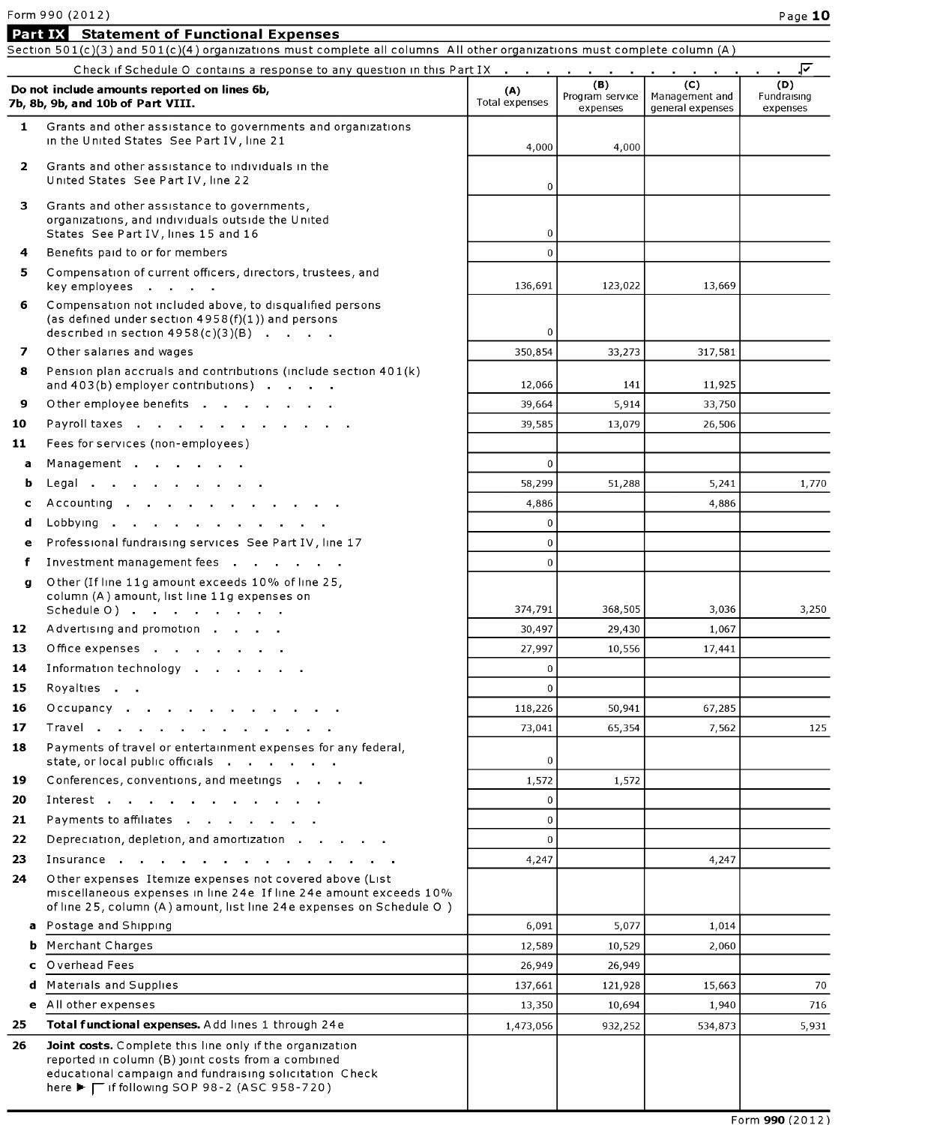#### Form 990 (2012) Page 12:00 Page 10:00 Page 10:00 Page 10:00 Page 10:00 Page 10:00 Page 10:00 Page 10:00 Page 1

|              | Form 990 (2012)                                                                                                                                                                                                                  |                       |                             |                                    | Page 10                 |
|--------------|----------------------------------------------------------------------------------------------------------------------------------------------------------------------------------------------------------------------------------|-----------------------|-----------------------------|------------------------------------|-------------------------|
| Part IX      | <b>Statement of Functional Expenses</b>                                                                                                                                                                                          |                       |                             |                                    |                         |
|              | Section 501(c)(3) and 501(c)(4) organizations must complete all columns All other organizations must complete column (A)                                                                                                         |                       |                             |                                    |                         |
|              | Check if Schedule O contains a response to any question in this Part IX                                                                                                                                                          |                       | (B)                         | (C)                                | .ন<br>(D)               |
|              | Do not include amounts reported on lines 6b,<br>7b, 8b, 9b, and 10b of Part VIII.                                                                                                                                                | (A)<br>Total expenses | Program service<br>expenses | Management and<br>general expenses | Fundraising<br>expenses |
| $\mathbf{1}$ | Grants and other assistance to governments and organizations<br>in the United States See Part IV, line 21                                                                                                                        | 4,000                 | 4,000                       |                                    |                         |
| $\mathbf{2}$ | Grants and other assistance to individuals in the<br>United States See Part IV, line 22                                                                                                                                          | 0                     |                             |                                    |                         |
| 3.           | Grants and other assistance to governments,<br>organizations, and individuals outside the United<br>States See Part IV, lines 15 and 16                                                                                          | $\overline{0}$        |                             |                                    |                         |
| 4            | Benefits paid to or for members                                                                                                                                                                                                  | $\mathbf{0}$          |                             |                                    |                         |
| 5.           | Compensation of current officers, directors, trustees, and<br>key employees                                                                                                                                                      | 136,691               | 123,022                     | 13,669                             |                         |
| 6            | Compensation not included above, to disqualified persons<br>(as defined under section $4958(f)(1)$ ) and persons<br>described in section $4958(c)(3)(B)$                                                                         | $\overline{0}$        |                             |                                    |                         |
| 7            | Other salaries and wages                                                                                                                                                                                                         | 350,854               | 33,273                      | 317,581                            |                         |
| 8            | Pension plan accruals and contributions (include section 401(k)<br>and 403(b) employer contributions)                                                                                                                            | 12,066                | 141                         | 11,925                             |                         |
| 9            | Other employee benefits                                                                                                                                                                                                          | 39,664                | 5,914                       | 33,750                             |                         |
| 10           | Payroll taxes                                                                                                                                                                                                                    | 39,585                | 13,079                      | 26,506                             |                         |
| 11           | Fees for services (non-employees)                                                                                                                                                                                                |                       |                             |                                    |                         |
| a            | Management                                                                                                                                                                                                                       | $\mathbf{0}$          |                             |                                    |                         |
| b            | Legal                                                                                                                                                                                                                            | 58,299                | 51,288                      | 5,241                              | 1,770                   |
| c            | Accounting                                                                                                                                                                                                                       | 4,886                 |                             | 4,886                              |                         |
| d            | Lobbying                                                                                                                                                                                                                         | $\overline{0}$        |                             |                                    |                         |
| е            | Professional fundraising services See Part IV, line 17                                                                                                                                                                           | $\mathbf 0$           |                             |                                    |                         |
| f            | Investment management fees                                                                                                                                                                                                       | $\mathbf{0}$          |                             |                                    |                         |
| q            | Other (If line 11g amount exceeds 10% of line 25,<br>column (A) amount, list line 11g expenses on                                                                                                                                | 374,791               | 368,505                     | 3,036                              | 3,250                   |
| 12           | Advertising and promotion                                                                                                                                                                                                        | 30,497                | 29,430                      | 1,067                              |                         |
| 13           | Office expenses                                                                                                                                                                                                                  | 27,997                | 10,556                      | 17,441                             |                         |
| 14           | Information technology                                                                                                                                                                                                           | 0                     |                             |                                    |                         |
| 15           | Royalties                                                                                                                                                                                                                        | 0                     |                             |                                    |                         |
| 16           | Occupancy                                                                                                                                                                                                                        | 118,226               | 50,941                      | 67,285                             |                         |
| 17           | Travel                                                                                                                                                                                                                           | 73,041                | 65,354                      | 7,562                              | 125                     |
| 18           | Payments of travel or entertainment expenses for any federal,<br>state, or local public officials                                                                                                                                | 0                     |                             |                                    |                         |
| 19           | Conferences, conventions, and meetings                                                                                                                                                                                           | 1,572                 | 1,572                       |                                    |                         |
| 20           | Interest                                                                                                                                                                                                                         | $\overline{0}$        |                             |                                    |                         |
| 21           | Payments to affiliates                                                                                                                                                                                                           | $\overline{0}$        |                             |                                    |                         |
| 22           | Depreciation, depletion, and amortization                                                                                                                                                                                        | $\Omega$              |                             |                                    |                         |
| 23           | Insurance                                                                                                                                                                                                                        | 4,247                 |                             | 4,247                              |                         |
| 24           | Other expenses Itemize expenses not covered above (List<br>miscellaneous expenses in line 24e If line 24e amount exceeds 10%<br>of line 25, column (A) amount, list line 24e expenses on Schedule O)                             |                       |                             |                                    |                         |
| a            | Postage and Shipping                                                                                                                                                                                                             | 6,091                 | 5,077                       | 1,014                              |                         |
| b            | Merchant Charges                                                                                                                                                                                                                 | 12,589                | 10,529                      | 2,060                              |                         |
| c            | Overhead Fees                                                                                                                                                                                                                    | 26,949                | 26,949                      |                                    |                         |
| d            | Materials and Supplies                                                                                                                                                                                                           | 137,661               | 121,928                     | 15,663                             | 70                      |
| $\mathbf{e}$ | All other expenses                                                                                                                                                                                                               | 13,350                | 10,694                      | 1,940                              | 716                     |
| 25           | Total functional expenses. Add lines 1 through 24e                                                                                                                                                                               | 1,473,056             | 932,252                     | 534,873                            | 5,931                   |
| 26           | Joint costs. Complete this line only if the organization<br>reported in column (B) joint costs from a combined<br>educational campaign and fundraising solicitation Check<br>here ► $\Gamma$ if following SOP 98-2 (ASC 958-720) |                       |                             |                                    |                         |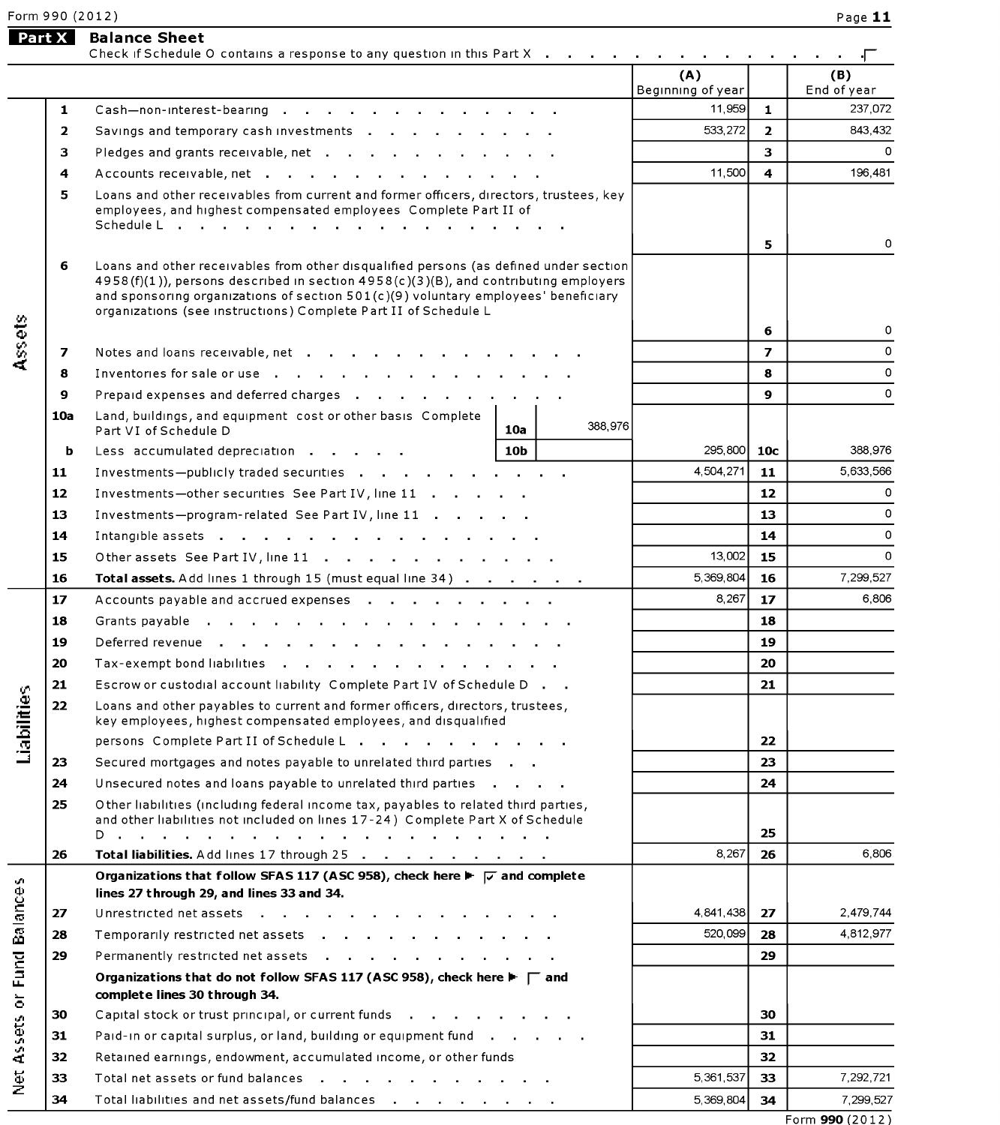# Form 990 (2012) Page 120 Page 11 Page 11 Page 11 Page 11 Page 11 Page 11 Page 11 Page 11 Page 11 Page 11 Page 1 Form 990 (2012)<br>**Part X Balance Sheet**<br>Check if Schedu

۰Г  $\sim$ 

 $(A)$  $(B)$ Beginning of year  $\vert$  End of year 1 Cash-non-interest-bearing in the state in the state  $\vert$  11,959 1  $\vert$ 237.072 2 Savmgs and temporary cash investments 533,272 2 843,432 843.432 3 Pledges and grants receivable, net  $\begin{array}{cccccccc} 3 & 0 & 0 & 0 & 0 \\ 0 & 3 & 0 & 0 & 0 \\ 0 & 0 & 0 & 0 & 0 \\ 0 & 0 & 0 & 0 & 0 \\ 0 & 0 & 0 & 0 & 0 \\ 0 & 0 & 0 & 0 & 0 \\ 0 & 0 & 0 & 0 & 0 \\ 0 & 0 & 0 & 0 & 0 \\ 0 & 0 & 0 & 0 & 0 \\ 0 & 0 & 0 & 0 & 0 \\ 0 & 0 & 0 & 0 & 0 \\ 0 & 0 & 0 & 0$  $\mathbf 0$ 4 Accounts receivable, net  $\cdot$  ,  $\cdot$  ,  $\cdot$  ,  $\cdot$  ,  $\cdot$  ,  $\cdot$  ,  $\cdot$  ,  $\cdot$  ,  $\cdot$  ,  $\cdot$  ,  $\cdot$  ,  $\cdot$  ,  $\cdot$  ,  $\cdot$  ,  $\cdot$  ,  $\cdot$  ,  $\cdot$  ,  $\cdot$  ,  $\cdot$  ,  $\cdot$  ,  $\cdot$  ,  $\cdot$  ,  $\cdot$  ,  $\cdot$  ,  $\cdot$  ,  $\cdot$  ,  $\cdot$  ,  $\cdot$  196,481 state the competition of the competition of the competition of the competition of the competition of the competition of the competition of the competition of the competition of the competition of the competition of the com employees, and highest compensated employees Complete Part II of Schedule L . . . . . . . . . . . . . . . . . . 5 0 5  $\Omega$ 6 Loans and other receivables from other disqualified persons (as defined under section 4958(f)(1)), persons described in section 4958(c)(3)(B), and contributing employers and sponsoring organizations of section  $501(c)(9)$  voluntary employees' beneficiary organizations (see instructions) Complete Part II of Schedule L<br>
3 0<br>
7 Notes and loans receivable, net<br>
8 0<br>
7 Notes and loans receivable, net<br>
8 0<br>
7 2  $\mathsf{O}\xspace$ Notes and loans receivers receivers receivers receivers receivers receivers receivers  $\vert$  of  $\vert$ 7 Notes and loans receivable, net . . . . . . . . . . . . . . . . . . | 2  $\Omega$ 8 Inventories for sale or use  $\begin{array}{ccc} 1 & 0 & 0 \\ 0 & 0 & 0 \end{array}$  and deferred charges  $\begin{array}{ccc} 0 & 0 & 0 \\ 0 & 0 & 0 \end{array}$  $\circ$ **Q** Dranald expenses and deferred charges  $\circ$  $\overline{9}$ Priepard experises and deferred charges **Priest Priest Priest Priest Priest Priest** Priest Priest Priest Priest P<br>Priest Priest Priest Priest Priest Priest Priest Priest Priest Priest Priest Priest Priest Priest Priest Pri b Less accumulated depreCIation 10b 295,800 10c 388,976 11 Investmentspublicly traded securities 4,504,271 11 5,633,566 388,976  $\frac{1}{2}$   $\frac{1}{2}$   $\frac{1}{2}$   $\frac{1}{2}$   $\frac{1}{2}$   $\frac{1}{2}$   $\frac{1}{2}$   $\frac{1}{2}$   $\frac{1}{2}$   $\frac{1}{2}$   $\frac{1}{2}$   $\frac{1}{2}$   $\frac{1}{2}$   $\frac{1}{2}$   $\frac{1}{2}$   $\frac{1}{2}$   $\frac{1}{2}$   $\frac{1}{2}$   $\frac{1}{2}$   $\frac{1}{2}$   $\frac{1}{2}$   $\frac{1}{2}$  5.633.566 11 Investments—publicly traded securities  $\cdots$ ,  $\cdots$ ,  $\cdots$ ,  $\cdots$ ,  $\cdots$ ,  $\cdots$ ,  $\cdots$ ,  $\cdots$ ,  $\cdots$ ,  $\cdots$ ,  $\cdots$ ,  $\cdots$ ,  $\cdots$ ,  $\cdots$ ,  $\cdots$ ,  $\cdots$ ,  $\cdots$ ,  $\cdots$ ,  $\cdots$ ,  $\cdots$ ,  $\cdots$ ,  $\cdots$ ,  $\cdots$ ,  $\cdots$ ,  $\cdots$ ,  $\cdots$ 12 Investments—other securities See Part IV, line 11 . . . . . . . . . . 12<br>13 Investments—program-related See Part IV, line 11 . . . . . . . . . . . . 13  $\Omega$ 15 Other assets See Part IV, line 11 13,002 15 <sup>0</sup>  $\mathbf 0$  $\Omega$ 16 Total assets. Add lines <sup>1</sup> through 15 (must equal line 34) 5,369,804 16 7,299,527  $\mathbf{o}$ 15 Other assets See Part IV, line 11  $\ldots$ ,  $\ldots$ ,  $\ldots$ ,  $\ldots$ ,  $\qquad$  13,002 15 16 Total assets. Add lines 1 through 15 (must equal line 34) . . . . . . . 1 5,369,804 16 7,299,527 17 Accounts payable and accrued expenses entity and the control of the control of the control of the control o  $17$ 6.806 20 Tax-exempt bond liabilities 20 18 19 19 Deferred revenue . . . . . . . . . . . . . e 22 Locans and other payables to current and former of the payables to current and former of the current and former or trustees, the current and former or the current and former or the current and the current and the curr 20  $= 20$  ax-exempt bond habilities<br> $= 20$ 21 Escrow or custodial account liability Complete Part IV of Schedule D.<br>22 Loans and other payables to current and former officers, directors, trustees,<br>22 Loans and other payables to current and former officers, director  $21$ Loans and other payables to current and former officers, directors, trustees,<br>key employees, highest compensated employees, and disqualified persons Complete Part II of Schedule L . . . . . . . . . . .  $22$ 25 Other liabilities (including federal income tax, payables to related third parties, 23 Secured mortgages and notes payable to unrelated third parties . . . 24  $24$ Unsecured notes and loans payable to unrelated third parties . . . . 25 Other liabilities (including federal income tax, payables to related third parties, and other liabilities not included on lines 17-24) Complete Part X of Schedule 25 3 lines 27 through 29, and lines 33 and 34. 26 Total liabilities. Add lines 17 through 25  $\ldots$ ,  $\ldots$ ,  $\ldots$ ,  $\ldots$ ,  $\qquad \qquad$ 8,267 26 6.806 Organizations that follow SFAS 117 (ASC 958), check here  $\blacktriangleright \overline{\smash{\triangleright}}$  and complete Fig. 27 Internal and 32, and lines 33 and 34.<br>
E 27 Unrestricted net assets .<br>
28 Temporarily restricted net assets .<br>
29 Permanently restricted net assets .<br>
29 Permanently restricted net assets .<br>
29 Organizations that d 27 Unrestricted net assets . . . . . . . . 4,841,438 27 2,479,744 520 099 4.812.977 28 Temporarily restricted net assets . . . . . . . . . 28 29 Permanently restricted net assets . . . . . . . 29  $\sum_{i=1}^{N}$  Painting in order in order fund 31 pairs fund 31 pairs fund 31 pairs fund 31 pairs fund 31 pairs fund 31 pairs fund 31 pairs fund 31 pairs fund 31 pairs fund 31 pairs fund 31 pairs fund 31 pairs fund 31 pairs  $\frac{1}{L}$  32  $\pm$  92  $\pm$  920  $\pm$  920  $\pm$  0.000  $\pm$  0.000  $\pm$  0.000  $\pm$  0.000  $\pm$  0.000  $\pm$  0.000  $\pm$  0.000  $\pm$  0.000  $\pm$  0.000  $\pm$  0.000  $\pm$  0.000  $\pm$  0.000  $\pm$  0.000  $\pm$  0.000  $\pm$  0.000  $\pm$  0.000  $\pm$  0 complete lines 30 through 34.<br>
30 Capital stock or trust principal, or current funds<br>
31 Paid-in or capital surplus, or land, building or equipment fund<br>
31 32 Retained earnings, endowment, accumulated income, or other fun **21** Paid-in or capital surplus, or land, building or equipment fund dividend balances 5, 1, 2016 1, 2016  $+\,$   $-$ 32 Retained earnings, endowment, accumulated income, or other funds ă<br>⊇ 33 Total net assets or fund balances . . . . . . . . . . . . 5,361,537 33 7,292,721 34 Total liabilities and net assets/fund balances . . . . . . . . 5.369.804 34 7,299,527 Form 990 (2012)

Check if Schedule O contains a response to any question in this Part X . . . . . . . . . . . . . . . . .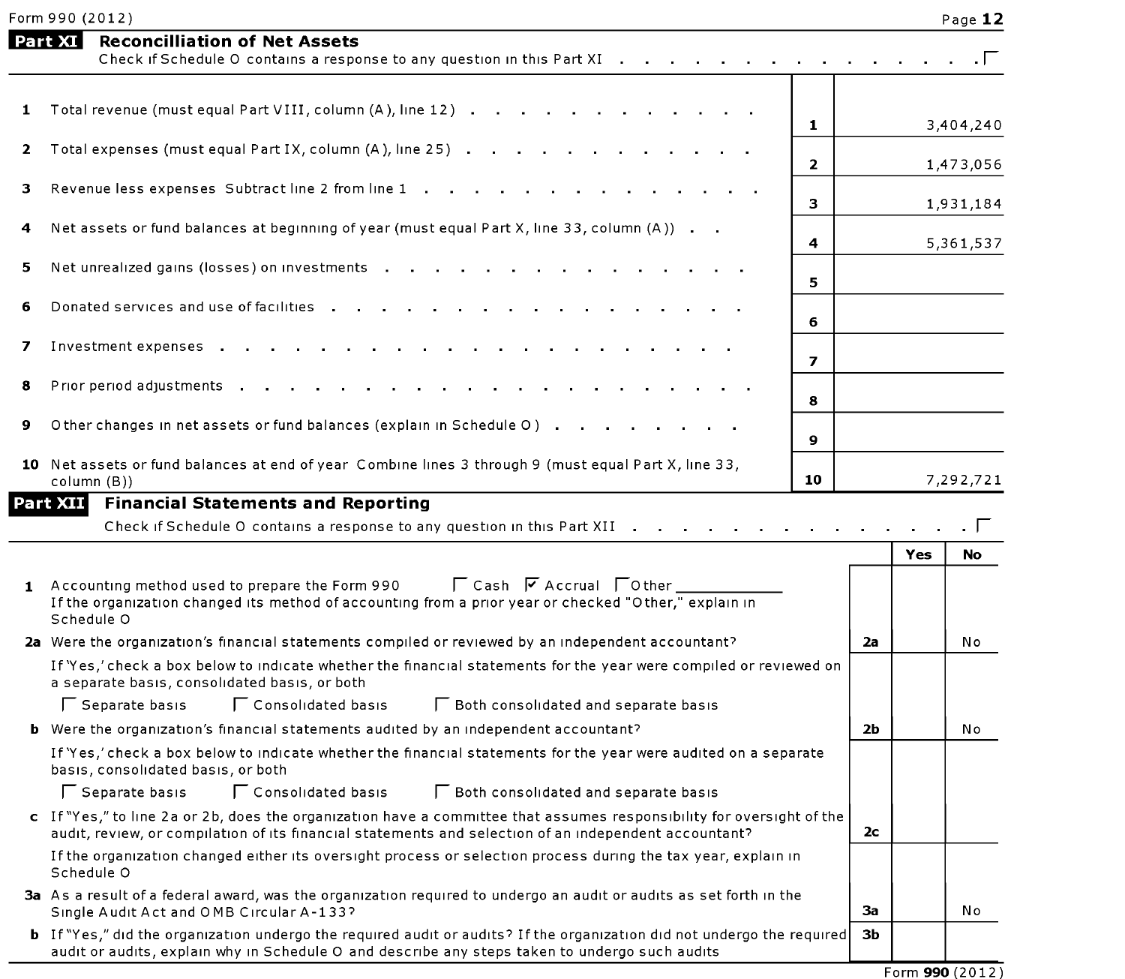| Form 990 (2012) |
|-----------------|
|-----------------|

|    | Form 990 (2012)                                                                                                                                                                                                                  |                |     | Page 12   |
|----|----------------------------------------------------------------------------------------------------------------------------------------------------------------------------------------------------------------------------------|----------------|-----|-----------|
|    | Part XI<br><b>Reconcilliation of Net Assets</b><br>Check if Schedule O contains a response to any question in this Part XI                                                                                                       |                |     |           |
| 1  | Total revenue (must equal Part VIII, column (A), line 12)<br>1                                                                                                                                                                   |                |     | 3,404,240 |
| 2  | Total expenses (must equal Part IX, column (A), line 25)<br>$\mathbf{2}$                                                                                                                                                         |                |     | 1,473,056 |
| З. | Revenue less expenses Subtract line 2 from line 1<br>3                                                                                                                                                                           |                |     |           |
| 4  | Net assets or fund balances at beginning of year (must equal Part X, line 33, column (A))                                                                                                                                        |                |     | 1,931,184 |
| 5  | 4<br>Net unrealized gains (losses) on investments                                                                                                                                                                                |                |     | 5,361,537 |
| 6  | 5.<br>Donated services and use of facilities                                                                                                                                                                                     |                |     |           |
| 7  | 6<br>Investment expenses<br>$\sim 100$<br>$\overline{ }$                                                                                                                                                                         |                |     |           |
| 8  | Prior period adjustments<br>8                                                                                                                                                                                                    |                |     |           |
| 9  | Other changes in net assets or fund balances (explain in Schedule O)<br>9                                                                                                                                                        |                |     |           |
|    | 10 Net assets or fund balances at end of year Combine lines 3 through 9 (must equal Part X, line 33,<br>10<br>column (B))                                                                                                        |                |     | 7,292,721 |
|    | Part XIII Financial Statements and Reporting<br>Check if Schedule O contains a response to any question in this Part XII                                                                                                         |                | Yes | No        |
|    | 1 Accounting method used to prepare the Form 990 $\Box$ Cash $\Box$ Accrual $\Box$ Other<br>If the organization changed its method of accounting from a prior year or checked "Other," explain in<br>Schedule O                  |                |     |           |
|    | 2a Were the organization's financial statements compiled or reviewed by an independent accountant?                                                                                                                               | 2a             |     | No.       |
|    | If 'Yes,' check a box below to indicate whether the financial statements for the year were compiled or reviewed on<br>a separate basis, consolidated basis, or both                                                              |                |     |           |
|    | Consolidated basis<br>Separate basis<br>□ Both consolidated and separate basis                                                                                                                                                   |                |     |           |
|    | <b>b</b> Were the organization's financial statements audited by an independent accountant?                                                                                                                                      | 2b             |     | Νo        |
|    | If 'Yes,' check a box below to indicate whether the financial statements for the year were audited on a separate<br>basis, consolidated basis, or both                                                                           |                |     |           |
|    | Separate basis<br>Consolidated basis<br>□ Both consolidated and separate basis                                                                                                                                                   |                |     |           |
|    | c If "Yes," to line 2a or 2b, does the organization have a committee that assumes responsibility for oversight of the<br>audit, review, or compilation of its financial statements and selection of an independent accountant?   | 2 <sub>c</sub> |     |           |
|    | If the organization changed either its oversight process or selection process during the tax year, explain in<br>Schedule O                                                                                                      |                |     |           |
|    | 3a As a result of a federal award, was the organization required to undergo an audit or audits as set forth in the<br>Single Audit Act and OMB Circular A-133?                                                                   | За             |     | Νo        |
|    | <b>b</b> If "Yes," did the organization undergo the required audit or audits? If the organization did not undergo the required<br>audit or audits, explain why in Schedule O and describe any steps taken to undergo such audits | ЗЬ             |     |           |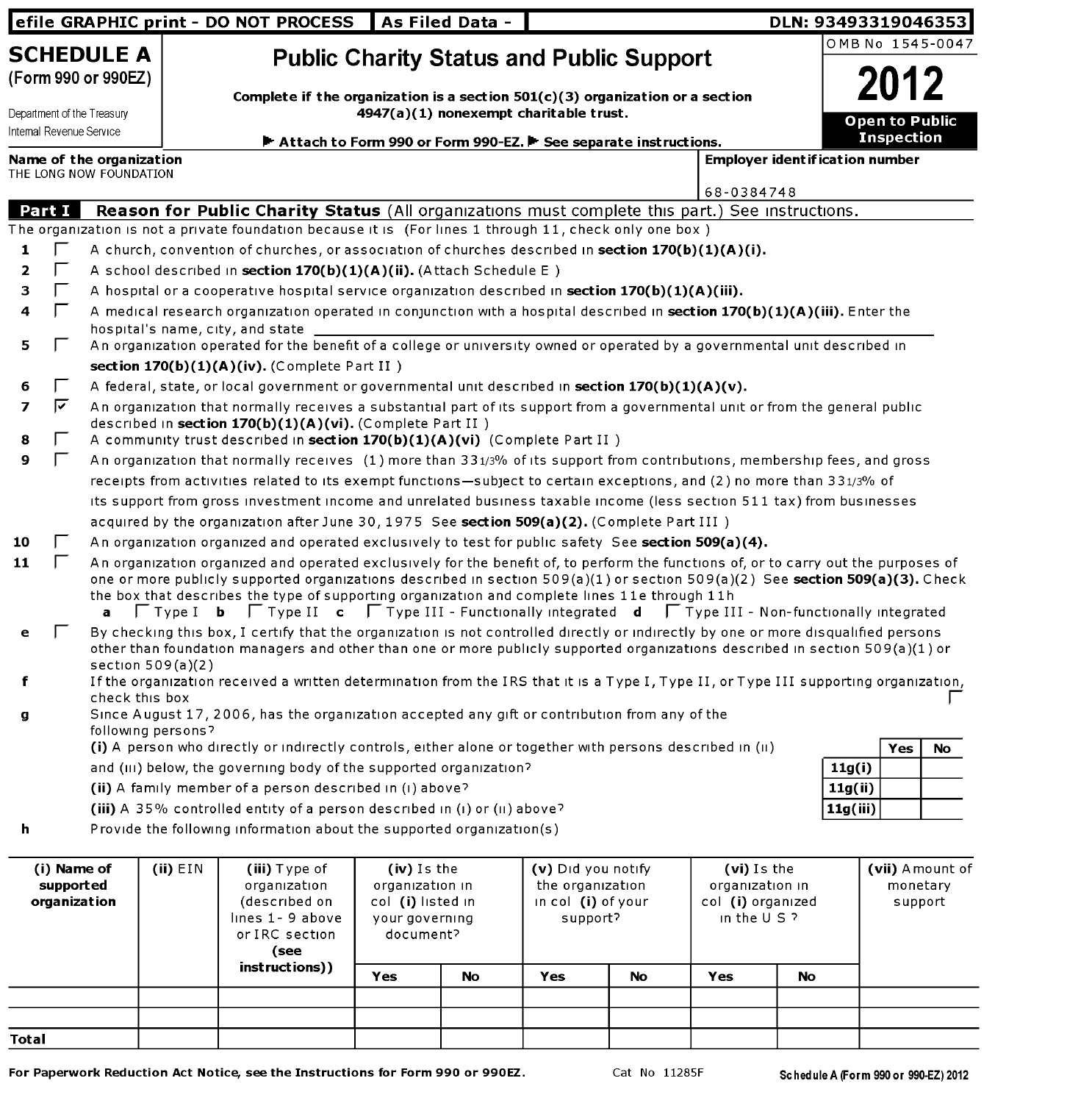|                                          |               |                                                        |                     | efile GRAPHIC print - DO NOT PROCESS                                                                                                                                                                                                                                                                                                                                                                                                                                                                                     |                                                                                    | As Filed Data - |                                                                          |    |                                                                       |    | DLN: 93493319046353                     |                                        |
|------------------------------------------|---------------|--------------------------------------------------------|---------------------|--------------------------------------------------------------------------------------------------------------------------------------------------------------------------------------------------------------------------------------------------------------------------------------------------------------------------------------------------------------------------------------------------------------------------------------------------------------------------------------------------------------------------|------------------------------------------------------------------------------------|-----------------|--------------------------------------------------------------------------|----|-----------------------------------------------------------------------|----|-----------------------------------------|----------------------------------------|
|                                          |               | <b>SCHEDULE A</b><br>(Form 990 or 990EZ)               |                     |                                                                                                                                                                                                                                                                                                                                                                                                                                                                                                                          |                                                                                    |                 | <b>Public Charity Status and Public Support</b>                          |    |                                                                       |    | OMB No 1545-0047                        |                                        |
|                                          |               | Department of the Treasury<br>Internal Revenue Service |                     | Complete if the organization is a section $501(c)(3)$ organization or a section<br>Attach to Form 990 or Form 990-EZ. F See separate instructions.                                                                                                                                                                                                                                                                                                                                                                       |                                                                                    |                 | 4947(a)(1) nonexempt charitable trust.                                   |    |                                                                       |    | Open to Public<br><b>Inspection</b>     |                                        |
|                                          |               | Name of the organization                               |                     |                                                                                                                                                                                                                                                                                                                                                                                                                                                                                                                          |                                                                                    |                 |                                                                          |    |                                                                       |    | <b>Employer ident if ication number</b> |                                        |
|                                          |               | THE LONG NOW FOUNDATION                                |                     |                                                                                                                                                                                                                                                                                                                                                                                                                                                                                                                          |                                                                                    |                 |                                                                          |    |                                                                       |    |                                         |                                        |
|                                          |               |                                                        |                     |                                                                                                                                                                                                                                                                                                                                                                                                                                                                                                                          |                                                                                    |                 |                                                                          |    | 68-0384748                                                            |    |                                         |                                        |
|                                          | <b>Part I</b> |                                                        |                     | Reason for Public Charity Status (All organizations must complete this part.) See instructions.                                                                                                                                                                                                                                                                                                                                                                                                                          |                                                                                    |                 |                                                                          |    |                                                                       |    |                                         |                                        |
|                                          |               |                                                        |                     | The organization is not a private foundation because it is (For lines 1 through 11, check only one box)                                                                                                                                                                                                                                                                                                                                                                                                                  |                                                                                    |                 |                                                                          |    |                                                                       |    |                                         |                                        |
| 1                                        |               |                                                        |                     | A church, convention of churches, or association of churches described in section 170(b)(1)(A)(i).                                                                                                                                                                                                                                                                                                                                                                                                                       |                                                                                    |                 |                                                                          |    |                                                                       |    |                                         |                                        |
| 2                                        |               |                                                        |                     | A school described in section 170(b)(1)(A)(ii). (Attach Schedule E)                                                                                                                                                                                                                                                                                                                                                                                                                                                      |                                                                                    |                 |                                                                          |    |                                                                       |    |                                         |                                        |
| з                                        | Г             |                                                        |                     | A hospital or a cooperative hospital service organization described in section 170(b)(1)(A)(iii).                                                                                                                                                                                                                                                                                                                                                                                                                        |                                                                                    |                 |                                                                          |    |                                                                       |    |                                         |                                        |
| 4                                        | Е             |                                                        |                     | A medical research organization operated in conjunction with a hospital described in section 170(b)(1)(A)(iii). Enter the                                                                                                                                                                                                                                                                                                                                                                                                |                                                                                    |                 |                                                                          |    |                                                                       |    |                                         |                                        |
| 5                                        | Е             |                                                        |                     | hospital's name, city, and state<br>An organization operated for the benefit of a college or university owned or operated by a governmental unit described in                                                                                                                                                                                                                                                                                                                                                            |                                                                                    |                 |                                                                          |    |                                                                       |    |                                         |                                        |
|                                          |               |                                                        |                     |                                                                                                                                                                                                                                                                                                                                                                                                                                                                                                                          |                                                                                    |                 |                                                                          |    |                                                                       |    |                                         |                                        |
|                                          |               |                                                        |                     | section $170(b)(1)(A)(iv)$ . (Complete Part II)                                                                                                                                                                                                                                                                                                                                                                                                                                                                          |                                                                                    |                 |                                                                          |    |                                                                       |    |                                         |                                        |
| 6                                        | $\mathbf{L}$  |                                                        |                     | A federal, state, or local government or governmental unit described in section $170(b)(1)(A)(v)$ .                                                                                                                                                                                                                                                                                                                                                                                                                      |                                                                                    |                 |                                                                          |    |                                                                       |    |                                         |                                        |
| $\overline{ }$<br>8                      | ⊽             |                                                        |                     | An organization that normally receives a substantial part of its support from a governmental unit or from the general public<br>described in section 170(b)(1)(A)(vi). (Complete Part II)<br>A community trust described in section 170(b)(1)(A)(vi) (Complete Part II)                                                                                                                                                                                                                                                  |                                                                                    |                 |                                                                          |    |                                                                       |    |                                         |                                        |
| 9                                        | $\mathbf{L}$  |                                                        |                     | An organization that normally receives (1) more than 331/3% of its support from contributions, membership fees, and gross                                                                                                                                                                                                                                                                                                                                                                                                |                                                                                    |                 |                                                                          |    |                                                                       |    |                                         |                                        |
|                                          |               |                                                        |                     | receipts from activities related to its exempt functions—subject to certain exceptions, and (2) no more than 331/3% of                                                                                                                                                                                                                                                                                                                                                                                                   |                                                                                    |                 |                                                                          |    |                                                                       |    |                                         |                                        |
|                                          |               |                                                        |                     | its support from gross investment income and unrelated business taxable income (less section 511 tax) from businesses                                                                                                                                                                                                                                                                                                                                                                                                    |                                                                                    |                 |                                                                          |    |                                                                       |    |                                         |                                        |
|                                          |               |                                                        |                     | acquired by the organization after June 30, 1975 See section 509(a)(2). (Complete Part III)                                                                                                                                                                                                                                                                                                                                                                                                                              |                                                                                    |                 |                                                                          |    |                                                                       |    |                                         |                                        |
| 10                                       |               |                                                        |                     |                                                                                                                                                                                                                                                                                                                                                                                                                                                                                                                          |                                                                                    |                 |                                                                          |    |                                                                       |    |                                         |                                        |
| 11                                       | $\mathbf{L}$  |                                                        |                     | An organization organized and operated exclusively to test for public safety See section 509(a)(4).                                                                                                                                                                                                                                                                                                                                                                                                                      |                                                                                    |                 |                                                                          |    |                                                                       |    |                                         |                                        |
|                                          |               | a                                                      |                     | An organization organized and operated exclusively for the benefit of, to perform the functions of, or to carry out the purposes of<br>one or more publicly supported organizations described in section 509(a)(1) or section 509(a)(2) See section 509(a)(3). Check<br>the box that describes the type of supporting organization and complete lines 11e through 11h<br>$\Box$ Type I <b>b</b> $\Box$ Type II <b>c</b> $\Box$ Type III - Functionally integrated <b>d</b> $\Box$ Type III - Non-functionally integrated |                                                                                    |                 |                                                                          |    |                                                                       |    |                                         |                                        |
| е                                        |               |                                                        | section $509(a)(2)$ | By checking this box, I certify that the organization is not controlled directly or indirectly by one or more disqualified persons<br>other than foundation managers and other than one or more publicly supported organizations described in section 509(a)(1) or                                                                                                                                                                                                                                                       |                                                                                    |                 |                                                                          |    |                                                                       |    |                                         |                                        |
| f                                        |               | check this box                                         |                     | If the organization received a written determination from the IRS that it is a Type I, Type II, or Type III supporting organization,                                                                                                                                                                                                                                                                                                                                                                                     |                                                                                    |                 |                                                                          |    |                                                                       |    |                                         |                                        |
| g                                        |               |                                                        |                     | Since August 17, 2006, has the organization accepted any gift or contribution from any of the                                                                                                                                                                                                                                                                                                                                                                                                                            |                                                                                    |                 |                                                                          |    |                                                                       |    |                                         |                                        |
|                                          |               |                                                        | following persons?  | (i) A person who directly or indirectly controls, either alone or together with persons described in (ii)                                                                                                                                                                                                                                                                                                                                                                                                                |                                                                                    |                 |                                                                          |    |                                                                       |    | Yes                                     | No                                     |
|                                          |               |                                                        |                     | and (III) below, the governing body of the supported organization?                                                                                                                                                                                                                                                                                                                                                                                                                                                       |                                                                                    |                 |                                                                          |    |                                                                       |    | 11g(i)                                  |                                        |
|                                          |               |                                                        |                     | (ii) A family member of a person described in (i) above?                                                                                                                                                                                                                                                                                                                                                                                                                                                                 |                                                                                    |                 |                                                                          |    |                                                                       |    | 11g(ii)                                 |                                        |
|                                          |               |                                                        |                     | (iii) A 35% controlled entity of a person described in (i) or (ii) above?                                                                                                                                                                                                                                                                                                                                                                                                                                                |                                                                                    |                 |                                                                          |    |                                                                       |    | 11g(iii)                                |                                        |
| h                                        |               |                                                        |                     | Provide the following information about the supported organization(s)                                                                                                                                                                                                                                                                                                                                                                                                                                                    |                                                                                    |                 |                                                                          |    |                                                                       |    |                                         |                                        |
| (i) Name of<br>supported<br>organization |               |                                                        | (ii) EIN            | (iii) Type of<br>organization<br>(described on<br>lines 1 - 9 above<br>or IRC section<br>(see                                                                                                                                                                                                                                                                                                                                                                                                                            | (iv) Is the<br>organization in<br>col (i) listed in<br>your governing<br>document? |                 | (v) Did you notify<br>the organization<br>in col (i) of your<br>support? |    | (vi) Is the<br>organization in<br>col (i) organized<br>in the $U S$ ? |    |                                         | (vii) Amount of<br>monetary<br>support |
|                                          |               |                                                        |                     | instructions))                                                                                                                                                                                                                                                                                                                                                                                                                                                                                                           | Yes                                                                                | No              | <b>Yes</b>                                                               | No | <b>Yes</b>                                                            | No |                                         |                                        |
|                                          |               |                                                        |                     |                                                                                                                                                                                                                                                                                                                                                                                                                                                                                                                          |                                                                                    |                 |                                                                          |    |                                                                       |    |                                         |                                        |
|                                          |               |                                                        |                     |                                                                                                                                                                                                                                                                                                                                                                                                                                                                                                                          |                                                                                    |                 |                                                                          |    |                                                                       |    |                                         |                                        |
|                                          |               |                                                        |                     |                                                                                                                                                                                                                                                                                                                                                                                                                                                                                                                          |                                                                                    |                 |                                                                          |    |                                                                       |    |                                         |                                        |

**Total**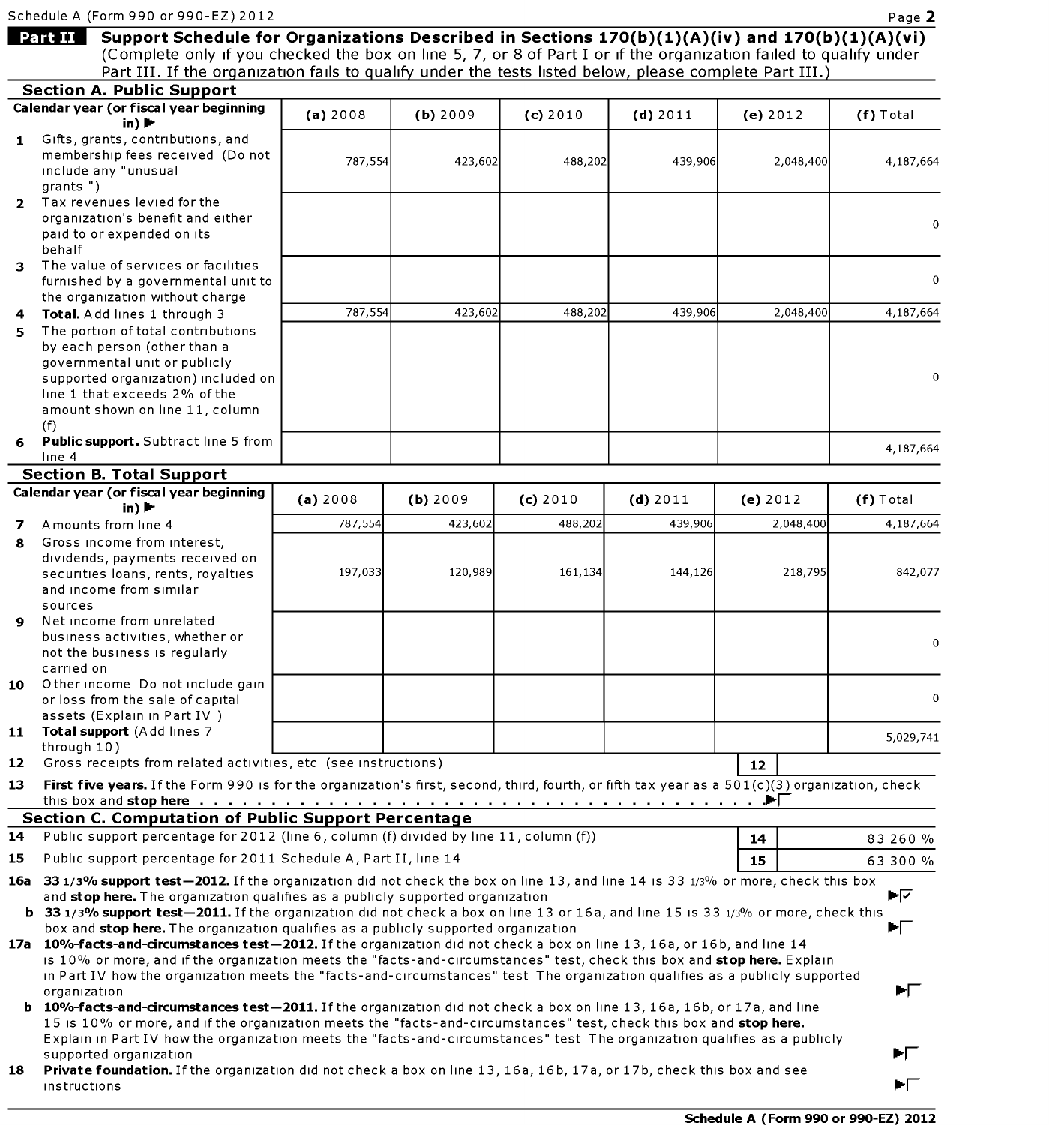| Schedule A (Form 990 or 990-EZ) 2012 |  |  |  |  |
|--------------------------------------|--|--|--|--|
|                                      |  |  |  |  |

instructions

Support Schedule for Organizations Described in Sections 170(b)(1)(A)(iv) and 170(b)(1)(A)(vi) Part II (Complete only if you checked the box on line 5, 7, or 8 of PartI or if the organization failed to qualify under Part III. If the organization fails to qualify under the tests listed below, please complete Part III.) Section A. Public Support (a) 2008 (b) 2009 (c) 2010 (d) 2011 (e) 2012 Calendar year (or fiscal year beginning  $(f)$  Total in)  $\blacktriangleright$ 1 Gifts, grants, contributions, and emes, grants, continuations, and 787,554 423,602 488,202 439,906 2,048,400 4,187,664 inempersing rees re 4,187,664 include any "unusual grants ") 2 Tax revenues levied for the organization's benefit and either  $\mathbf 0$ paid to or expended on its behalf 3 The value of services or facilities furnished by a governmental unit to  $\Omega$ 787,554 423,602 488,202 439,906 2,048,400 4,187,664 the organization without charge 787,554 423,602 488,202 439,906 2,048,400 4,187,664 4 **Total.** Add lines 1 through 3  $5<sup>1</sup>$ The portion of total contributions by each person (other than a by each person (other than a governmental unit or public supported organization) included on  $\mathbf{0}$ line 1 that exceeds 2% of the amount shown on line 11, column 4,187,664  $(f)$ **Public support.** Subtract line 5 from<br>line 4 4,187,664 Calendar year (or fiscal year beginning in) I (a)2008 (b) 2008 (b) 2008 (b)2010 (b)2010 (b)2011 (b)2012 (b)2010 (b)2011 (b)2012 (b)2012 (b)2012 (b)201<br>Total Support 7 Amounts from line <sup>4</sup> 787,554 423,602 488,202 439,906 2,048,400 4,187,664 in)  $\blacktriangleright$ Amounts from line 4 4,187,664  $\overline{\mathbf{z}}$ <del>1977, 1978, 1978, 1978, 1979, 1979, 1979, 1979, 1979, 1979, 1979, 1979, 1979, 1979, 1979, 1979, 1979, 1979, 197</del> Gross income from interest,  $\mathbf{R}$ dividends, payments received on 197,033 120,989 161,134 144,126 218,795 842,077 securities loans, rents, rovalties  $S$ ecurices ioans, iencs, i and income from similar sources Net income from unrelated business activities, whether or  $\Omega$ not the business is regularly carried on 10 Other income Donot in 5,029,741  $\theta$ or loss from the sale of capital |12| assets (Explain in Part IV) 11 Fotal support (Add lines 7 is form in the organization) is form in the organization of the organization or f 5,029,741  $\overline{\phantom{a}}$ through  $10$ ) .  $\;$  Gross receipts from related activities, etc <code>(see</code> instructions]  $12$ First five years. If the Form 990 is for the organization's first, second, third, fourth, or fifth tax year as a  $501(c)(3)$  organization 13 Public support percentage for 2011 Schedule A, Part II, line <sup>14</sup> 15 63 300 % 15 16a 33 1/3/o support test2012.1fthe organization did not check the box on line 13, and line 14 is 33 1/3% or more, check this box Public support percentage for 2012 (line 6, column (f) divided by line 11, column (f)) 14 83 260 % 33 1/3% support test2011.1fthe organization did not check <sup>a</sup> box on line 13 or 16a, and line 15 is 33 1/3% or more, check this 15 15 Public support percentage for 2011 Schedule A, Part II, line 14<br>16a 33 1/3% support test—2012. If the organization did not check the box on line 13, and line 14 is 33 1/3% or more, check this 63 300 % box and support percentage for  $2011$  beneaties  $n_f$  function  $n_f$  and  $n_f$ ►⊽ and stop here. The organization qualifies as a publicly supported organization 33 1/3% support test-2011. If the organization did not check a box on line 13 or 16a, and line 15 is 33 1/3% or more, check<br>box and stop here. The organization qualifies as a publicly supported organization ►୮ box and stop here. The organization qualifies as a publicly supported organization 17a 10%-facts-and-circumstances test-2012. If the organization did not check a box on line 13, 16a, or 16b, and line 14 15 10% or more, and if the organization meets the "facts-and-circumstances" test, check this box and stop here. Explain In Part IV how the organization meets the "facts-and-circumstances" test The organization qualifies as a publicly supported<br>organization organization ►⊏ **b** 10%-facts-and-circumstances test-2011. If the organization did not check a box on line 13, 16a, 16b, or 17a, and line 15 is 10% or more, and if the organization meets the "facts-and-circumstances" test, check this box and stop here. Explain in Part IV how the organization meets the "facts-and-circumstances" test The organization qualifies as a publicly supported organization Private foundation. If the organization did not check a box on line 13, 16a, 16b, 17a, or 17b, check this box and see 18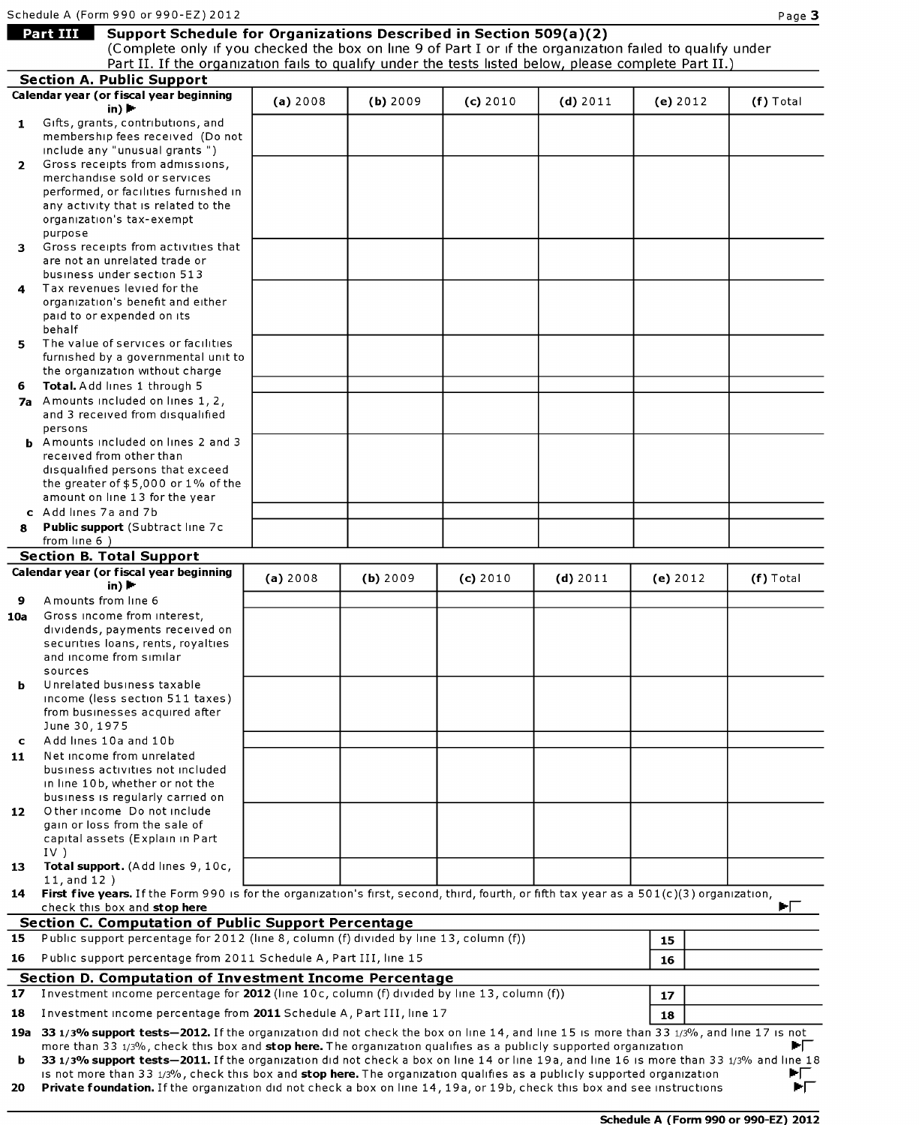Section A. Public Support

# Schedule A (F<br>Part III **Support Schedule for Organizations Described in Section 509(**

(Complete only if you checked the box on line 9 of Part1 or if the organization failed to qualify under Part II. If the organization fails to qualify under the tests listed below, please complete Part II.)

| 1              | Gifts, grants, contributions, and<br>membership fees received (Do not                                                                                                                                                                                        |          |          |          |            |          |             |
|----------------|--------------------------------------------------------------------------------------------------------------------------------------------------------------------------------------------------------------------------------------------------------------|----------|----------|----------|------------|----------|-------------|
| $\overline{2}$ | include any "unusual grants")<br>Gross receipts from admissions,                                                                                                                                                                                             |          |          |          |            |          |             |
|                | merchandise sold or services                                                                                                                                                                                                                                 |          |          |          |            |          |             |
|                | performed, or facilities furnished in                                                                                                                                                                                                                        |          |          |          |            |          |             |
|                | any activity that is related to the<br>organization's tax-exempt                                                                                                                                                                                             |          |          |          |            |          |             |
|                | purpose                                                                                                                                                                                                                                                      |          |          |          |            |          |             |
| з.             | Gross receipts from activities that                                                                                                                                                                                                                          |          |          |          |            |          |             |
|                | are not an unrelated trade or<br>business under section 513                                                                                                                                                                                                  |          |          |          |            |          |             |
| 4              | Tax revenues levied for the                                                                                                                                                                                                                                  |          |          |          |            |          |             |
|                | organization's benefit and either                                                                                                                                                                                                                            |          |          |          |            |          |             |
|                | paid to or expended on its<br>behalf                                                                                                                                                                                                                         |          |          |          |            |          |             |
| 5              | The value of services or facilities                                                                                                                                                                                                                          |          |          |          |            |          |             |
|                | furnished by a governmental unit to<br>the organization without charge                                                                                                                                                                                       |          |          |          |            |          |             |
| 6              | Total. Add lines 1 through 5                                                                                                                                                                                                                                 |          |          |          |            |          |             |
|                | 7a Amounts included on lines 1, 2,                                                                                                                                                                                                                           |          |          |          |            |          |             |
|                | and 3 received from disqualified<br>persons                                                                                                                                                                                                                  |          |          |          |            |          |             |
|                | <b>b</b> Amounts included on lines 2 and 3                                                                                                                                                                                                                   |          |          |          |            |          |             |
|                | received from other than                                                                                                                                                                                                                                     |          |          |          |            |          |             |
|                | disqualified persons that exceed<br>the greater of $$5,000$ or $1\%$ of the                                                                                                                                                                                  |          |          |          |            |          |             |
|                | amount on line 13 for the year                                                                                                                                                                                                                               |          |          |          |            |          |             |
|                | c Add lines 7a and 7b                                                                                                                                                                                                                                        |          |          |          |            |          |             |
| 8              | Public support (Subtract line 7c<br>from line 6)                                                                                                                                                                                                             |          |          |          |            |          |             |
|                | <b>Section B. Total Support</b>                                                                                                                                                                                                                              |          |          |          |            |          |             |
|                | Calendar year (or fiscal year beginning                                                                                                                                                                                                                      | (a) 2008 | (b) 2009 | (c) 2010 | $(d)$ 2011 | (e) 2012 | $(f)$ Total |
| 9              | in) $\blacktriangleright$<br>Amounts from line 6                                                                                                                                                                                                             |          |          |          |            |          |             |
| 10a            | Gross income from interest,                                                                                                                                                                                                                                  |          |          |          |            |          |             |
|                | dividends, payments received on                                                                                                                                                                                                                              |          |          |          |            |          |             |
|                | securities loans, rents, royalties<br>and income from similar                                                                                                                                                                                                |          |          |          |            |          |             |
|                | sources                                                                                                                                                                                                                                                      |          |          |          |            |          |             |
| b              | Unrelated business taxable                                                                                                                                                                                                                                   |          |          |          |            |          |             |
|                | income (less section 511 taxes)<br>from businesses acquired after                                                                                                                                                                                            |          |          |          |            |          |             |
|                | June 30, 1975                                                                                                                                                                                                                                                |          |          |          |            |          |             |
| c              | Add lines 10a and 10b                                                                                                                                                                                                                                        |          |          |          |            |          |             |
| 11             | Net income from unrelated<br>business activities not included                                                                                                                                                                                                |          |          |          |            |          |             |
|                | in line 10b, whether or not the                                                                                                                                                                                                                              |          |          |          |            |          |             |
|                | business is regularly carried on<br>O ther income Do not include                                                                                                                                                                                             |          |          |          |            |          |             |
| 12             | gain or loss from the sale of                                                                                                                                                                                                                                |          |          |          |            |          |             |
|                | capital assets (Explain in Part                                                                                                                                                                                                                              |          |          |          |            |          |             |
| 13             | $IV$ )<br>Total support. (Add lines 9, 10c,                                                                                                                                                                                                                  |          |          |          |            |          |             |
|                | 11, and $12$ )                                                                                                                                                                                                                                               |          |          |          |            |          |             |
| 14             | First five years. If the Form 990 is for the organization's first, second, third, fourth, or fifth tax year as a 501(c)(3) organization,                                                                                                                     |          |          |          |            |          | EГ          |
|                | check this box and stop here<br><b>Section C. Computation of Public Support Percentage</b>                                                                                                                                                                   |          |          |          |            |          |             |
| 15             | Public support percentage for 2012 (line 8, column (f) divided by line 13, column (f))                                                                                                                                                                       |          |          |          |            | 15       |             |
| 16             | Public support percentage from 2011 Schedule A, Part III, line 15                                                                                                                                                                                            |          |          |          |            | 16       |             |
|                | <b>Section D. Computation of Investment Income Percentage</b>                                                                                                                                                                                                |          |          |          |            |          |             |
| 17             | Investment income percentage for 2012 (line 10c, column (f) divided by line 13, column (f))                                                                                                                                                                  |          |          |          |            | 17       |             |
| 18             | Investment income percentage from 2011 Schedule A, Part III, line 17                                                                                                                                                                                         | 18       |          |          |            |          |             |
|                | 19a 33 1/3% support tests-2012. If the organization did not check the box on line 14, and line 15 is more than 33 1/3%, and line 17 is not                                                                                                                   |          |          |          |            |          |             |
| b              | more than 33 1/3%, check this box and stop here. The organization qualifies as a publicly supported organization<br>33 1/3% support tests-2011. If the organization did not check a box on line 14 or line 19a, and line 16 is more than 33 1/3% and line 18 |          |          |          |            |          | EГ          |
|                | is not more than 33 1/3%, check this box and stop here. The organization qualifies as a publicly supported organization                                                                                                                                      |          |          |          |            |          | ÞГ          |

20 Private foundation. If the organization did not check a box on line 14, 19a, or 19b, check this box and see instructions ĖГ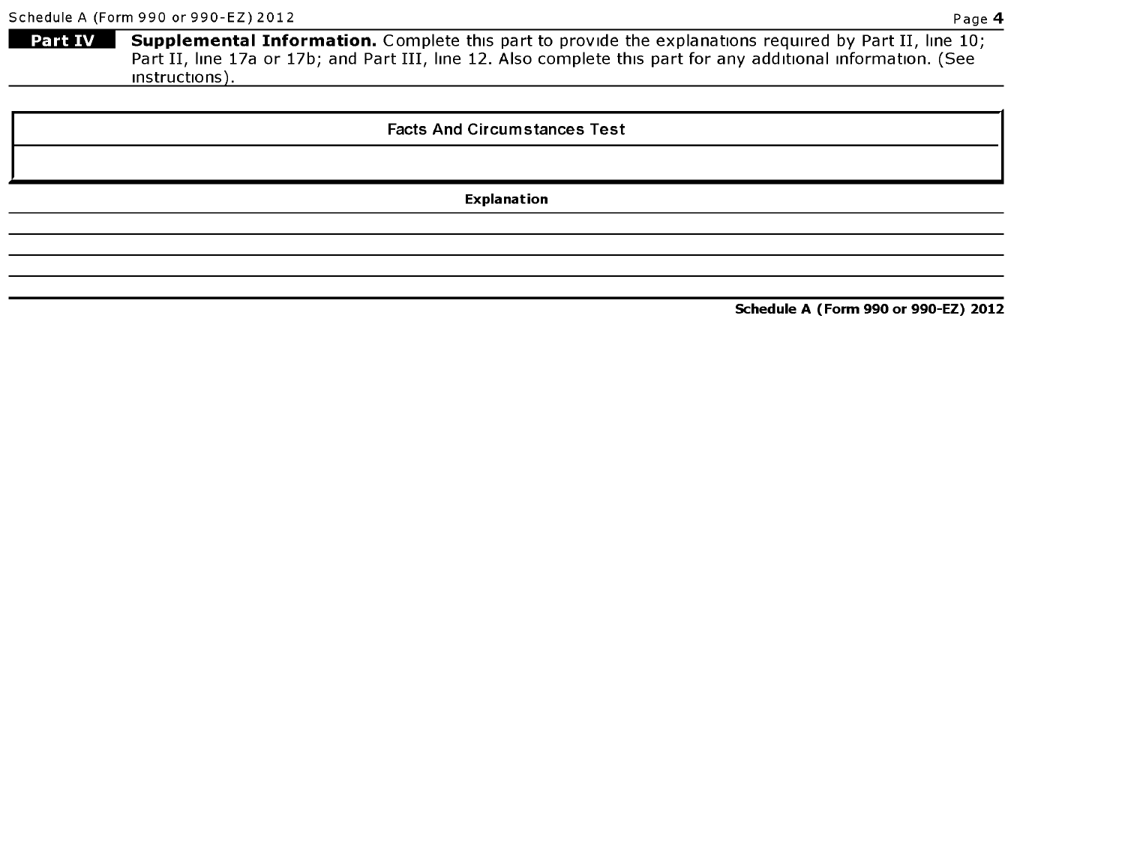Schedule A (F<br>Part IV Part IV Supplemental Information. Complete this part to provide the explanations required by Part II, line 10; Part II, line 17a or 17b; and Part III, line 12. Also complete this part for any additional information. (See Instructions).

### Facts And Circumstances Test

Explanation

Schedule A (Form 990 or 990-EZ) 2012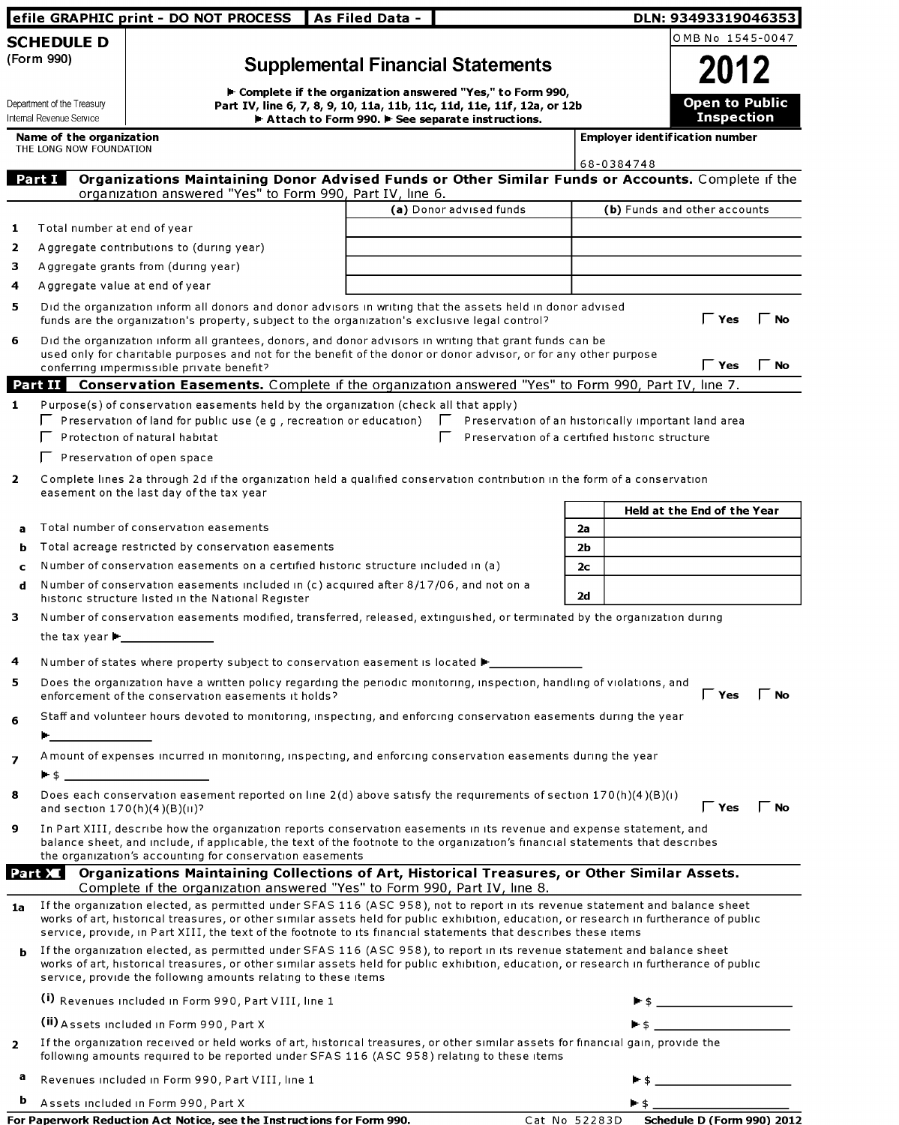|                                                                                                                                                                                                                                           | efile GRAPHIC print - DO NOT PROCESS                                                                                                                                                                                                                                                                                                  | As Filed Data - |                                                                                                         |                      | DLN: 93493319046353                                                                                   |  |  |
|-------------------------------------------------------------------------------------------------------------------------------------------------------------------------------------------------------------------------------------------|---------------------------------------------------------------------------------------------------------------------------------------------------------------------------------------------------------------------------------------------------------------------------------------------------------------------------------------|-----------------|---------------------------------------------------------------------------------------------------------|----------------------|-------------------------------------------------------------------------------------------------------|--|--|
| <b>SCHEDULE D</b>                                                                                                                                                                                                                         |                                                                                                                                                                                                                                                                                                                                       |                 |                                                                                                         |                      | OMB No 1545-0047                                                                                      |  |  |
| (Form 990)                                                                                                                                                                                                                                |                                                                                                                                                                                                                                                                                                                                       |                 | <b>Supplemental Financial Statements</b><br>► Complete if the organization answered "Yes," to Form 990, |                      | 2012                                                                                                  |  |  |
| Department of the Treasury<br>Internal Revenue Service                                                                                                                                                                                    | Part IV, line 6, 7, 8, 9, 10, 11a, 11b, 11c, 11d, 11e, 11f, 12a, or 12b                                                                                                                                                                                                                                                               |                 | Attach to Form 990. F See separate instructions.                                                        |                      | <b>Open to Public</b><br><b>Inspection</b>                                                            |  |  |
| Name of the organization<br>THE LONG NOW FOUNDATION                                                                                                                                                                                       |                                                                                                                                                                                                                                                                                                                                       |                 |                                                                                                         |                      | <b>Employer ident if ication number</b>                                                               |  |  |
| Part I                                                                                                                                                                                                                                    | Organizations Maintaining Donor Advised Funds or Other Similar Funds or Accounts. Complete if the                                                                                                                                                                                                                                     |                 |                                                                                                         |                      | 68-0384748                                                                                            |  |  |
|                                                                                                                                                                                                                                           | organization answered "Yes" to Form 990, Part IV, line 6.                                                                                                                                                                                                                                                                             |                 |                                                                                                         |                      |                                                                                                       |  |  |
|                                                                                                                                                                                                                                           |                                                                                                                                                                                                                                                                                                                                       |                 | (a) Donor advised funds                                                                                 |                      | (b) Funds and other accounts                                                                          |  |  |
| Total number at end of year<br>1                                                                                                                                                                                                          |                                                                                                                                                                                                                                                                                                                                       |                 |                                                                                                         |                      |                                                                                                       |  |  |
| 2                                                                                                                                                                                                                                         | Aggregate contributions to (during year)                                                                                                                                                                                                                                                                                              |                 |                                                                                                         |                      |                                                                                                       |  |  |
| 3.<br>4                                                                                                                                                                                                                                   | Aggregate grants from (during year)<br>Aggregate value at end of year                                                                                                                                                                                                                                                                 |                 |                                                                                                         |                      |                                                                                                       |  |  |
| 5                                                                                                                                                                                                                                         | Did the organization inform all donors and donor advisors in writing that the assets held in donor advised<br>funds are the organization's property, subject to the organization's exclusive legal control?                                                                                                                           |                 |                                                                                                         |                      | $\mathsf{\Gamma}$ Yes<br><b>No</b>                                                                    |  |  |
| 6                                                                                                                                                                                                                                         | Did the organization inform all grantees, donors, and donor advisors in writing that grant funds can be<br>used only for charitable purposes and not for the benefit of the donor or donor advisor, or for any other purpose<br>conferring impermissible private benefit?                                                             |                 |                                                                                                         |                      | $\mathsf \Gamma$ Yes<br>$\Gamma$ No                                                                   |  |  |
|                                                                                                                                                                                                                                           | <b>Part II</b> Conservation Easements. Complete if the organization answered "Yes" to Form 990, Part IV, line 7.                                                                                                                                                                                                                      |                 |                                                                                                         |                      |                                                                                                       |  |  |
| 1.                                                                                                                                                                                                                                        | Purpose(s) of conservation easements held by the organization (check all that apply)<br>$\Gamma$ Preservation of land for public use (e g, recreation or education)<br>Protection of natural habitat                                                                                                                                  |                 | $\mathbf{L}$                                                                                            |                      | Preservation of an historically important land area<br>Preservation of a certified historic structure |  |  |
|                                                                                                                                                                                                                                           | $\Gamma$ Preservation of open space                                                                                                                                                                                                                                                                                                   |                 |                                                                                                         |                      |                                                                                                       |  |  |
| $\mathbf{2}$                                                                                                                                                                                                                              | Complete lines 2a through 2d if the organization held a qualified conservation contribution in the form of a conservation<br>easement on the last day of the tax year                                                                                                                                                                 |                 |                                                                                                         |                      |                                                                                                       |  |  |
|                                                                                                                                                                                                                                           | Total number of conservation easements                                                                                                                                                                                                                                                                                                |                 |                                                                                                         |                      | Held at the End of the Year                                                                           |  |  |
| а                                                                                                                                                                                                                                         | Total acreage restricted by conservation easements                                                                                                                                                                                                                                                                                    |                 |                                                                                                         | 2a                   |                                                                                                       |  |  |
| b<br>c                                                                                                                                                                                                                                    | Number of conservation easements on a certified historic structure included in (a)                                                                                                                                                                                                                                                    |                 |                                                                                                         | 2Ь<br>2 <sub>c</sub> |                                                                                                       |  |  |
| d                                                                                                                                                                                                                                         | Number of conservation easements included in (c) acquired after 8/17/06, and not on a<br>historic structure listed in the National Register                                                                                                                                                                                           | 2d              |                                                                                                         |                      |                                                                                                       |  |  |
| 3                                                                                                                                                                                                                                         | Number of conservation easements modified, transferred, released, extinguished, or terminated by the organization during<br>the tax year $\blacktriangleright$ ____________                                                                                                                                                           |                 |                                                                                                         |                      |                                                                                                       |  |  |
| 4                                                                                                                                                                                                                                         | Number of states where property subject to conservation easement is located ▶ _ ___________________                                                                                                                                                                                                                                   |                 |                                                                                                         |                      |                                                                                                       |  |  |
| 5                                                                                                                                                                                                                                         | Does the organization have a written policy regarding the periodic monitoring, inspection, handling of violations, and<br>enforcement of the conservation easements it holds?                                                                                                                                                         |                 |                                                                                                         |                      | $\mathsf{\Gamma}$ Yes<br>$\Gamma$ No                                                                  |  |  |
| 6<br><b>Production of the Contract of the Contract of the Contract of the Contract of the Contract of the Contract of the Contract of the Contract of the Contract of the Contract of the Contract of the Contract of the Contract of</b> | Staff and volunteer hours devoted to monitoring, inspecting, and enforcing conservation easements during the year                                                                                                                                                                                                                     |                 |                                                                                                         |                      |                                                                                                       |  |  |
| $\overline{ }$                                                                                                                                                                                                                            | A mount of expenses incurred in monitoring, inspecting, and enforcing conservation easements during the year<br>$\blacktriangleright$ 5 and 3 and 3 and 3 and 3 and 3 and 3 and 3 and 3 and 3 and 3 and 3 and 3 and 3 and 3 and 3 and 3 and 3                                                                                         |                 |                                                                                                         |                      |                                                                                                       |  |  |
| 8<br>and section $170(h)(4)(B)(H)$ ?                                                                                                                                                                                                      | Does each conservation easement reported on line $2(d)$ above satisfy the requirements of section 170(h)(4)(B)(i)                                                                                                                                                                                                                     |                 |                                                                                                         |                      | $\mathsf{\Gamma}$ Yes<br>$\Gamma$ No                                                                  |  |  |
| 9                                                                                                                                                                                                                                         | In Part XIII, describe how the organization reports conservation easements in its revenue and expense statement, and<br>balance sheet, and include, if applicable, the text of the footnote to the organization's financial statements that describes<br>the organization's accounting for conservation easements                     |                 |                                                                                                         |                      |                                                                                                       |  |  |
| Part XI                                                                                                                                                                                                                                   | Organizations Maintaining Collections of Art, Historical Treasures, or Other Similar Assets.                                                                                                                                                                                                                                          |                 |                                                                                                         |                      |                                                                                                       |  |  |
| 1a                                                                                                                                                                                                                                        | Complete if the organization answered "Yes" to Form 990, Part IV, line 8.<br>If the organization elected, as permitted under SFAS 116 (ASC 958), not to report in its revenue statement and balance sheet                                                                                                                             |                 |                                                                                                         |                      |                                                                                                       |  |  |
|                                                                                                                                                                                                                                           | works of art, historical treasures, or other similar assets held for public exhibition, education, or research in furtherance of public<br>service, provide, in Part XIII, the text of the footnote to its financial statements that describes these items                                                                            |                 |                                                                                                         |                      |                                                                                                       |  |  |
| b                                                                                                                                                                                                                                         | If the organization elected, as permitted under SFAS 116 (ASC 958), to report in its revenue statement and balance sheet<br>works of art, historical treasures, or other similar assets held for public exhibition, education, or research in furtherance of public<br>service, provide the following amounts relating to these items |                 |                                                                                                         |                      |                                                                                                       |  |  |
|                                                                                                                                                                                                                                           | (i) Revenues included in Form 990, Part VIII, line 1                                                                                                                                                                                                                                                                                  |                 |                                                                                                         |                      |                                                                                                       |  |  |
|                                                                                                                                                                                                                                           | (ii) Assets included in Form 990, Part X                                                                                                                                                                                                                                                                                              |                 |                                                                                                         |                      | $\blacksquare$ \$                                                                                     |  |  |
| $\overline{2}$                                                                                                                                                                                                                            | If the organization received or held works of art, historical treasures, or other similar assets for financial gain, provide the<br>following amounts required to be reported under SFAS 116 (ASC 958) relating to these items                                                                                                        |                 |                                                                                                         |                      |                                                                                                       |  |  |
| a                                                                                                                                                                                                                                         | Revenues included in Form 990, Part VIII, line 1                                                                                                                                                                                                                                                                                      |                 |                                                                                                         |                      |                                                                                                       |  |  |
| Þ                                                                                                                                                                                                                                         | Assets included in Form 990, Part X                                                                                                                                                                                                                                                                                                   |                 |                                                                                                         |                      | $\blacktriangleright$ \$                                                                              |  |  |

| For Paperwork Reduction Act Notice, see the Instructions for Form 990. |  |
|------------------------------------------------------------------------|--|
|                                                                        |  |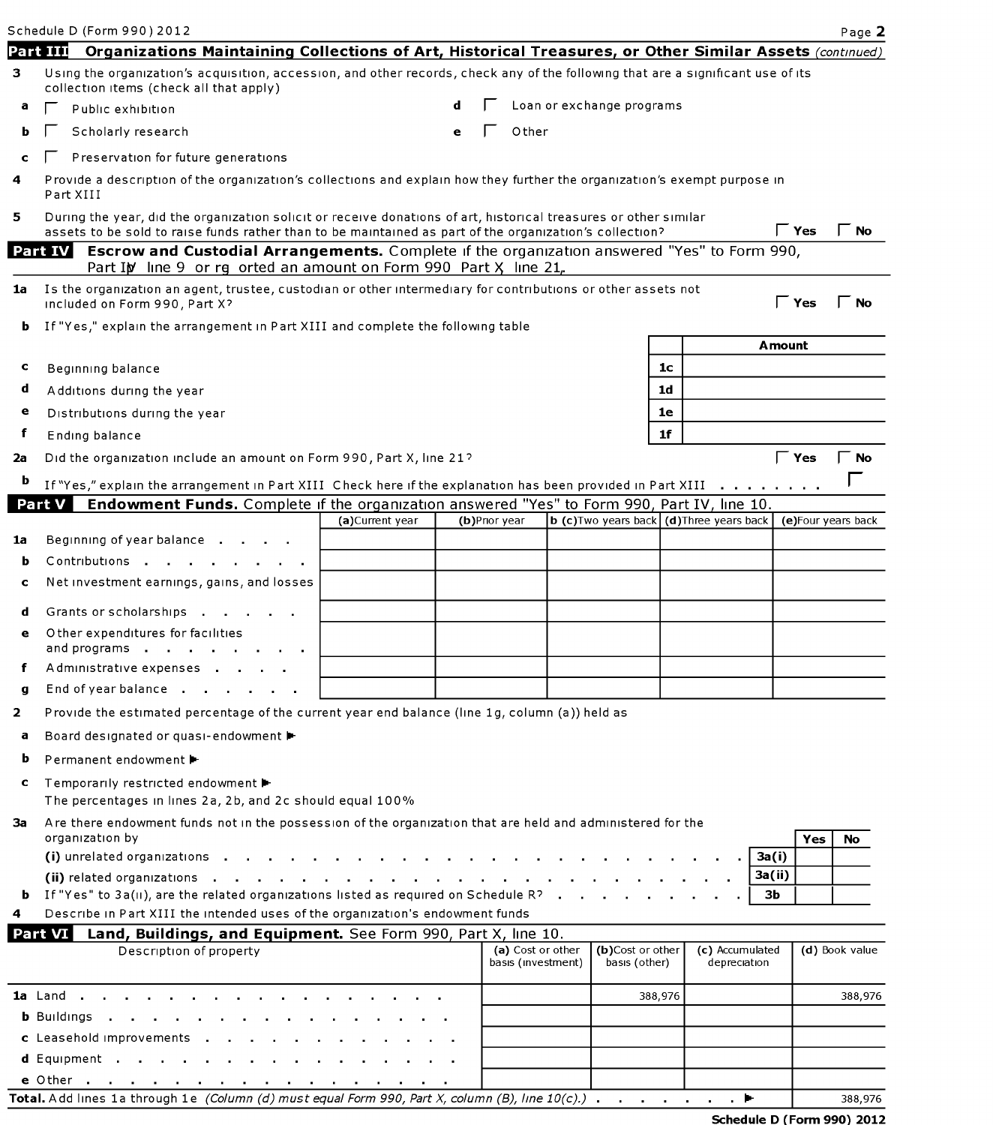| Schedule D (Form 990) 2012                                                                                                                                                                                                  |                 |   |               |                                         |                                   |                |                                                  |                    | Page 2         |
|-----------------------------------------------------------------------------------------------------------------------------------------------------------------------------------------------------------------------------|-----------------|---|---------------|-----------------------------------------|-----------------------------------|----------------|--------------------------------------------------|--------------------|----------------|
| <b>Part III</b><br>Organizations Maintaining Collections of Art, Historical Treasures, or Other Similar Assets (continued)                                                                                                  |                 |   |               |                                         |                                   |                |                                                  |                    |                |
| Using the organization's acquisition, accession, and other records, check any of the following that are a significant use of its<br>collection items (check all that apply)                                                 |                 |   |               |                                         |                                   |                |                                                  |                    |                |
| Public exhibition                                                                                                                                                                                                           |                 |   |               |                                         | Loan or exchange programs         |                |                                                  |                    |                |
| Scholarly research                                                                                                                                                                                                          |                 | e |               | Other                                   |                                   |                |                                                  |                    |                |
| Preservation for future generations                                                                                                                                                                                         |                 |   |               |                                         |                                   |                |                                                  |                    |                |
| Provide a description of the organization's collections and explain how they further the organization's exempt purpose in<br>Part XIII                                                                                      |                 |   |               |                                         |                                   |                |                                                  |                    |                |
| During the year, did the organization solicit or receive donations of art, historical treasures or other similar<br>assets to be sold to raise funds rather than to be maintained as part of the organization's collection? |                 |   |               |                                         |                                   |                |                                                  | $\Gamma$ Yes       | No             |
| <b>Escrow and Custodial Arrangements.</b> Complete if the organization answered "Yes" to Form 990,<br>Part IV                                                                                                               |                 |   |               |                                         |                                   |                |                                                  |                    |                |
| Part IN line 9 or rg orted an amount on Form 990 Part X, line 21,<br>1a                                                                                                                                                     |                 |   |               |                                         |                                   |                |                                                  |                    |                |
| Is the organization an agent, trustee, custodian or other intermediary for contributions or other assets not<br>included on Form 990, Part X?                                                                               |                 |   |               |                                         |                                   |                |                                                  | $\Gamma$ Yes       | l No           |
| If "Yes," explain the arrangement in Part XIII and complete the following table<br>b.                                                                                                                                       |                 |   |               |                                         |                                   |                |                                                  | <b>Amount</b>      |                |
|                                                                                                                                                                                                                             |                 |   |               |                                         |                                   | 1 <sub>c</sub> |                                                  |                    |                |
| Beginning balance                                                                                                                                                                                                           |                 |   |               |                                         |                                   | 1d             |                                                  |                    |                |
| Additions during the year                                                                                                                                                                                                   |                 |   |               |                                         |                                   | 1e             |                                                  |                    |                |
| Distributions during the year                                                                                                                                                                                               |                 |   |               |                                         |                                   | 1 <sub>f</sub> |                                                  |                    |                |
| Ending balance                                                                                                                                                                                                              |                 |   |               |                                         |                                   |                |                                                  |                    |                |
| Did the organization include an amount on Form 990, Part X, line 21?                                                                                                                                                        |                 |   |               |                                         |                                   |                |                                                  | $\Gamma$ Yes       | $\Gamma$ No    |
| If "Yes," explain the arrangement in Part XIII Check here if the explanation has been provided in Part XIII                                                                                                                 |                 |   |               |                                         |                                   |                |                                                  |                    |                |
| <b>Endowment Funds.</b> Complete if the organization answered "Yes" to Form 990, Part IV, line 10.<br>Part V                                                                                                                | (a)Current year |   | (b)Prior year |                                         |                                   |                | <b>b</b> (c) Two years back (d) Three years back | (e)Four years back |                |
| Beginning of year balance                                                                                                                                                                                                   |                 |   |               |                                         |                                   |                |                                                  |                    |                |
| Contributions                                                                                                                                                                                                               |                 |   |               |                                         |                                   |                |                                                  |                    |                |
| Net investment earnings, gains, and losses                                                                                                                                                                                  |                 |   |               |                                         |                                   |                |                                                  |                    |                |
|                                                                                                                                                                                                                             |                 |   |               |                                         |                                   |                |                                                  |                    |                |
| Grants or scholarships                                                                                                                                                                                                      |                 |   |               |                                         |                                   |                |                                                  |                    |                |
| Other expenditures for facilities<br>and programs                                                                                                                                                                           |                 |   |               |                                         |                                   |                |                                                  |                    |                |
| Administrative expenses                                                                                                                                                                                                     |                 |   |               |                                         |                                   |                |                                                  |                    |                |
| End of year balance                                                                                                                                                                                                         |                 |   |               |                                         |                                   |                |                                                  |                    |                |
| Provide the estimated percentage of the current year end balance (line 1g, column (a)) held as                                                                                                                              |                 |   |               |                                         |                                   |                |                                                  |                    |                |
| Board designated or quasi-endowment                                                                                                                                                                                         |                 |   |               |                                         |                                   |                |                                                  |                    |                |
| Permanent endowment ►                                                                                                                                                                                                       |                 |   |               |                                         |                                   |                |                                                  |                    |                |
|                                                                                                                                                                                                                             |                 |   |               |                                         |                                   |                |                                                  |                    |                |
| Temporarily restricted endowment ▶<br>The percentages in lines 2a, 2b, and 2c should equal 100%                                                                                                                             |                 |   |               |                                         |                                   |                |                                                  |                    |                |
| Are there endowment funds not in the possession of the organization that are held and administered for the<br>organization by                                                                                               |                 |   |               |                                         |                                   |                |                                                  | Yes                | No             |
| (i) unrelated organizations<br>(ii) related organizations and a series are a series and a series are a series and a series are a series of the                                                                              |                 |   |               |                                         |                                   |                |                                                  | 3a(i)<br>3a(ii)    |                |
| <b>b</b> If "Yes" to $3a(ii)$ , are the related organizations listed as required on Schedule R?                                                                                                                             |                 |   |               |                                         |                                   |                |                                                  | Зb                 |                |
| Describe in Part XIII the intended uses of the organization's endowment funds                                                                                                                                               |                 |   |               |                                         |                                   |                |                                                  |                    |                |
| Part VI Land, Buildings, and Equipment. See Form 990, Part X, line 10.                                                                                                                                                      |                 |   |               |                                         |                                   |                |                                                  |                    |                |
| Description of property                                                                                                                                                                                                     |                 |   |               | (a) Cost or other<br>basis (investment) | (b)Cost or other<br>basis (other) |                | (c) Accumulated<br>depreciation                  |                    | (d) Book value |
|                                                                                                                                                                                                                             |                 |   |               |                                         |                                   | 388,976        |                                                  |                    | 388,976        |
| <b>b</b> Buildings $\cdot$ $\cdot$ $\cdot$ $\cdot$ $\cdot$ $\cdot$                                                                                                                                                          |                 |   |               |                                         |                                   |                |                                                  |                    |                |
| c Leasehold improvements                                                                                                                                                                                                    |                 |   |               |                                         |                                   |                |                                                  |                    |                |
| d Equipment                                                                                                                                                                                                                 |                 |   |               |                                         |                                   |                |                                                  |                    |                |
| e Other                                                                                                                                                                                                                     |                 |   |               |                                         |                                   |                |                                                  |                    |                |

|                                                                                                                                       |  |  |  |  | Schodule D (Form 000) |
|---------------------------------------------------------------------------------------------------------------------------------------|--|--|--|--|-----------------------|
| <b>Total.</b> Add lines 1a through 1e (Column (d) must equal Form 990, Part X, column (B), line $10(c)$ .) $\ldots$ $\ldots$ $\ldots$ |  |  |  |  | 38                    |
|                                                                                                                                       |  |  |  |  |                       |

 $\frac{388,976}{90}$ <br>30) 2012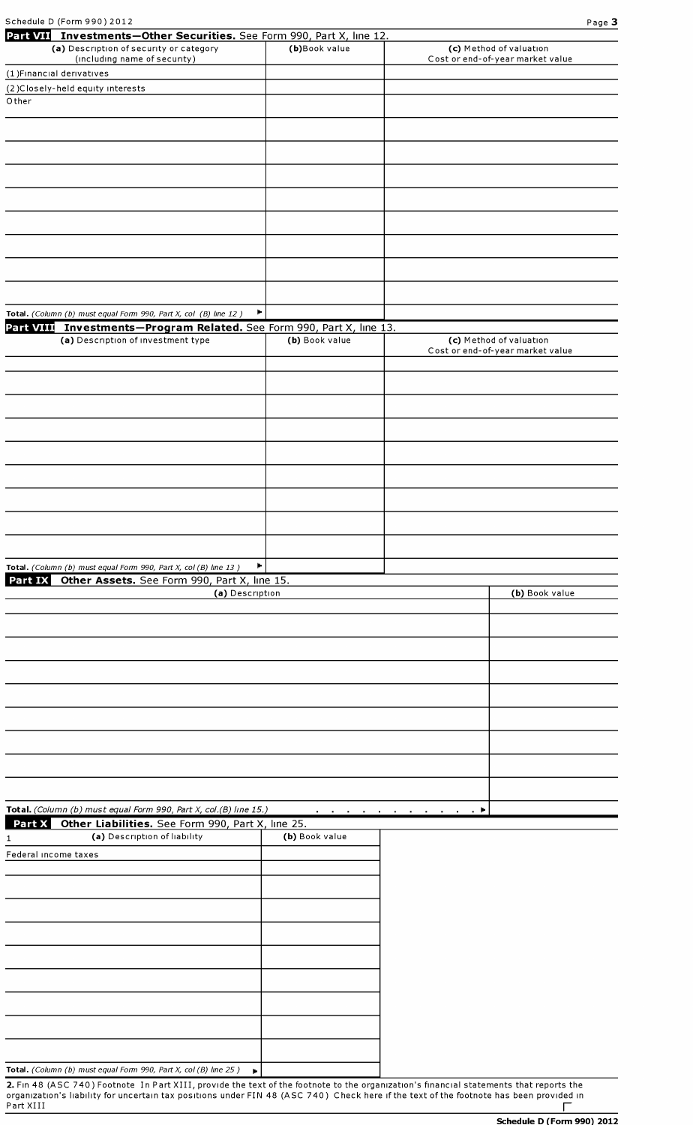| Schedule D (Form 990) 2012                                                                                               |                |                                                             | Page 3         |
|--------------------------------------------------------------------------------------------------------------------------|----------------|-------------------------------------------------------------|----------------|
| Part VII Investments-Other Securities. See Form 990, Part X, line 12.<br>(a) Description of security or category         | (b)Book value  | (c) Method of valuation                                     |                |
| (including name of security)                                                                                             |                | Cost or end-of-year market value                            |                |
| (1) Financial derivatives                                                                                                |                |                                                             |                |
| (2) Closely-held equity interests<br>Other                                                                               |                |                                                             |                |
|                                                                                                                          |                |                                                             |                |
|                                                                                                                          |                |                                                             |                |
|                                                                                                                          |                |                                                             |                |
|                                                                                                                          |                |                                                             |                |
|                                                                                                                          |                |                                                             |                |
|                                                                                                                          |                |                                                             |                |
|                                                                                                                          |                |                                                             |                |
|                                                                                                                          |                |                                                             |                |
|                                                                                                                          |                |                                                             |                |
|                                                                                                                          |                |                                                             |                |
|                                                                                                                          |                |                                                             |                |
|                                                                                                                          |                |                                                             |                |
| Total. (Column (b) must equal Form 990, Part X, col (B) line 12)                                                         | Þ              |                                                             |                |
| Part VIII Investments-Program Related. See Form 990, Part X, line 13.                                                    |                |                                                             |                |
| (a) Description of investment type                                                                                       | (b) Book value | (c) Method of valuation<br>Cost or end-of-year market value |                |
|                                                                                                                          |                |                                                             |                |
|                                                                                                                          |                |                                                             |                |
|                                                                                                                          |                |                                                             |                |
|                                                                                                                          |                |                                                             |                |
|                                                                                                                          |                |                                                             |                |
|                                                                                                                          |                |                                                             |                |
|                                                                                                                          |                |                                                             |                |
|                                                                                                                          |                |                                                             |                |
|                                                                                                                          |                |                                                             |                |
|                                                                                                                          |                |                                                             |                |
|                                                                                                                          |                |                                                             |                |
|                                                                                                                          |                |                                                             |                |
| Total. (Column (b) must equal Form 990, Part X, col (B) line 13)<br>Part IX Other Assets. See Form 990, Part X, line 15. | Þ.             |                                                             |                |
| (a) Description                                                                                                          |                |                                                             | (b) Book value |
|                                                                                                                          |                |                                                             |                |
|                                                                                                                          |                |                                                             |                |
|                                                                                                                          |                |                                                             |                |
|                                                                                                                          |                |                                                             |                |
|                                                                                                                          |                |                                                             |                |
|                                                                                                                          |                |                                                             |                |
|                                                                                                                          |                |                                                             |                |
|                                                                                                                          |                |                                                             |                |
|                                                                                                                          |                |                                                             |                |
|                                                                                                                          |                |                                                             |                |
|                                                                                                                          |                |                                                             |                |
|                                                                                                                          |                |                                                             |                |
| Total. (Column (b) must equal Form 990, Part X, col.(B) line 15.)                                                        |                | a k                                                         |                |
| Part X<br>Other Liabilities. See Form 990, Part X, line 25.<br>(a) Description of liability                              | (b) Book value |                                                             |                |
| 1.<br>Federal income taxes                                                                                               |                |                                                             |                |
|                                                                                                                          |                |                                                             |                |
|                                                                                                                          |                |                                                             |                |
|                                                                                                                          |                |                                                             |                |
|                                                                                                                          |                |                                                             |                |
|                                                                                                                          |                |                                                             |                |
|                                                                                                                          |                |                                                             |                |
|                                                                                                                          |                |                                                             |                |

2. Fin 48 (ASC 740) Footnote In Part XIII, provide the text of the footnote to the organization's financial statements that reports the organization's liability for uncertain tax positions under FIN 48 (ASC 740) Check here if the text of the footnote has been provided in  $\overline{\phantom{a}}$ Part XIII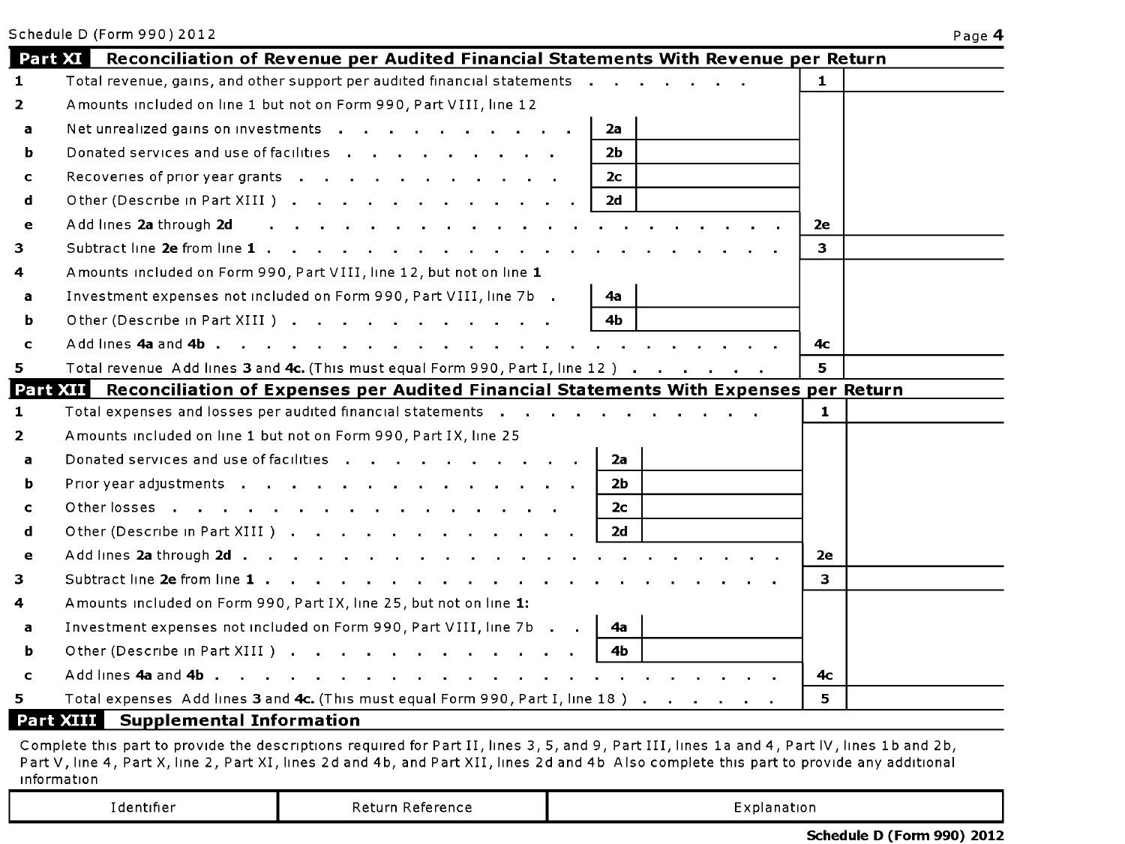| ٠ | o |  |
|---|---|--|
|   |   |  |

|                | Reconciliation of Revenue per Audited Financial Statements With Revenue per Return<br>Part XI                                                |    |  |
|----------------|----------------------------------------------------------------------------------------------------------------------------------------------|----|--|
| $\mathbf{1}$   | Total revenue, gains, and other support per audited financial statements                                                                     | 1  |  |
| $\overline{2}$ | Amounts included on line 1 but not on Form 990, Part VIII, line 12                                                                           |    |  |
| a              | Net unrealized gains on investments<br>2a                                                                                                    |    |  |
| ь              | Donated services and use of facilities<br>2 <sub>b</sub>                                                                                     |    |  |
| $\mathbf{C}$   | Recoveries of prior year grants<br>2с.                                                                                                       |    |  |
| d              | Other (Describe in Part XIII).<br>2d                                                                                                         |    |  |
| e              | Add lines 2a through 2d                                                                                                                      | 2e |  |
| 3              | Subtract line 2e from line 1<br>and a strain and                                                                                             | 3  |  |
| 4              | Amounts included on Form 990, Part VIII, line 12, but not on line 1                                                                          |    |  |
| a              | Investment expenses not included on Form 990, Part VIII, line 7b.<br>4а                                                                      |    |  |
| ь              | Other (Describe in Part XIII)<br>4b                                                                                                          |    |  |
| $\mathbf{C}$   |                                                                                                                                              | 4с |  |
| 5              | Total revenue Add lines 3 and 4c. (This must equal Form 990, Part I, line 12)                                                                | 5  |  |
| Part XII       | Reconciliation of Expenses per Audited Financial Statements With Expenses per Return                                                         |    |  |
| 1              | Total expenses and losses per audited financial statements                                                                                   | 1  |  |
| $\overline{2}$ | Amounts included on line 1 but not on Form 990, Part IX, line 25                                                                             |    |  |
| a              | Donated services and use of facilities<br>2a                                                                                                 |    |  |
| ь              | 2b                                                                                                                                           |    |  |
| c              | Otherlosses<br>2с                                                                                                                            |    |  |
| d              | Other (Describe in Part XIII)<br>2d                                                                                                          |    |  |
| e              | Add lines 2a through 2d                                                                                                                      | 2е |  |
| 3              | Subtract line $2e$ from line $1 \cdot \cdot \cdot \cdot \cdot \cdot \cdot \cdot \cdot \cdot \cdot \cdot \cdot \cdot \cdot \cdot \cdot \cdot$ | 3. |  |
| 4              | Amounts included on Form 990, Part IX, line 25, but not on line 1:                                                                           |    |  |
| a              | Investment expenses not included on Form 990, Part VIII, line 7b<br>4а                                                                       |    |  |
| ь              | Other (Describe in Part XIII )<br>4b.                                                                                                        |    |  |
| $\mathbf c$    | Add lines 4a and 4b<br>the contract of the contract of the contract of the contract of the contract of the contract of the contract of       | 4с |  |
|                |                                                                                                                                              |    |  |

Complete this part to provide the descriptions required for Part II, lines 3, 5, and 9, Part III, lines 1a and 4, Part IV, lines 1b and 2b,<br>Part V, line 4, Part X, line 2, Part XI, lines 2d and 4b, and Part XII, lines 2d a information

| rdentifier i<br>---- - | Reference<br>Returr | . <b>.</b><br>colanation |
|------------------------|---------------------|--------------------------|
|------------------------|---------------------|--------------------------|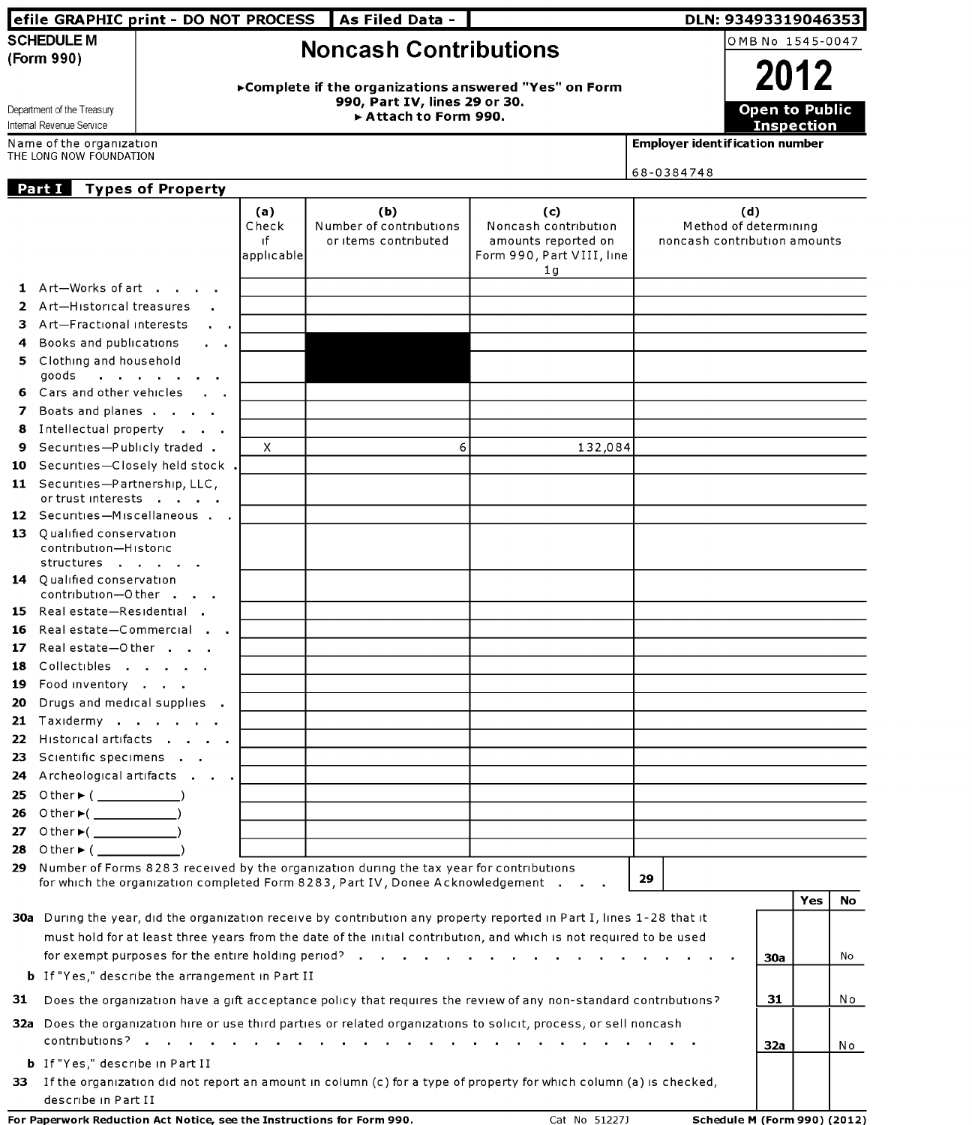|     |                                                                                         | efile GRAPHIC print - DO NOT PROCESS                   |                  | As Filed Data -                                                                            |                                                                                                                       |                                         | DLN: 93493319046353          |           |
|-----|-----------------------------------------------------------------------------------------|--------------------------------------------------------|------------------|--------------------------------------------------------------------------------------------|-----------------------------------------------------------------------------------------------------------------------|-----------------------------------------|------------------------------|-----------|
|     | <b>SCHEDULE M</b>                                                                       |                                                        |                  | <b>Noncash Contributions</b>                                                               |                                                                                                                       |                                         | OMB No 1545-0047             |           |
|     | (Form 990)                                                                              |                                                        |                  |                                                                                            |                                                                                                                       |                                         |                              |           |
|     |                                                                                         |                                                        |                  |                                                                                            | ► Complete if the organizations answered "Yes" on Form                                                                |                                         | 2012                         |           |
|     | Department of the Treasury                                                              |                                                        |                  | 990, Part IV, lines 29 or 30.                                                              |                                                                                                                       |                                         | <b>Open to Public</b>        |           |
|     | Internal Revenue Service                                                                |                                                        |                  | Attach to Form 990.                                                                        |                                                                                                                       |                                         | <b>Inspection</b>            |           |
|     | Name of the organization<br>THE LONG NOW FOUNDATION                                     |                                                        |                  |                                                                                            |                                                                                                                       | <b>Employer ident if ication number</b> |                              |           |
|     |                                                                                         |                                                        |                  |                                                                                            |                                                                                                                       | 68-0384748                              |                              |           |
|     | Part I                                                                                  | <b>Types of Property</b>                               |                  |                                                                                            |                                                                                                                       |                                         |                              |           |
|     |                                                                                         |                                                        | (a)              | (b)                                                                                        | (c)                                                                                                                   |                                         | (d)                          |           |
|     |                                                                                         |                                                        | Check            | Number of contributions                                                                    | Noncash contribution                                                                                                  |                                         | Method of determining        |           |
|     |                                                                                         |                                                        | ıf<br>applicable | or items contributed                                                                       | amounts reported on<br>Form 990, Part VIII, line                                                                      |                                         | noncash contribution amounts |           |
|     |                                                                                         |                                                        |                  |                                                                                            | 1 <sub>q</sub>                                                                                                        |                                         |                              |           |
|     | 1 Art-Works of art                                                                      |                                                        |                  |                                                                                            |                                                                                                                       |                                         |                              |           |
|     | 2 Art-Historical treasures                                                              |                                                        |                  |                                                                                            |                                                                                                                       |                                         |                              |           |
| 3.  | Art-Fractional interests                                                                | $\mathbf{u} = \mathbf{u} \cdot \mathbf{u}$             |                  |                                                                                            |                                                                                                                       |                                         |                              |           |
| 4   | Books and publications                                                                  |                                                        |                  |                                                                                            |                                                                                                                       |                                         |                              |           |
| 5.  | Clothing and household<br>goods $\cdot$ $\cdot$ $\cdot$ $\cdot$ $\cdot$ $\cdot$ $\cdot$ |                                                        |                  |                                                                                            |                                                                                                                       |                                         |                              |           |
| 6.  | Cars and other vehicles                                                                 |                                                        |                  |                                                                                            |                                                                                                                       |                                         |                              |           |
| 7   | Boats and planes                                                                        |                                                        |                  |                                                                                            |                                                                                                                       |                                         |                              |           |
| 8   | Intellectual property                                                                   |                                                        |                  |                                                                                            |                                                                                                                       |                                         |                              |           |
| 9   | Securities-Publicly traded .                                                            |                                                        | X.               |                                                                                            | 6<br>132,084                                                                                                          |                                         |                              |           |
| 10  |                                                                                         | Securities-Closely held stock.                         |                  |                                                                                            |                                                                                                                       |                                         |                              |           |
|     | 11 Securities-Partnership, LLC,<br>or trust interests                                   |                                                        |                  |                                                                                            |                                                                                                                       |                                         |                              |           |
|     |                                                                                         | 12 Securities-Miscellaneous                            |                  |                                                                                            |                                                                                                                       |                                         |                              |           |
|     | 13 Oualified conservation                                                               |                                                        |                  |                                                                                            |                                                                                                                       |                                         |                              |           |
|     | contribution-Historic                                                                   |                                                        |                  |                                                                                            |                                                                                                                       |                                         |                              |           |
|     | structures                                                                              |                                                        |                  |                                                                                            |                                                                                                                       |                                         |                              |           |
|     | 14 Qualified conservation<br>contribution-Other                                         |                                                        |                  |                                                                                            |                                                                                                                       |                                         |                              |           |
|     | 15 Real estate-Residential                                                              |                                                        |                  |                                                                                            |                                                                                                                       |                                         |                              |           |
| 16  |                                                                                         | Real estate-Commercial                                 |                  |                                                                                            |                                                                                                                       |                                         |                              |           |
|     | 17 Real estate-Other                                                                    |                                                        |                  |                                                                                            |                                                                                                                       |                                         |                              |           |
| 18. | Collectibles                                                                            |                                                        |                  |                                                                                            |                                                                                                                       |                                         |                              |           |
| 19. | Food inventory                                                                          |                                                        |                  |                                                                                            |                                                                                                                       |                                         |                              |           |
| 20. | Drugs and medical supplies.                                                             |                                                        |                  |                                                                                            |                                                                                                                       |                                         |                              |           |
|     | 21 Taxidermy                                                                            |                                                        |                  |                                                                                            |                                                                                                                       |                                         |                              |           |
|     |                                                                                         | 22 Historical artifacts                                |                  |                                                                                            |                                                                                                                       |                                         |                              |           |
|     | 23 Scientific specimens                                                                 | 24 Archeological artifacts                             |                  |                                                                                            |                                                                                                                       |                                         |                              |           |
| 25  | Other▶( ____________)                                                                   |                                                        |                  |                                                                                            |                                                                                                                       |                                         |                              |           |
| 26  | O ther ►( _______________)                                                              |                                                        |                  |                                                                                            |                                                                                                                       |                                         |                              |           |
|     | 27 Other $*($                                                                           |                                                        |                  |                                                                                            |                                                                                                                       |                                         |                              |           |
|     | 28 Other $($                                                                            |                                                        |                  |                                                                                            |                                                                                                                       |                                         |                              |           |
|     |                                                                                         |                                                        |                  | 29 Number of Forms 8283 received by the organization during the tax year for contributions |                                                                                                                       |                                         |                              |           |
|     |                                                                                         |                                                        |                  | for which the organization completed Form 8283, Part IV, Donee Acknowledgement             |                                                                                                                       | 29                                      |                              |           |
|     |                                                                                         |                                                        |                  |                                                                                            | 30a During the year, did the organization receive by contribution any property reported in Part I, lines 1-28 that it |                                         |                              | Yes<br>No |
|     |                                                                                         |                                                        |                  |                                                                                            | must hold for at least three years from the date of the initial contribution, and which is not required to be used    |                                         |                              |           |
|     |                                                                                         |                                                        |                  |                                                                                            |                                                                                                                       |                                         | 30a                          | No.       |
|     |                                                                                         | <b>b</b> If "Yes," describe the arrangement in Part II |                  |                                                                                            |                                                                                                                       |                                         |                              |           |
|     |                                                                                         |                                                        |                  |                                                                                            |                                                                                                                       |                                         |                              |           |
| 31  |                                                                                         |                                                        |                  |                                                                                            | Does the organization have a gift acceptance policy that requires the review of any non-standard contributions?       |                                         | 31                           | No        |
|     |                                                                                         |                                                        |                  |                                                                                            | 32a Does the organization hire or use third parties or related organizations to solicit, process, or sell noncash     |                                         |                              |           |
|     |                                                                                         |                                                        |                  |                                                                                            |                                                                                                                       |                                         | 32a                          | No        |
|     | <b>b</b> If "Yes," describe in Part II                                                  |                                                        |                  |                                                                                            |                                                                                                                       |                                         |                              |           |
| 33. |                                                                                         |                                                        |                  |                                                                                            | If the organization did not report an amount in column (c) for a type of property for which column (a) is checked,    |                                         |                              |           |
|     | describe in Part II                                                                     |                                                        |                  |                                                                                            |                                                                                                                       |                                         |                              |           |

For Paperwork Reduction Act Notice, see the Instructions for Form 990.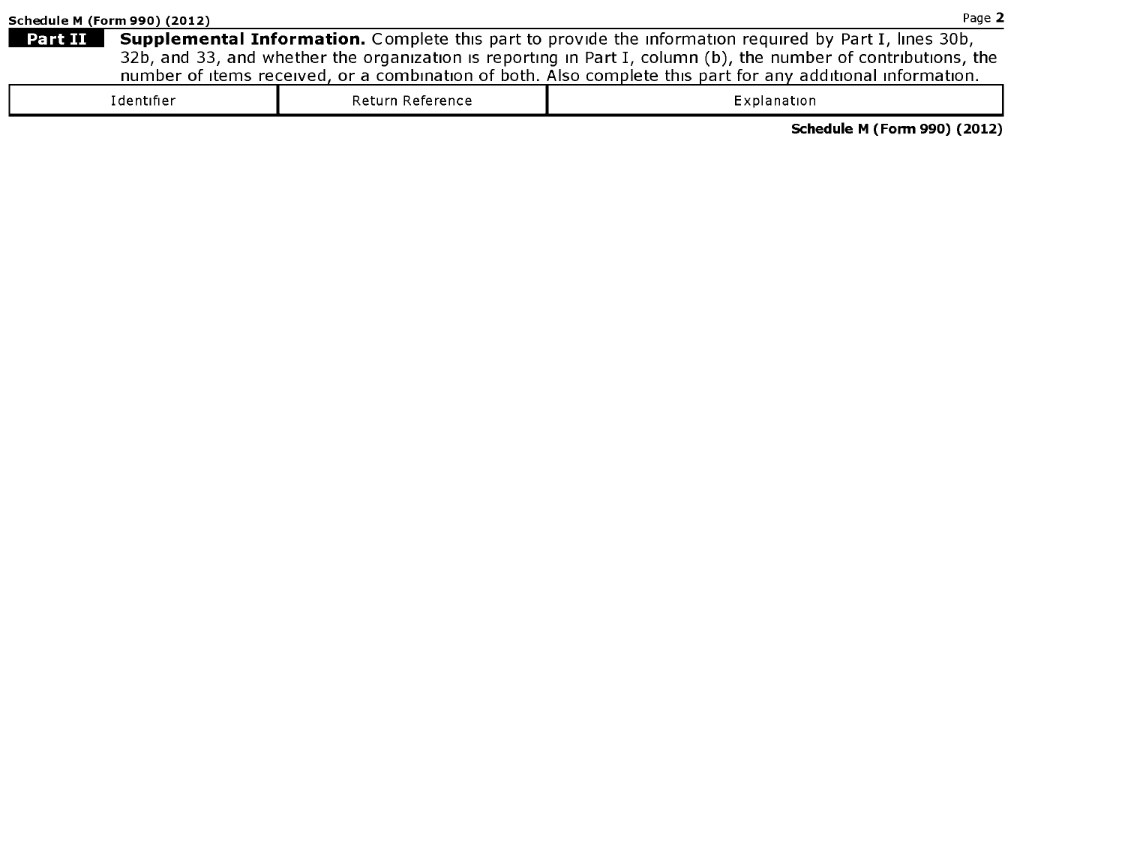|         | Schedule M (Form 990) (2012) |                  | Page 2                                                                                                         |
|---------|------------------------------|------------------|----------------------------------------------------------------------------------------------------------------|
| Part II |                              |                  | <b>Supplemental Information.</b> Complete this part to provide the information required by Part I, lines 30b,  |
|         |                              |                  | 32b, and 33, and whether the organization is reporting in Part I, column (b), the number of contributions, the |
|         |                              |                  | number of items received, or a combination of both. Also complete this part for any additional information.    |
|         | Identifier                   | Return Reference | Explanation                                                                                                    |

Schedule <sup>M</sup> (Form 990) (2012)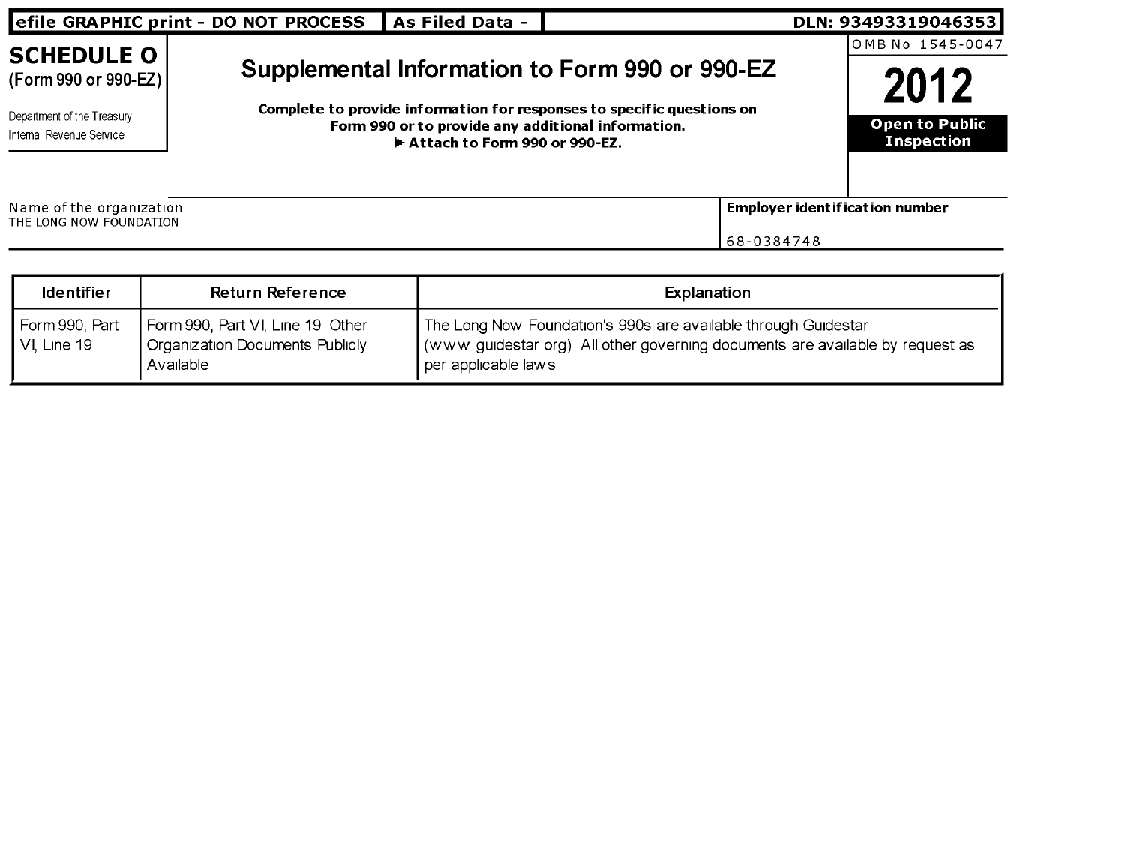| efile GRAPHIC print - DO NOT PROCESS                                                                | As Filed Data -                                                                     |                                                                                                                          | DLN: 93493319046353                                                     |
|-----------------------------------------------------------------------------------------------------|-------------------------------------------------------------------------------------|--------------------------------------------------------------------------------------------------------------------------|-------------------------------------------------------------------------|
| <b>SCHEDULE O</b><br>(Form 990 or 990-EZ)<br>Department of the Treasury<br>Internal Revenue Service | Form 990 or to provide any additional information.<br>Attach to Form 990 or 990-EZ. | Supplemental Information to Form 990 or 990-EZ<br>Complete to provide information for responses to specific questions on | IOMB No 1545-0047<br>2012<br><b>Open to Public</b><br><b>Inspection</b> |
| Name of the organization<br>THE LONG NOW FOUNDATION                                                 |                                                                                     | 68-0384748                                                                                                               | <b>Employer ident if ication number</b>                                 |

| <b>Identifier</b>               | <b>Return Reference</b>                                                          | Explanation                                                                                                                                                            |
|---------------------------------|----------------------------------------------------------------------------------|------------------------------------------------------------------------------------------------------------------------------------------------------------------------|
| Form 990, Part<br>l VI. Line 19 | Form 990, Part VI, Line 19 Other<br>Organization Documents Publicly<br>Available | The Long Now Foundation's 990s are available through Guidestar<br>(www guidestar org) All other governing documents are available by request as<br>per applicable laws |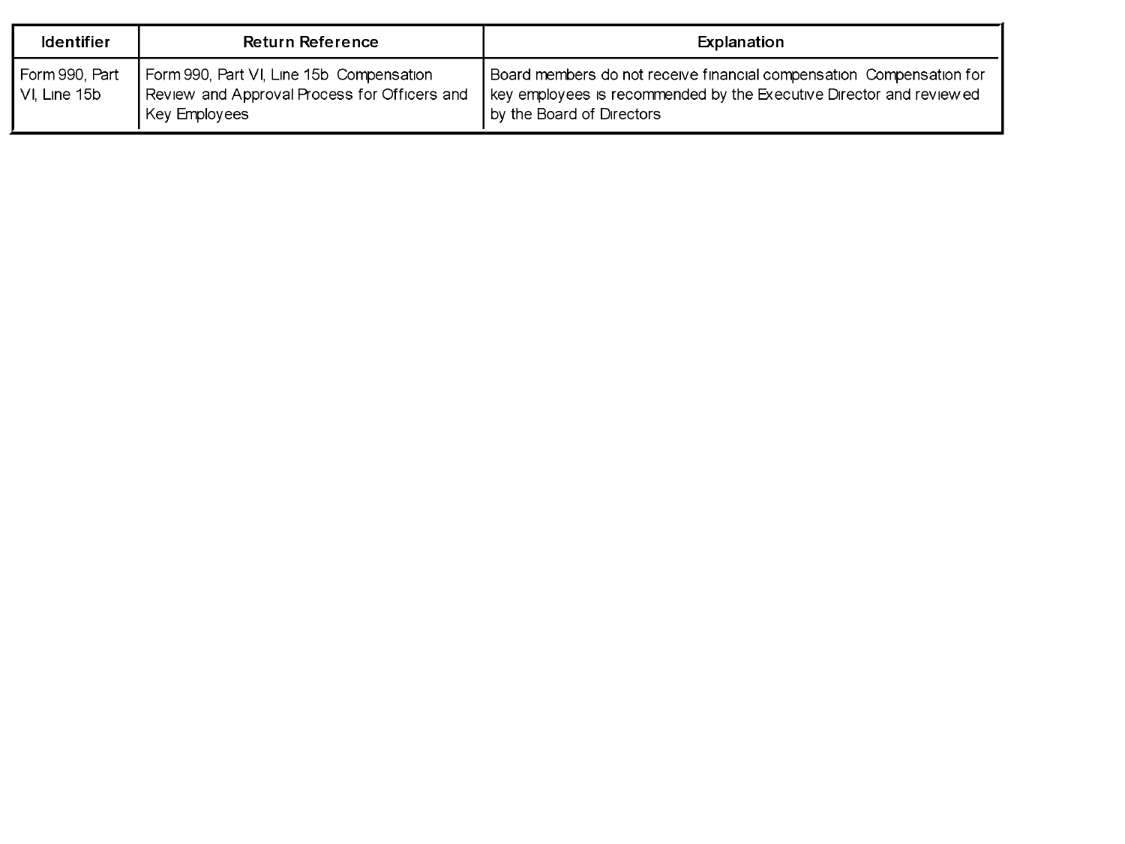| <b>Identifier</b>                  | <b>Return Reference</b>                                                                                   | Explanation                                                                                                                                                              |
|------------------------------------|-----------------------------------------------------------------------------------------------------------|--------------------------------------------------------------------------------------------------------------------------------------------------------------------------|
| Form 990, Part<br>l VI. Line 15b l | Form 990, Part VI, Line 15b Compensation<br>Review and Approval Process for Officers and<br>Key Employees | Board members do not receive financial compensation Compensation for<br>key employees is recommended by the Executive Director and reviewed<br>by the Board of Directors |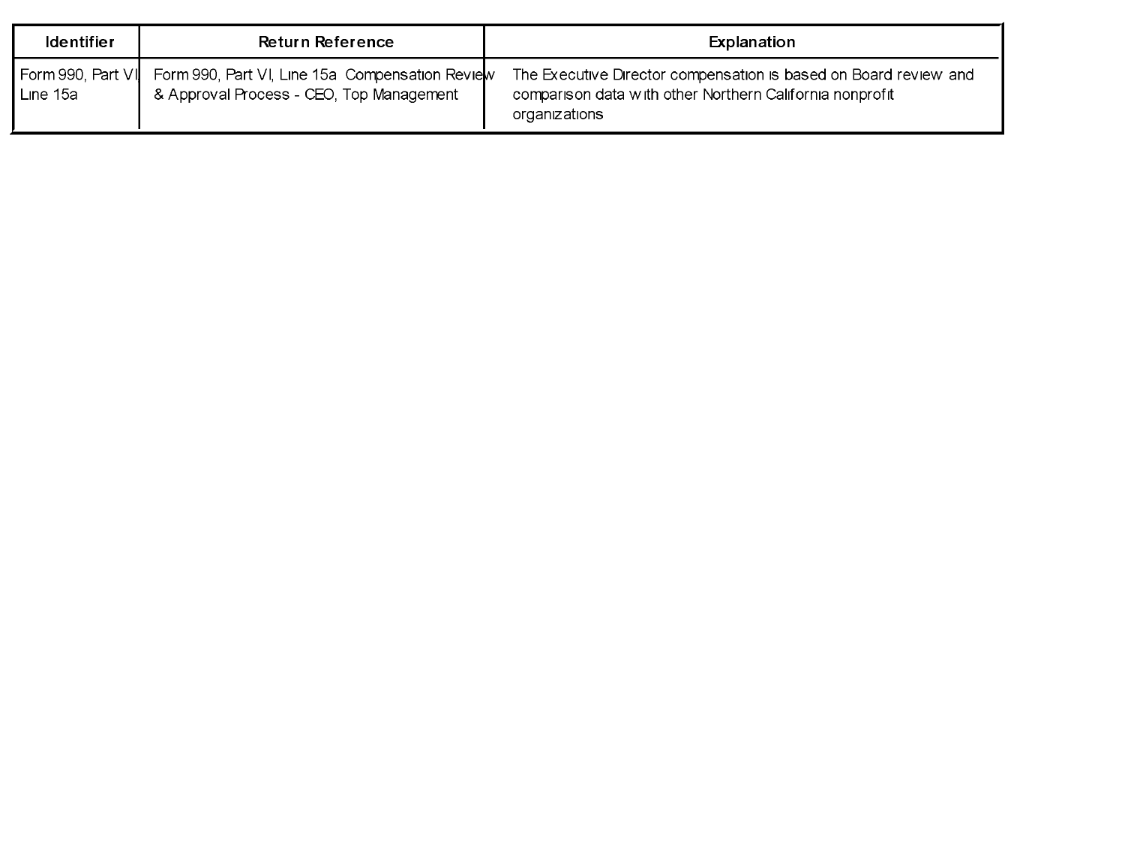| <b>Identifier</b>                | <b>Return Reference</b>                                                                     | Explanation                                                                                                                                   |
|----------------------------------|---------------------------------------------------------------------------------------------|-----------------------------------------------------------------------------------------------------------------------------------------------|
| ¶ Form 990, Part ∨l <br>Line 15a | Form 990, Part VI, Line 15a Compensation Review<br>& Approval Process - CEO, Top Management | The Executive Director compensation is based on Board review and<br>comparison data with other Northern California nonprofit<br>organizations |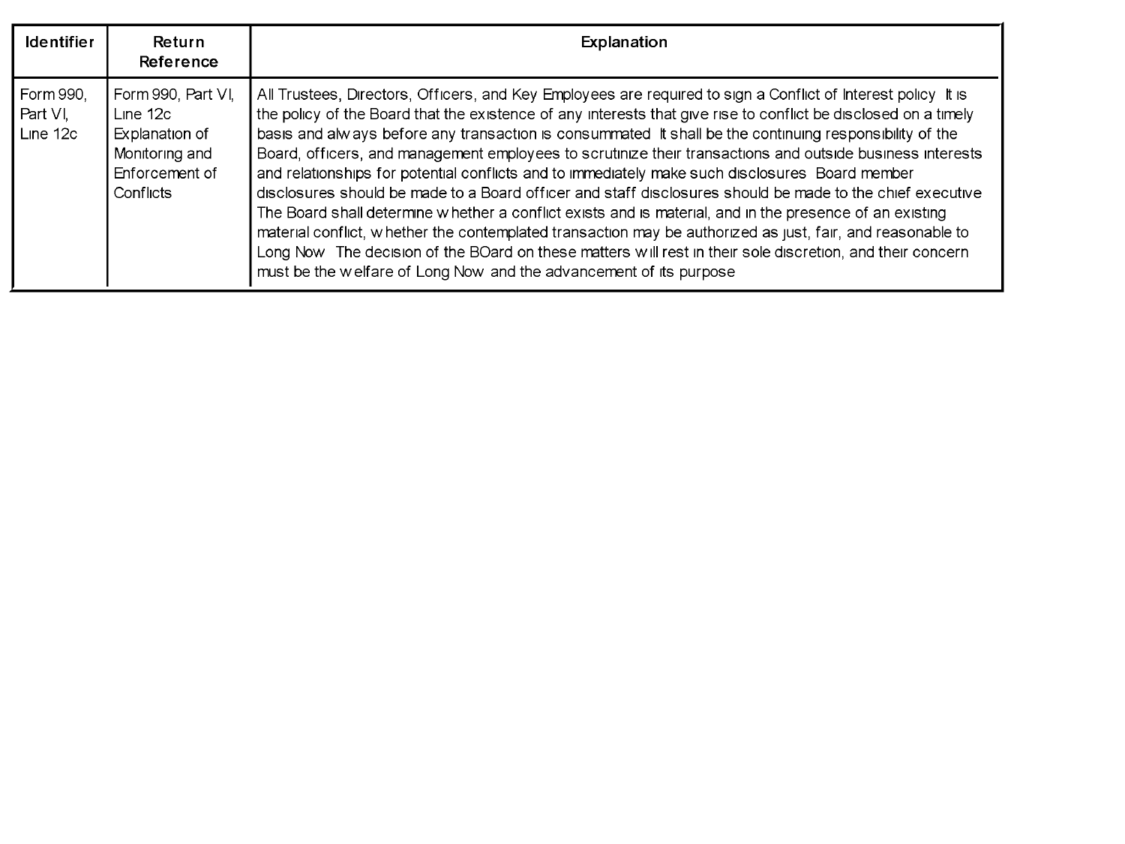| <b>Identifier</b>                   | Return<br>Reference                                                                                 | Explanation                                                                                                                                                                                                                                                                                                                                                                                                                                                                                                                                                                                                                                                                                                                                                                                                                                                                                                                                                                                                                                                                           |
|-------------------------------------|-----------------------------------------------------------------------------------------------------|---------------------------------------------------------------------------------------------------------------------------------------------------------------------------------------------------------------------------------------------------------------------------------------------------------------------------------------------------------------------------------------------------------------------------------------------------------------------------------------------------------------------------------------------------------------------------------------------------------------------------------------------------------------------------------------------------------------------------------------------------------------------------------------------------------------------------------------------------------------------------------------------------------------------------------------------------------------------------------------------------------------------------------------------------------------------------------------|
| Form 990,<br>l Part VI.<br>Line 12c | Form 990, Part VI,<br>Line $12c$<br>Explanation of<br>Monitoring and<br>Enforcement of<br>Conflicts | All Trustees, Directors, Officers, and Key Employees are required to sign a Conflict of Interest policy It is<br>the policy of the Board that the existence of any interests that give rise to conflict be disclosed on a timely<br>basis and always before any transaction is consummated it shall be the continuing responsibility of the<br>Board, officers, and management employees to scrutinize their transactions and outside business interests<br>and relationships for potential conflicts and to immediately make such disclosures Board member<br>disclosures should be made to a Board officer and staff disclosures should be made to the chief executive<br>The Board shall determine w hether a conflict exists and is material, and in the presence of an existing<br>material conflict, whether the contemplated transaction may be authorized as just, fair, and reasonable to<br>Long Now The decision of the BOard on these matters will rest in their sole discretion, and their concern<br>must be the welfare of Long Now and the advancement of its purpose |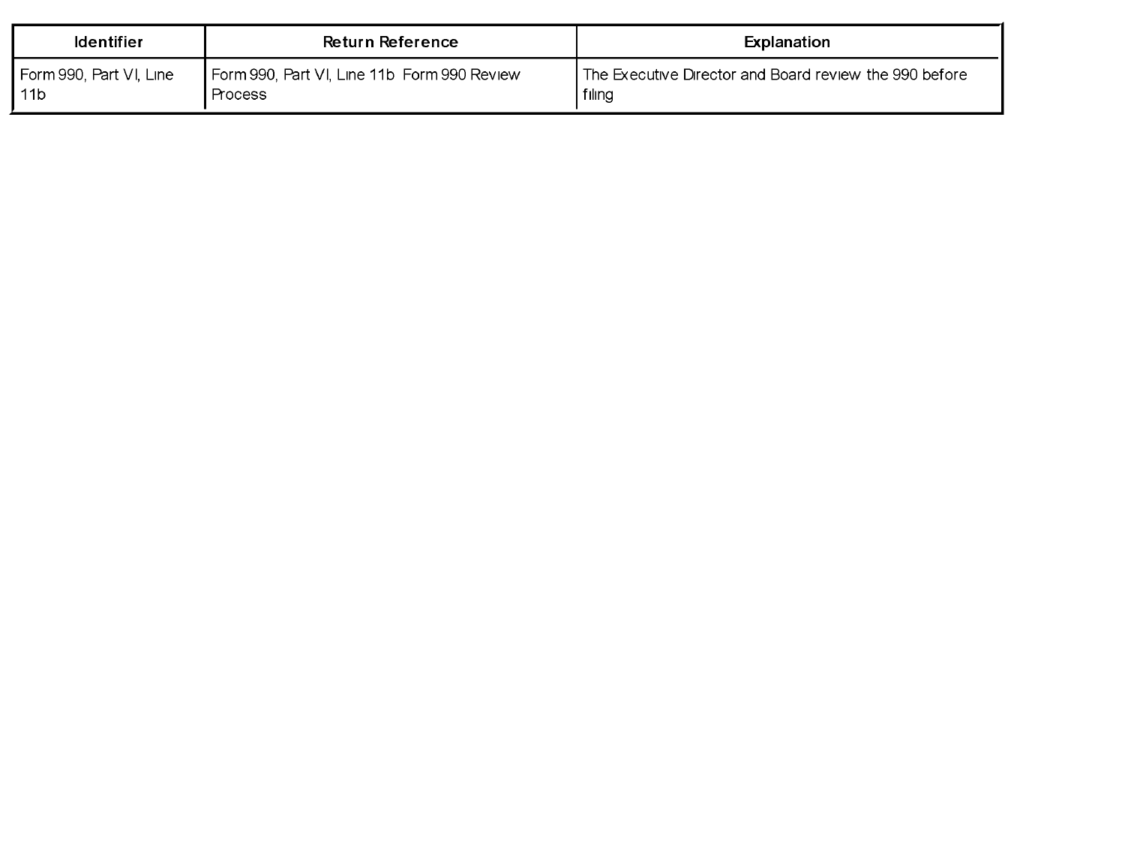| <b>Identifier</b>         | Return Reference                            | Explanation                                            |
|---------------------------|---------------------------------------------|--------------------------------------------------------|
| l Form 990. Part VI. Line | Form 990, Part VI, Line 11b Form 990 Review | The Executive Director and Board review the 990 before |
| <b>l</b> 11b              | Process                                     | filing                                                 |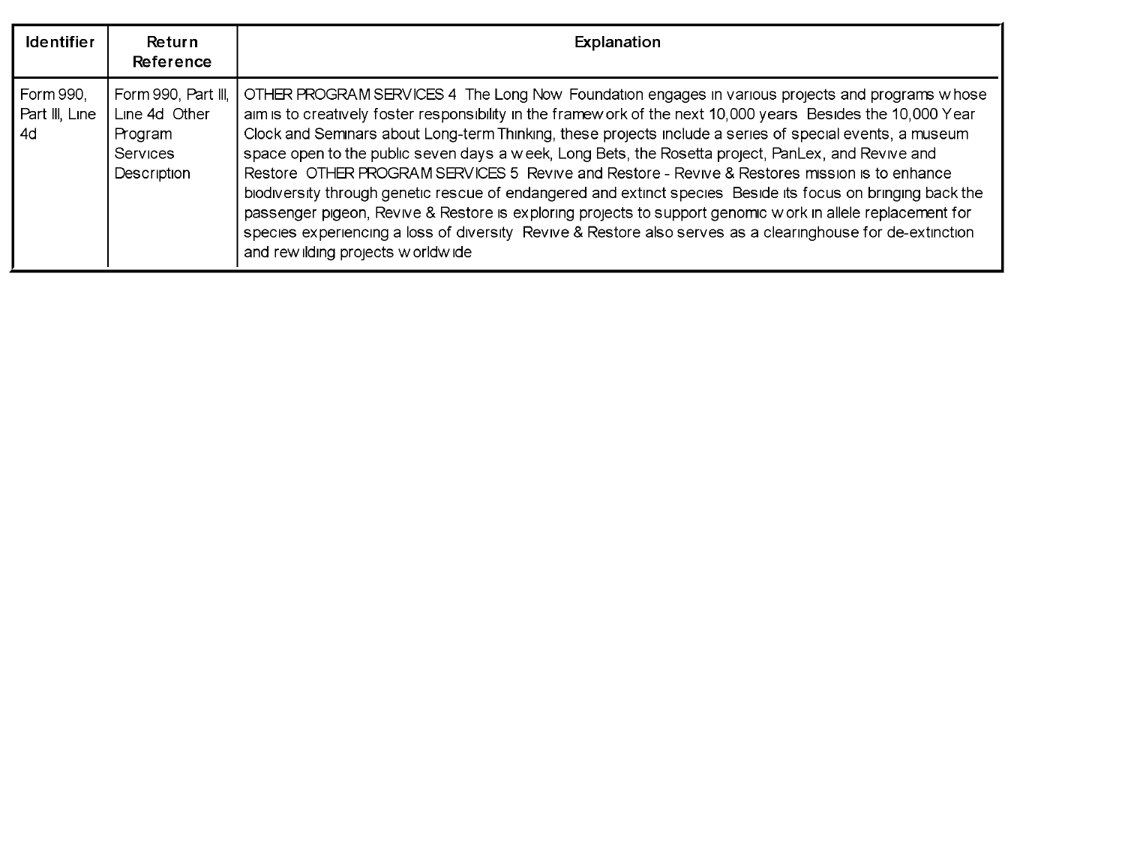| <b>Identifier</b>                    | Return<br>Reference                                                        | Explanation                                                                                                                                                                                                                                                                                                                                                                                                                                                                                                                                                                                                                                                                                                                                                                                                                                                                                                         |
|--------------------------------------|----------------------------------------------------------------------------|---------------------------------------------------------------------------------------------------------------------------------------------------------------------------------------------------------------------------------------------------------------------------------------------------------------------------------------------------------------------------------------------------------------------------------------------------------------------------------------------------------------------------------------------------------------------------------------------------------------------------------------------------------------------------------------------------------------------------------------------------------------------------------------------------------------------------------------------------------------------------------------------------------------------|
| ▌Form 990.<br>Part III, Line<br>l 4d | Form 990, Part III,<br>Line 4d Other<br>Program<br>Services<br>Description | OTHER PROGRAM SERVICES 4 The Long Now Foundation engages in various projects and programs whose<br>aim is to creatively foster responsibility in the framew ork of the next 10,000 years Besides the 10,000 Year<br>Clock and Semnars about Long-term Thinking, these projects include a series of special events, a museum<br>space open to the public seven days a week, Long Bets, the Rosetta project, PanLex, and Revive and<br>Restore OTHER PROGRAM SERVICES 5 Revive and Restore - Revive & Restores mission is to enhance<br>biodiversity through genetic rescue of endangered and extinct species Beside its focus on bringing back the<br>passenger pigeon, Revive & Restore is exploring projects to support genomic work in allele replacement for<br>species experiencing a loss of diversity Revive & Restore also serves as a clearinghouse for de-extinction<br>and rew ilding projects w orldwide |